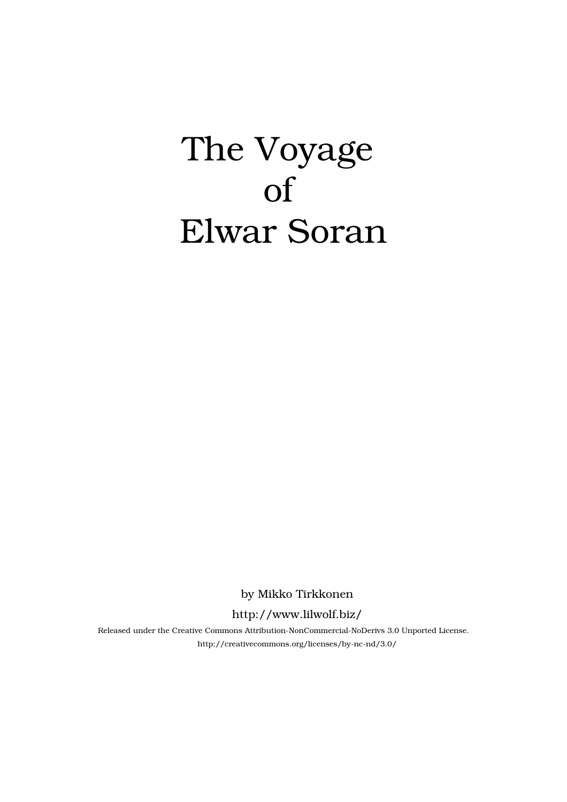## The Voyage of Elwar Soran

by Mikko Tirkkonen

http://www.lilwolf.biz/

Released under the Creative Commons Attribution-NonCommercial-NoDerivs 3.0 Unported License. http://creativecommons.org/licenses/by-nc-nd/3.0/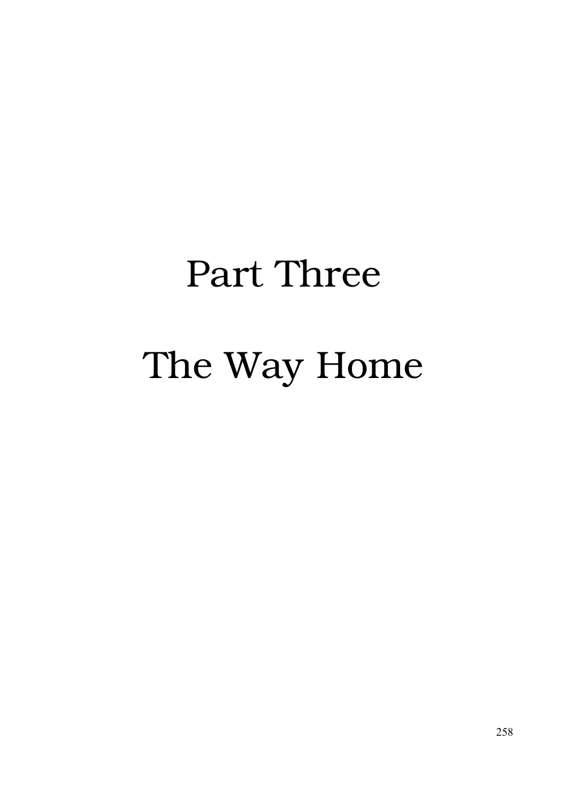## Part Three The Way Home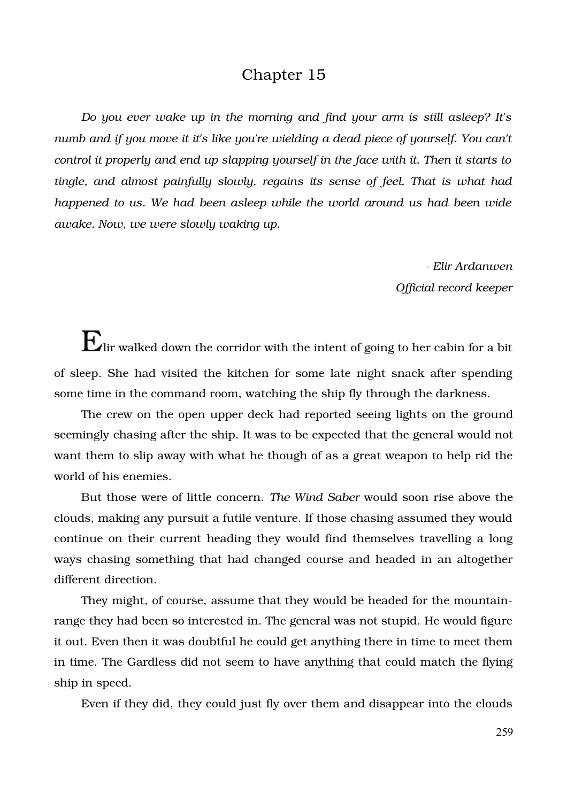## Chapter 15

*Do you ever wake up in the morning and find your arm is still asleep? It's numb and if you move it it's like you're wielding a dead piece of yourself. You can't control it properly and end up slapping yourself in the face with it. Then it starts to tingle, and almost painfully slowly, regains its sense of feel. That is what had happened to us. We had been asleep while the world around us had been wide awake. Now, we were slowly waking up.*

> *Elir Ardanwen Official record keeper*

 $\mathbf E$ lir walked down the corridor with the intent of going to her cabin for a bit of sleep. She had visited the kitchen for some late night snack after spending some time in the command room, watching the ship fly through the darkness.

The crew on the open upper deck had reported seeing lights on the ground seemingly chasing after the ship. It was to be expected that the general would not want them to slip away with what he though of as a great weapon to help rid the world of his enemies.

But those were of little concern. *The Wind Saber* would soon rise above the clouds, making any pursuit a futile venture. If those chasing assumed they would continue on their current heading they would find themselves travelling a long ways chasing something that had changed course and headed in an altogether different direction.

They might, of course, assume that they would be headed for the mountainrange they had been so interested in. The general was not stupid. He would figure it out. Even then it was doubtful he could get anything there in time to meet them in time. The Gardless did not seem to have anything that could match the flying ship in speed.

Even if they did, they could just fly over them and disappear into the clouds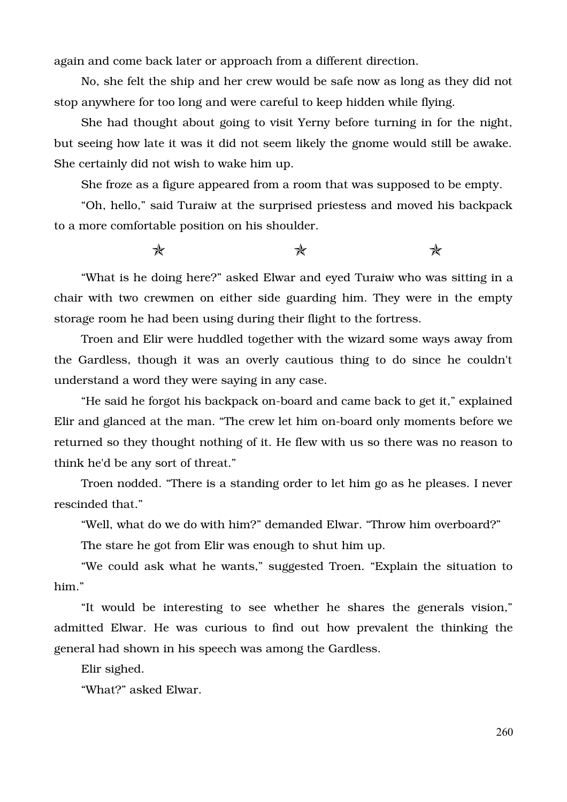again and come back later or approach from a different direction.

No, she felt the ship and her crew would be safe now as long as they did not stop anywhere for too long and were careful to keep hidden while flying.

She had thought about going to visit Yerny before turning in for the night, but seeing how late it was it did not seem likely the gnome would still be awake. She certainly did not wish to wake him up.

She froze as a figure appeared from a room that was supposed to be empty.

"Oh, hello," said Turaiw at the surprised priestess and moved his backpack to a more comfortable position on his shoulder.

 $\star$  and  $\star$ 

"What is he doing here?" asked Elwar and eyed Turaiw who was sitting in a chair with two crewmen on either side guarding him. They were in the empty storage room he had been using during their flight to the fortress.

Troen and Elir were huddled together with the wizard some ways away from the Gardless, though it was an overly cautious thing to do since he couldn't understand a word they were saying in any case.

"He said he forgot his backpack on-board and came back to get it," explained Elir and glanced at the man. "The crew let him on-board only moments before we returned so they thought nothing of it. He flew with us so there was no reason to think he'd be any sort of threat."

Troen nodded. "There is a standing order to let him go as he pleases. I never rescinded that."

"Well, what do we do with him?" demanded Elwar. "Throw him overboard?"

The stare he got from Elir was enough to shut him up.

"We could ask what he wants," suggested Troen. "Explain the situation to him."

"It would be interesting to see whether he shares the generals vision," admitted Elwar. He was curious to find out how prevalent the thinking the general had shown in his speech was among the Gardless.

Elir sighed.

"What?" asked Elwar.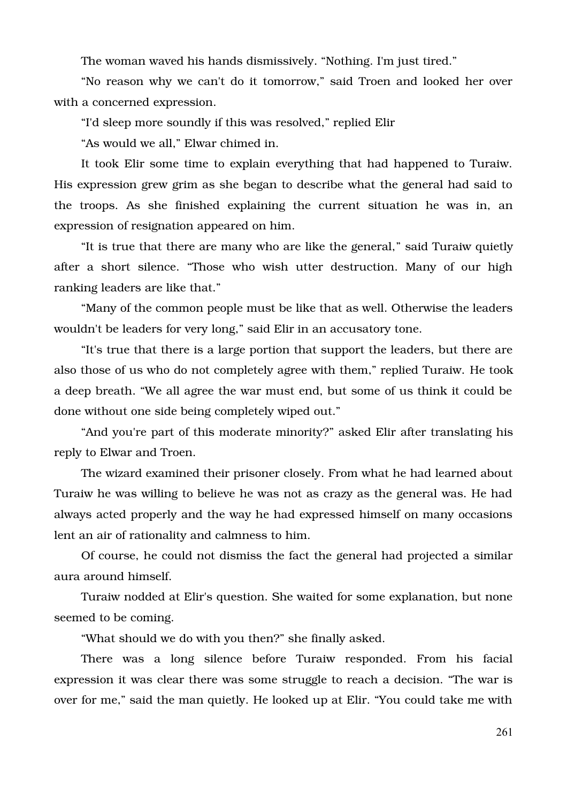The woman waved his hands dismissively. "Nothing. I'm just tired."

"No reason why we can't do it tomorrow," said Troen and looked her over with a concerned expression.

"I'd sleep more soundly if this was resolved," replied Elir

"As would we all," Elwar chimed in.

It took Elir some time to explain everything that had happened to Turaiw. His expression grew grim as she began to describe what the general had said to the troops. As she finished explaining the current situation he was in, an expression of resignation appeared on him.

"It is true that there are many who are like the general," said Turaiw quietly after a short silence. "Those who wish utter destruction. Many of our high ranking leaders are like that."

"Many of the common people must be like that as well. Otherwise the leaders wouldn't be leaders for very long," said Elir in an accusatory tone.

"It's true that there is a large portion that support the leaders, but there are also those of us who do not completely agree with them," replied Turaiw. He took a deep breath. "We all agree the war must end, but some of us think it could be done without one side being completely wiped out."

"And you're part of this moderate minority?" asked Elir after translating his reply to Elwar and Troen.

The wizard examined their prisoner closely. From what he had learned about Turaiw he was willing to believe he was not as crazy as the general was. He had always acted properly and the way he had expressed himself on many occasions lent an air of rationality and calmness to him.

Of course, he could not dismiss the fact the general had projected a similar aura around himself.

Turaiw nodded at Elir's question. She waited for some explanation, but none seemed to be coming.

"What should we do with you then?" she finally asked.

There was a long silence before Turaiw responded. From his facial expression it was clear there was some struggle to reach a decision. "The war is over for me," said the man quietly. He looked up at Elir. "You could take me with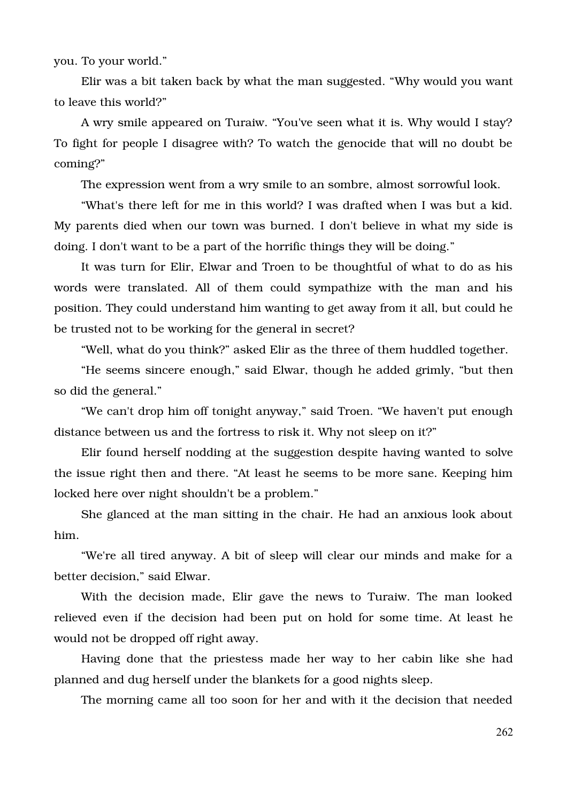you. To your world."

Elir was a bit taken back by what the man suggested. "Why would you want to leave this world?"

A wry smile appeared on Turaiw. "You've seen what it is. Why would I stay? To fight for people I disagree with? To watch the genocide that will no doubt be coming?"

The expression went from a wry smile to an sombre, almost sorrowful look.

"What's there left for me in this world? I was drafted when I was but a kid. My parents died when our town was burned. I don't believe in what my side is doing. I don't want to be a part of the horrific things they will be doing."

It was turn for Elir, Elwar and Troen to be thoughtful of what to do as his words were translated. All of them could sympathize with the man and his position. They could understand him wanting to get away from it all, but could he be trusted not to be working for the general in secret?

"Well, what do you think?" asked Elir as the three of them huddled together.

"He seems sincere enough," said Elwar, though he added grimly, "but then so did the general."

"We can't drop him off tonight anyway," said Troen. "We haven't put enough distance between us and the fortress to risk it. Why not sleep on it?"

Elir found herself nodding at the suggestion despite having wanted to solve the issue right then and there. "At least he seems to be more sane. Keeping him locked here over night shouldn't be a problem."

She glanced at the man sitting in the chair. He had an anxious look about him.

"We're all tired anyway. A bit of sleep will clear our minds and make for a better decision," said Elwar.

With the decision made, Elir gave the news to Turaiw. The man looked relieved even if the decision had been put on hold for some time. At least he would not be dropped off right away.

Having done that the priestess made her way to her cabin like she had planned and dug herself under the blankets for a good nights sleep.

The morning came all too soon for her and with it the decision that needed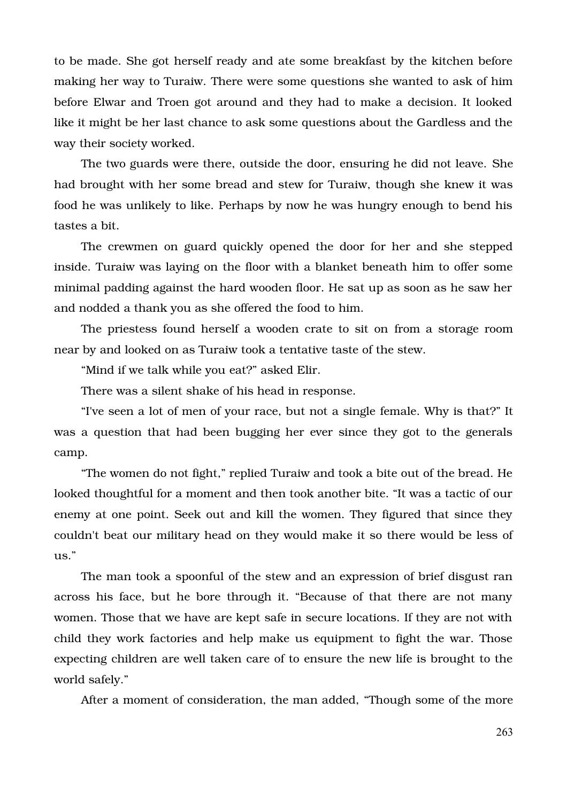to be made. She got herself ready and ate some breakfast by the kitchen before making her way to Turaiw. There were some questions she wanted to ask of him before Elwar and Troen got around and they had to make a decision. It looked like it might be her last chance to ask some questions about the Gardless and the way their society worked.

The two guards were there, outside the door, ensuring he did not leave. She had brought with her some bread and stew for Turaiw, though she knew it was food he was unlikely to like. Perhaps by now he was hungry enough to bend his tastes a bit.

The crewmen on guard quickly opened the door for her and she stepped inside. Turaiw was laying on the floor with a blanket beneath him to offer some minimal padding against the hard wooden floor. He sat up as soon as he saw her and nodded a thank you as she offered the food to him.

The priestess found herself a wooden crate to sit on from a storage room near by and looked on as Turaiw took a tentative taste of the stew.

"Mind if we talk while you eat?" asked Elir.

There was a silent shake of his head in response.

"I've seen a lot of men of your race, but not a single female. Why is that?" It was a question that had been bugging her ever since they got to the generals camp.

"The women do not fight," replied Turaiw and took a bite out of the bread. He looked thoughtful for a moment and then took another bite. "It was a tactic of our enemy at one point. Seek out and kill the women. They figured that since they couldn't beat our military head on they would make it so there would be less of us."

The man took a spoonful of the stew and an expression of brief disgust ran across his face, but he bore through it. "Because of that there are not many women. Those that we have are kept safe in secure locations. If they are not with child they work factories and help make us equipment to fight the war. Those expecting children are well taken care of to ensure the new life is brought to the world safely."

After a moment of consideration, the man added, "Though some of the more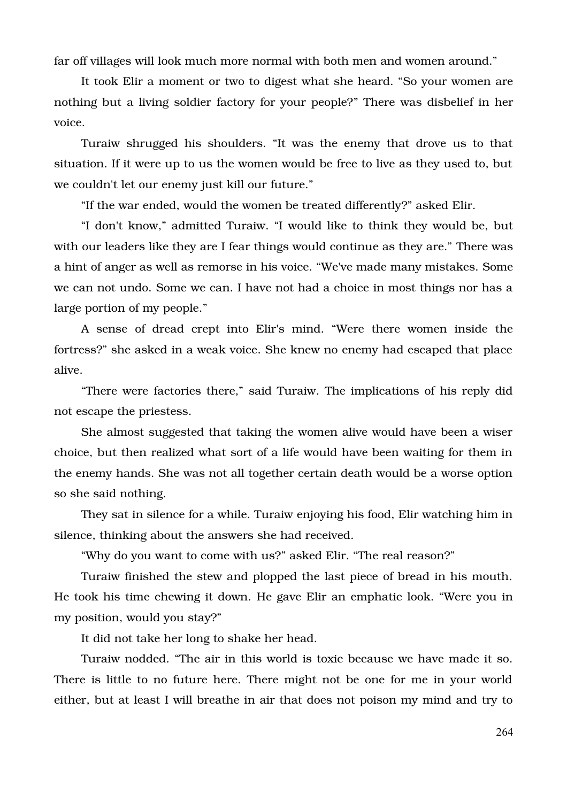far off villages will look much more normal with both men and women around."

It took Elir a moment or two to digest what she heard. "So your women are nothing but a living soldier factory for your people?" There was disbelief in her voice.

Turaiw shrugged his shoulders. "It was the enemy that drove us to that situation. If it were up to us the women would be free to live as they used to, but we couldn't let our enemy just kill our future."

"If the war ended, would the women be treated differently?" asked Elir.

"I don't know," admitted Turaiw. "I would like to think they would be, but with our leaders like they are I fear things would continue as they are." There was a hint of anger as well as remorse in his voice. "We've made many mistakes. Some we can not undo. Some we can. I have not had a choice in most things nor has a large portion of my people."

A sense of dread crept into Elir's mind. "Were there women inside the fortress?" she asked in a weak voice. She knew no enemy had escaped that place alive.

"There were factories there," said Turaiw. The implications of his reply did not escape the priestess.

She almost suggested that taking the women alive would have been a wiser choice, but then realized what sort of a life would have been waiting for them in the enemy hands. She was not all together certain death would be a worse option so she said nothing.

They sat in silence for a while. Turaiw enjoying his food, Elir watching him in silence, thinking about the answers she had received.

"Why do you want to come with us?" asked Elir. "The real reason?"

Turaiw finished the stew and plopped the last piece of bread in his mouth. He took his time chewing it down. He gave Elir an emphatic look. "Were you in my position, would you stay?"

It did not take her long to shake her head.

Turaiw nodded. "The air in this world is toxic because we have made it so. There is little to no future here. There might not be one for me in your world either, but at least I will breathe in air that does not poison my mind and try to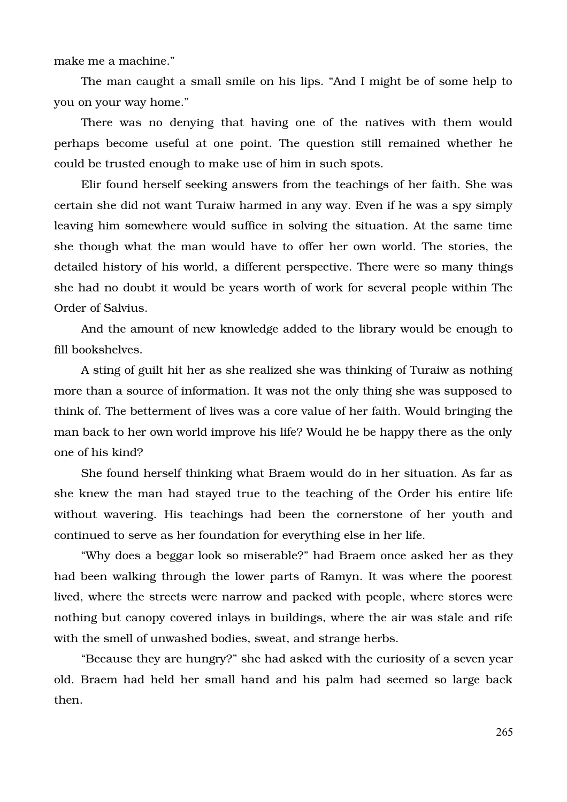make me a machine."

The man caught a small smile on his lips. "And I might be of some help to you on your way home."

There was no denying that having one of the natives with them would perhaps become useful at one point. The question still remained whether he could be trusted enough to make use of him in such spots.

Elir found herself seeking answers from the teachings of her faith. She was certain she did not want Turaiw harmed in any way. Even if he was a spy simply leaving him somewhere would suffice in solving the situation. At the same time she though what the man would have to offer her own world. The stories, the detailed history of his world, a different perspective. There were so many things she had no doubt it would be years worth of work for several people within The Order of Salvius.

And the amount of new knowledge added to the library would be enough to fill bookshelves.

A sting of guilt hit her as she realized she was thinking of Turaiw as nothing more than a source of information. It was not the only thing she was supposed to think of. The betterment of lives was a core value of her faith. Would bringing the man back to her own world improve his life? Would he be happy there as the only one of his kind?

She found herself thinking what Braem would do in her situation. As far as she knew the man had stayed true to the teaching of the Order his entire life without wavering. His teachings had been the cornerstone of her youth and continued to serve as her foundation for everything else in her life.

"Why does a beggar look so miserable?" had Braem once asked her as they had been walking through the lower parts of Ramyn. It was where the poorest lived, where the streets were narrow and packed with people, where stores were nothing but canopy covered inlays in buildings, where the air was stale and rife with the smell of unwashed bodies, sweat, and strange herbs.

"Because they are hungry?" she had asked with the curiosity of a seven year old. Braem had held her small hand and his palm had seemed so large back then.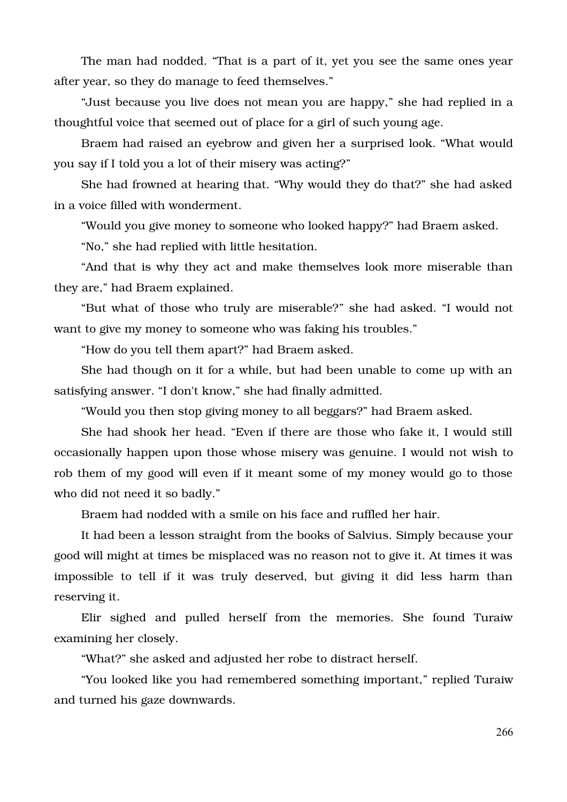The man had nodded. "That is a part of it, yet you see the same ones year after year, so they do manage to feed themselves."

"Just because you live does not mean you are happy," she had replied in a thoughtful voice that seemed out of place for a girl of such young age.

Braem had raised an eyebrow and given her a surprised look. "What would you say if I told you a lot of their misery was acting?"

She had frowned at hearing that. "Why would they do that?" she had asked in a voice filled with wonderment.

"Would you give money to someone who looked happy?" had Braem asked.

"No," she had replied with little hesitation.

"And that is why they act and make themselves look more miserable than they are," had Braem explained.

"But what of those who truly are miserable?" she had asked. "I would not want to give my money to someone who was faking his troubles."

"How do you tell them apart?" had Braem asked.

She had though on it for a while, but had been unable to come up with an satisfying answer. "I don't know," she had finally admitted.

"Would you then stop giving money to all beggars?" had Braem asked.

She had shook her head. "Even if there are those who fake it, I would still occasionally happen upon those whose misery was genuine. I would not wish to rob them of my good will even if it meant some of my money would go to those who did not need it so badly."

Braem had nodded with a smile on his face and ruffled her hair.

It had been a lesson straight from the books of Salvius. Simply because your good will might at times be misplaced was no reason not to give it. At times it was impossible to tell if it was truly deserved, but giving it did less harm than reserving it.

Elir sighed and pulled herself from the memories. She found Turaiw examining her closely.

"What?" she asked and adjusted her robe to distract herself.

"You looked like you had remembered something important," replied Turaiw and turned his gaze downwards.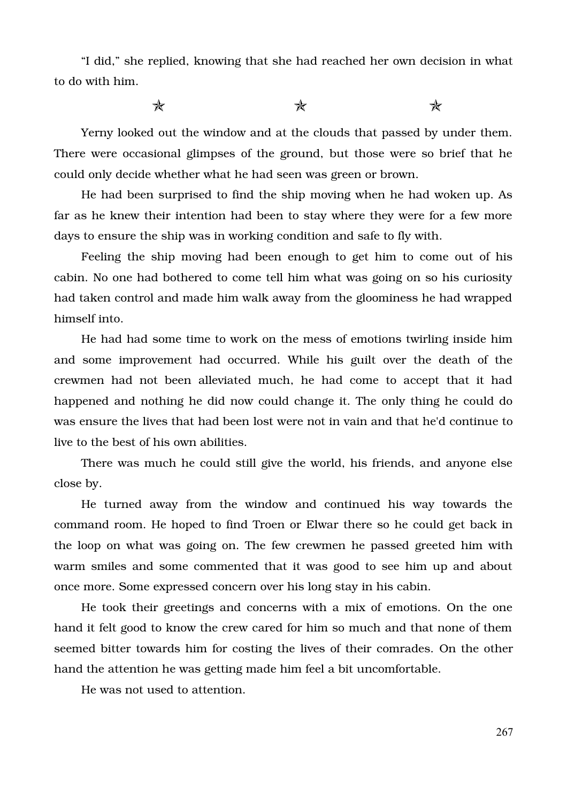"I did," she replied, knowing that she had reached her own decision in what to do with him.

 $\star$  and  $\star$ 

Yerny looked out the window and at the clouds that passed by under them. There were occasional glimpses of the ground, but those were so brief that he could only decide whether what he had seen was green or brown.

He had been surprised to find the ship moving when he had woken up. As far as he knew their intention had been to stay where they were for a few more days to ensure the ship was in working condition and safe to fly with.

Feeling the ship moving had been enough to get him to come out of his cabin. No one had bothered to come tell him what was going on so his curiosity had taken control and made him walk away from the gloominess he had wrapped himself into.

He had had some time to work on the mess of emotions twirling inside him and some improvement had occurred. While his guilt over the death of the crewmen had not been alleviated much, he had come to accept that it had happened and nothing he did now could change it. The only thing he could do was ensure the lives that had been lost were not in vain and that he'd continue to live to the best of his own abilities.

There was much he could still give the world, his friends, and anyone else close by.

He turned away from the window and continued his way towards the command room. He hoped to find Troen or Elwar there so he could get back in the loop on what was going on. The few crewmen he passed greeted him with warm smiles and some commented that it was good to see him up and about once more. Some expressed concern over his long stay in his cabin.

He took their greetings and concerns with a mix of emotions. On the one hand it felt good to know the crew cared for him so much and that none of them seemed bitter towards him for costing the lives of their comrades. On the other hand the attention he was getting made him feel a bit uncomfortable.

He was not used to attention.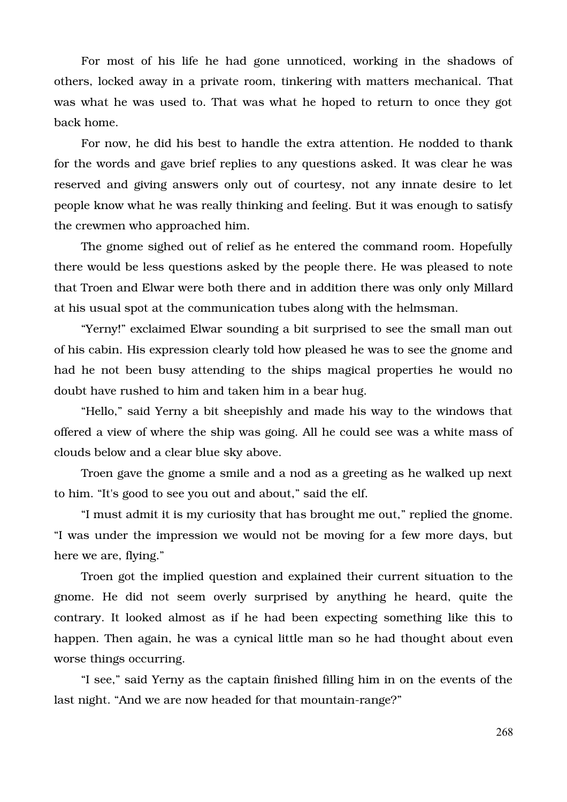For most of his life he had gone unnoticed, working in the shadows of others, locked away in a private room, tinkering with matters mechanical. That was what he was used to. That was what he hoped to return to once they got back home.

For now, he did his best to handle the extra attention. He nodded to thank for the words and gave brief replies to any questions asked. It was clear he was reserved and giving answers only out of courtesy, not any innate desire to let people know what he was really thinking and feeling. But it was enough to satisfy the crewmen who approached him.

The gnome sighed out of relief as he entered the command room. Hopefully there would be less questions asked by the people there. He was pleased to note that Troen and Elwar were both there and in addition there was only only Millard at his usual spot at the communication tubes along with the helmsman.

"Yerny!" exclaimed Elwar sounding a bit surprised to see the small man out of his cabin. His expression clearly told how pleased he was to see the gnome and had he not been busy attending to the ships magical properties he would no doubt have rushed to him and taken him in a bear hug.

"Hello," said Yerny a bit sheepishly and made his way to the windows that offered a view of where the ship was going. All he could see was a white mass of clouds below and a clear blue sky above.

Troen gave the gnome a smile and a nod as a greeting as he walked up next to him. "It's good to see you out and about," said the elf.

"I must admit it is my curiosity that has brought me out," replied the gnome. "I was under the impression we would not be moving for a few more days, but here we are, flying."

Troen got the implied question and explained their current situation to the gnome. He did not seem overly surprised by anything he heard, quite the contrary. It looked almost as if he had been expecting something like this to happen. Then again, he was a cynical little man so he had thought about even worse things occurring.

"I see," said Yerny as the captain finished filling him in on the events of the last night. "And we are now headed for that mountain-range?"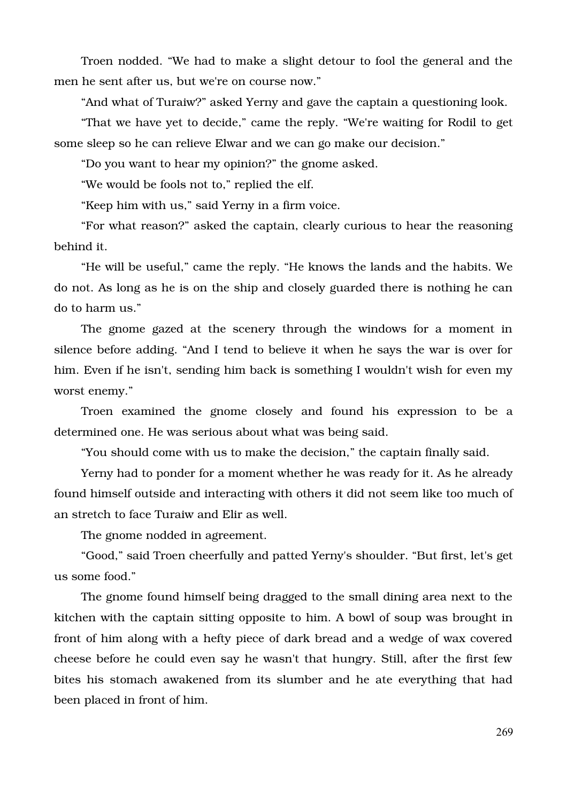Troen nodded. "We had to make a slight detour to fool the general and the men he sent after us, but we're on course now."

"And what of Turaiw?" asked Yerny and gave the captain a questioning look.

"That we have yet to decide," came the reply. "We're waiting for Rodil to get some sleep so he can relieve Elwar and we can go make our decision."

"Do you want to hear my opinion?" the gnome asked.

"We would be fools not to," replied the elf.

"Keep him with us," said Yerny in a firm voice.

"For what reason?" asked the captain, clearly curious to hear the reasoning behind it.

"He will be useful," came the reply. "He knows the lands and the habits. We do not. As long as he is on the ship and closely guarded there is nothing he can do to harm us."

The gnome gazed at the scenery through the windows for a moment in silence before adding. "And I tend to believe it when he says the war is over for him. Even if he isn't, sending him back is something I wouldn't wish for even my worst enemy."

Troen examined the gnome closely and found his expression to be a determined one. He was serious about what was being said.

"You should come with us to make the decision," the captain finally said.

Yerny had to ponder for a moment whether he was ready for it. As he already found himself outside and interacting with others it did not seem like too much of an stretch to face Turaiw and Elir as well.

The gnome nodded in agreement.

"Good," said Troen cheerfully and patted Yerny's shoulder. "But first, let's get us some food."

The gnome found himself being dragged to the small dining area next to the kitchen with the captain sitting opposite to him. A bowl of soup was brought in front of him along with a hefty piece of dark bread and a wedge of wax covered cheese before he could even say he wasn't that hungry. Still, after the first few bites his stomach awakened from its slumber and he ate everything that had been placed in front of him.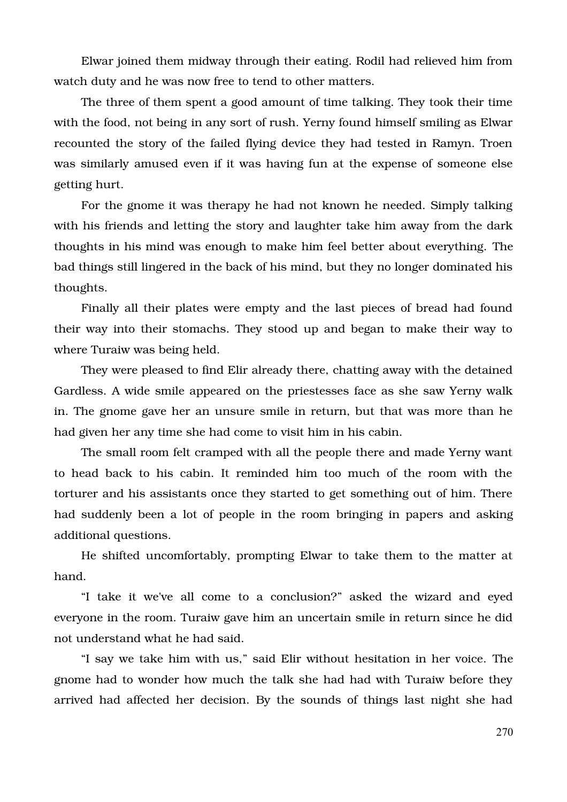Elwar joined them midway through their eating. Rodil had relieved him from watch duty and he was now free to tend to other matters.

The three of them spent a good amount of time talking. They took their time with the food, not being in any sort of rush. Yerny found himself smiling as Elwar recounted the story of the failed flying device they had tested in Ramyn. Troen was similarly amused even if it was having fun at the expense of someone else getting hurt.

For the gnome it was therapy he had not known he needed. Simply talking with his friends and letting the story and laughter take him away from the dark thoughts in his mind was enough to make him feel better about everything. The bad things still lingered in the back of his mind, but they no longer dominated his thoughts.

Finally all their plates were empty and the last pieces of bread had found their way into their stomachs. They stood up and began to make their way to where Turaiw was being held.

They were pleased to find Elir already there, chatting away with the detained Gardless. A wide smile appeared on the priestesses face as she saw Yerny walk in. The gnome gave her an unsure smile in return, but that was more than he had given her any time she had come to visit him in his cabin.

The small room felt cramped with all the people there and made Yerny want to head back to his cabin. It reminded him too much of the room with the torturer and his assistants once they started to get something out of him. There had suddenly been a lot of people in the room bringing in papers and asking additional questions.

He shifted uncomfortably, prompting Elwar to take them to the matter at hand.

"I take it we've all come to a conclusion?" asked the wizard and eyed everyone in the room. Turaiw gave him an uncertain smile in return since he did not understand what he had said.

"I say we take him with us," said Elir without hesitation in her voice. The gnome had to wonder how much the talk she had had with Turaiw before they arrived had affected her decision. By the sounds of things last night she had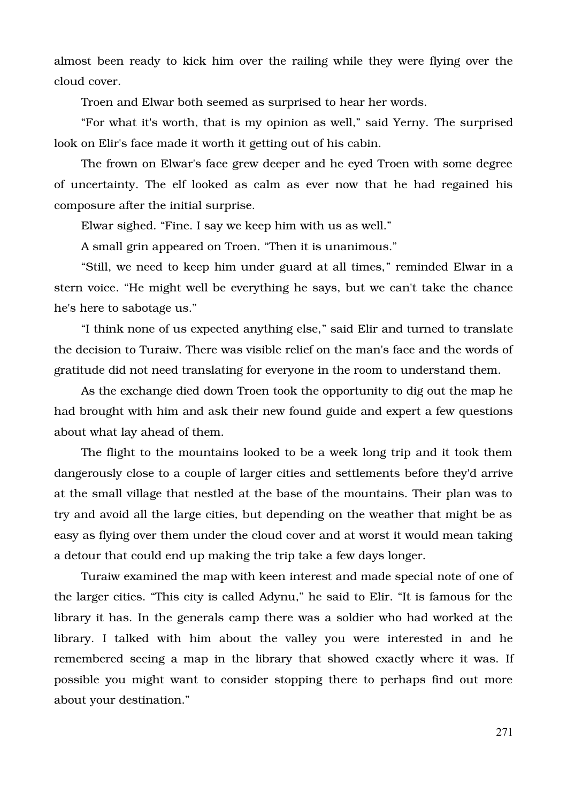almost been ready to kick him over the railing while they were flying over the cloud cover.

Troen and Elwar both seemed as surprised to hear her words.

"For what it's worth, that is my opinion as well," said Yerny. The surprised look on Elir's face made it worth it getting out of his cabin.

The frown on Elwar's face grew deeper and he eyed Troen with some degree of uncertainty. The elf looked as calm as ever now that he had regained his composure after the initial surprise.

Elwar sighed. "Fine. I say we keep him with us as well."

A small grin appeared on Troen. "Then it is unanimous."

"Still, we need to keep him under guard at all times," reminded Elwar in a stern voice. "He might well be everything he says, but we can't take the chance he's here to sabotage us."

"I think none of us expected anything else," said Elir and turned to translate the decision to Turaiw. There was visible relief on the man's face and the words of gratitude did not need translating for everyone in the room to understand them.

As the exchange died down Troen took the opportunity to dig out the map he had brought with him and ask their new found guide and expert a few questions about what lay ahead of them.

The flight to the mountains looked to be a week long trip and it took them dangerously close to a couple of larger cities and settlements before they'd arrive at the small village that nestled at the base of the mountains. Their plan was to try and avoid all the large cities, but depending on the weather that might be as easy as flying over them under the cloud cover and at worst it would mean taking a detour that could end up making the trip take a few days longer.

Turaiw examined the map with keen interest and made special note of one of the larger cities. "This city is called Adynu," he said to Elir. "It is famous for the library it has. In the generals camp there was a soldier who had worked at the library. I talked with him about the valley you were interested in and he remembered seeing a map in the library that showed exactly where it was. If possible you might want to consider stopping there to perhaps find out more about your destination."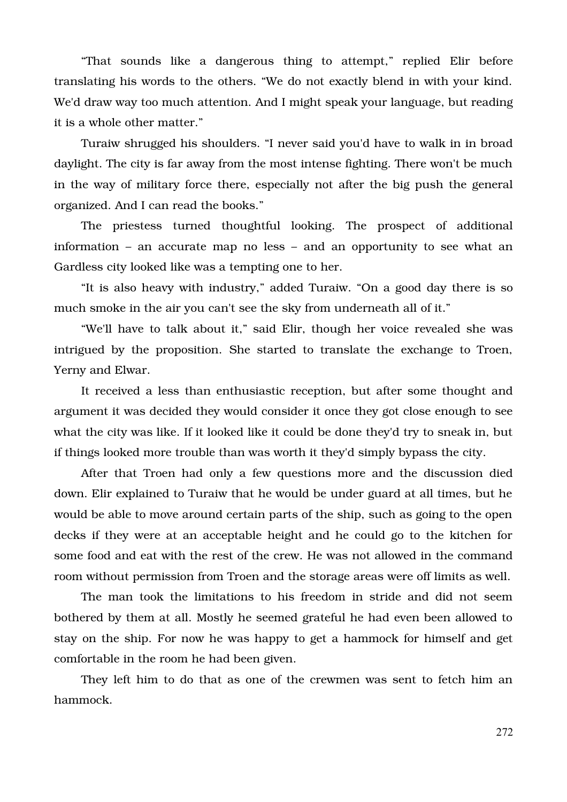"That sounds like a dangerous thing to attempt," replied Elir before translating his words to the others. "We do not exactly blend in with your kind. We'd draw way too much attention. And I might speak your language, but reading it is a whole other matter."

Turaiw shrugged his shoulders. "I never said you'd have to walk in in broad daylight. The city is far away from the most intense fighting. There won't be much in the way of military force there, especially not after the big push the general organized. And I can read the books."

The priestess turned thoughtful looking. The prospect of additional information – an accurate map no less – and an opportunity to see what an Gardless city looked like was a tempting one to her.

"It is also heavy with industry," added Turaiw. "On a good day there is so much smoke in the air you can't see the sky from underneath all of it."

"We'll have to talk about it," said Elir, though her voice revealed she was intrigued by the proposition. She started to translate the exchange to Troen, Yerny and Elwar.

It received a less than enthusiastic reception, but after some thought and argument it was decided they would consider it once they got close enough to see what the city was like. If it looked like it could be done they'd try to sneak in, but if things looked more trouble than was worth it they'd simply bypass the city.

After that Troen had only a few questions more and the discussion died down. Elir explained to Turaiw that he would be under guard at all times, but he would be able to move around certain parts of the ship, such as going to the open decks if they were at an acceptable height and he could go to the kitchen for some food and eat with the rest of the crew. He was not allowed in the command room without permission from Troen and the storage areas were off limits as well.

The man took the limitations to his freedom in stride and did not seem bothered by them at all. Mostly he seemed grateful he had even been allowed to stay on the ship. For now he was happy to get a hammock for himself and get comfortable in the room he had been given.

They left him to do that as one of the crewmen was sent to fetch him an hammock.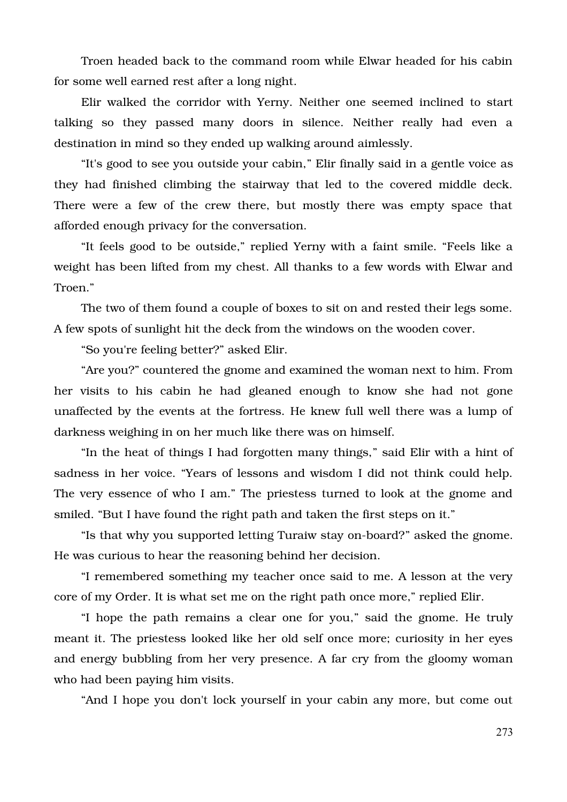Troen headed back to the command room while Elwar headed for his cabin for some well earned rest after a long night.

Elir walked the corridor with Yerny. Neither one seemed inclined to start talking so they passed many doors in silence. Neither really had even a destination in mind so they ended up walking around aimlessly.

"It's good to see you outside your cabin," Elir finally said in a gentle voice as they had finished climbing the stairway that led to the covered middle deck. There were a few of the crew there, but mostly there was empty space that afforded enough privacy for the conversation.

"It feels good to be outside," replied Yerny with a faint smile. "Feels like a weight has been lifted from my chest. All thanks to a few words with Elwar and Troen."

The two of them found a couple of boxes to sit on and rested their legs some. A few spots of sunlight hit the deck from the windows on the wooden cover.

"So you're feeling better?" asked Elir.

"Are you?" countered the gnome and examined the woman next to him. From her visits to his cabin he had gleaned enough to know she had not gone unaffected by the events at the fortress. He knew full well there was a lump of darkness weighing in on her much like there was on himself.

"In the heat of things I had forgotten many things," said Elir with a hint of sadness in her voice. "Years of lessons and wisdom I did not think could help. The very essence of who I am." The priestess turned to look at the gnome and smiled. "But I have found the right path and taken the first steps on it."

"Is that why you supported letting Turaiw stay on-board?" asked the gnome. He was curious to hear the reasoning behind her decision.

"I remembered something my teacher once said to me. A lesson at the very core of my Order. It is what set me on the right path once more," replied Elir.

"I hope the path remains a clear one for you," said the gnome. He truly meant it. The priestess looked like her old self once more; curiosity in her eyes and energy bubbling from her very presence. A far cry from the gloomy woman who had been paying him visits.

"And I hope you don't lock yourself in your cabin any more, but come out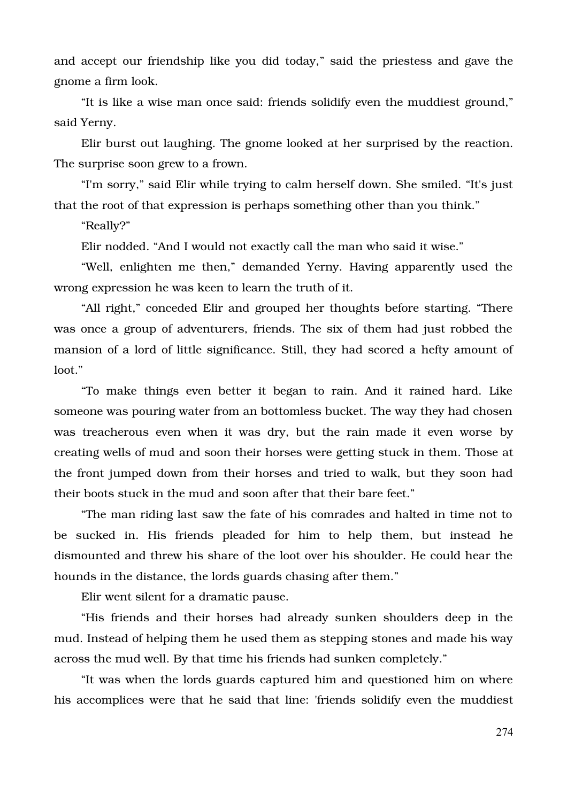and accept our friendship like you did today," said the priestess and gave the gnome a firm look.

"It is like a wise man once said: friends solidify even the muddiest ground," said Yerny.

Elir burst out laughing. The gnome looked at her surprised by the reaction. The surprise soon grew to a frown.

"I'm sorry," said Elir while trying to calm herself down. She smiled. "It's just that the root of that expression is perhaps something other than you think."

"Really?"

Elir nodded. "And I would not exactly call the man who said it wise."

"Well, enlighten me then," demanded Yerny. Having apparently used the wrong expression he was keen to learn the truth of it.

"All right," conceded Elir and grouped her thoughts before starting. "There was once a group of adventurers, friends. The six of them had just robbed the mansion of a lord of little significance. Still, they had scored a hefty amount of loot."

"To make things even better it began to rain. And it rained hard. Like someone was pouring water from an bottomless bucket. The way they had chosen was treacherous even when it was dry, but the rain made it even worse by creating wells of mud and soon their horses were getting stuck in them. Those at the front jumped down from their horses and tried to walk, but they soon had their boots stuck in the mud and soon after that their bare feet."

"The man riding last saw the fate of his comrades and halted in time not to be sucked in. His friends pleaded for him to help them, but instead he dismounted and threw his share of the loot over his shoulder. He could hear the hounds in the distance, the lords guards chasing after them."

Elir went silent for a dramatic pause.

"His friends and their horses had already sunken shoulders deep in the mud. Instead of helping them he used them as stepping stones and made his way across the mud well. By that time his friends had sunken completely."

"It was when the lords guards captured him and questioned him on where his accomplices were that he said that line: 'friends solidify even the muddiest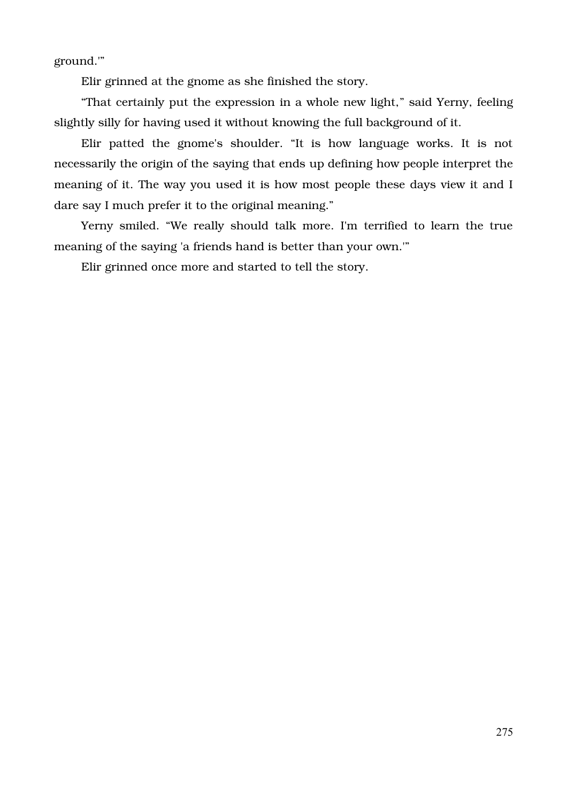ground.'"

Elir grinned at the gnome as she finished the story.

"That certainly put the expression in a whole new light," said Yerny, feeling slightly silly for having used it without knowing the full background of it.

Elir patted the gnome's shoulder. "It is how language works. It is not necessarily the origin of the saying that ends up defining how people interpret the meaning of it. The way you used it is how most people these days view it and I dare say I much prefer it to the original meaning."

Yerny smiled. "We really should talk more. I'm terrified to learn the true meaning of the saying 'a friends hand is better than your own.'"

Elir grinned once more and started to tell the story.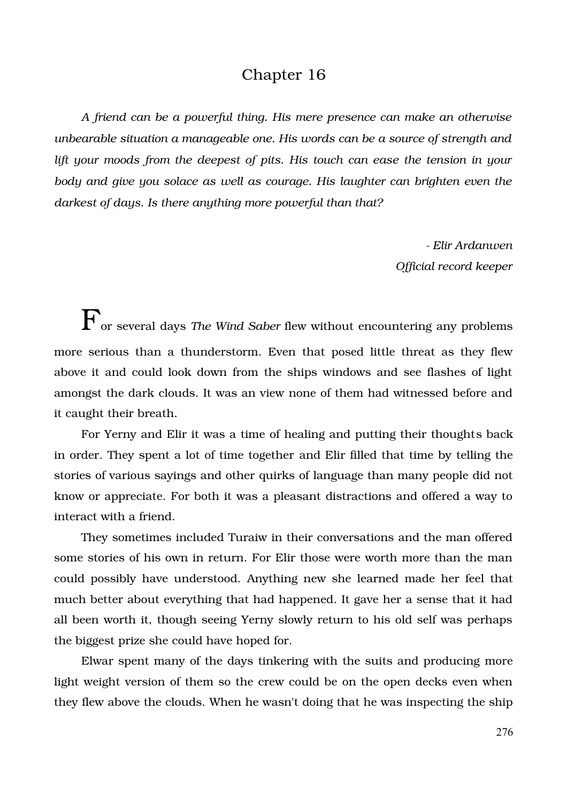## Chapter 16

*A friend can be a powerful thing. His mere presence can make an otherwise unbearable situation a manageable one. His words can be a source of strength and lift your moods from the deepest of pits. His touch can ease the tension in your body and give you solace as well as courage. His laughter can brighten even the darkest of days. Is there anything more powerful than that?*

> *Elir Ardanwen Official record keeper*

For several days *The Wind Saber* flew without encountering any problems more serious than a thunderstorm. Even that posed little threat as they flew above it and could look down from the ships windows and see flashes of light amongst the dark clouds. It was an view none of them had witnessed before and it caught their breath.

For Yerny and Elir it was a time of healing and putting their thoughts back in order. They spent a lot of time together and Elir filled that time by telling the stories of various sayings and other quirks of language than many people did not know or appreciate. For both it was a pleasant distractions and offered a way to interact with a friend.

They sometimes included Turaiw in their conversations and the man offered some stories of his own in return. For Elir those were worth more than the man could possibly have understood. Anything new she learned made her feel that much better about everything that had happened. It gave her a sense that it had all been worth it, though seeing Yerny slowly return to his old self was perhaps the biggest prize she could have hoped for.

Elwar spent many of the days tinkering with the suits and producing more light weight version of them so the crew could be on the open decks even when they flew above the clouds. When he wasn't doing that he was inspecting the ship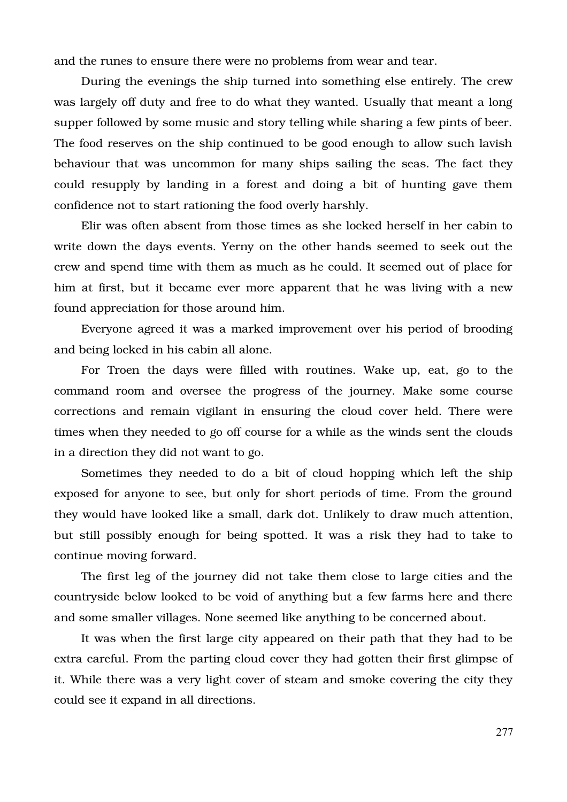and the runes to ensure there were no problems from wear and tear.

During the evenings the ship turned into something else entirely. The crew was largely off duty and free to do what they wanted. Usually that meant a long supper followed by some music and story telling while sharing a few pints of beer. The food reserves on the ship continued to be good enough to allow such lavish behaviour that was uncommon for many ships sailing the seas. The fact they could resupply by landing in a forest and doing a bit of hunting gave them confidence not to start rationing the food overly harshly.

Elir was often absent from those times as she locked herself in her cabin to write down the days events. Yerny on the other hands seemed to seek out the crew and spend time with them as much as he could. It seemed out of place for him at first, but it became ever more apparent that he was living with a new found appreciation for those around him.

Everyone agreed it was a marked improvement over his period of brooding and being locked in his cabin all alone.

For Troen the days were filled with routines. Wake up, eat, go to the command room and oversee the progress of the journey. Make some course corrections and remain vigilant in ensuring the cloud cover held. There were times when they needed to go off course for a while as the winds sent the clouds in a direction they did not want to go.

Sometimes they needed to do a bit of cloud hopping which left the ship exposed for anyone to see, but only for short periods of time. From the ground they would have looked like a small, dark dot. Unlikely to draw much attention, but still possibly enough for being spotted. It was a risk they had to take to continue moving forward.

The first leg of the journey did not take them close to large cities and the countryside below looked to be void of anything but a few farms here and there and some smaller villages. None seemed like anything to be concerned about.

It was when the first large city appeared on their path that they had to be extra careful. From the parting cloud cover they had gotten their first glimpse of it. While there was a very light cover of steam and smoke covering the city they could see it expand in all directions.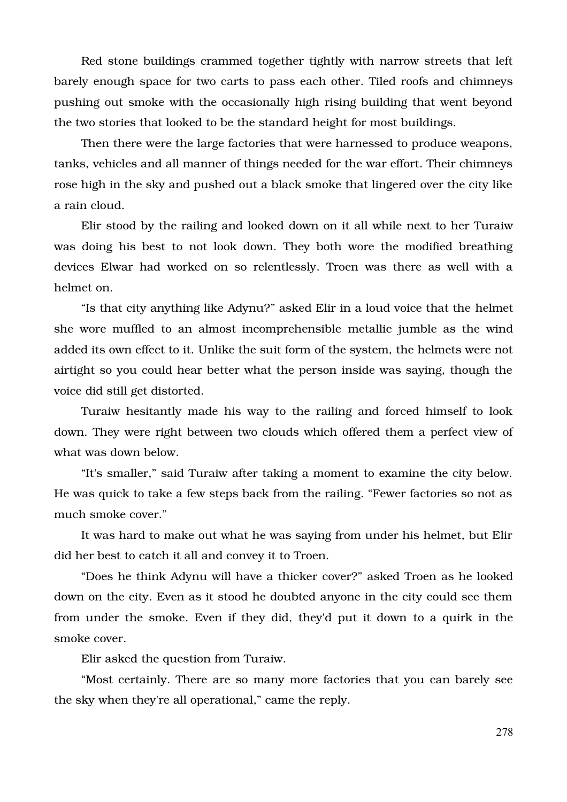Red stone buildings crammed together tightly with narrow streets that left barely enough space for two carts to pass each other. Tiled roofs and chimneys pushing out smoke with the occasionally high rising building that went beyond the two stories that looked to be the standard height for most buildings.

Then there were the large factories that were harnessed to produce weapons, tanks, vehicles and all manner of things needed for the war effort. Their chimneys rose high in the sky and pushed out a black smoke that lingered over the city like a rain cloud.

Elir stood by the railing and looked down on it all while next to her Turaiw was doing his best to not look down. They both wore the modified breathing devices Elwar had worked on so relentlessly. Troen was there as well with a helmet on.

"Is that city anything like Adynu?" asked Elir in a loud voice that the helmet she wore muffled to an almost incomprehensible metallic jumble as the wind added its own effect to it. Unlike the suit form of the system, the helmets were not airtight so you could hear better what the person inside was saying, though the voice did still get distorted.

Turaiw hesitantly made his way to the railing and forced himself to look down. They were right between two clouds which offered them a perfect view of what was down below.

"It's smaller," said Turaiw after taking a moment to examine the city below. He was quick to take a few steps back from the railing. "Fewer factories so not as much smoke cover."

It was hard to make out what he was saying from under his helmet, but Elir did her best to catch it all and convey it to Troen.

"Does he think Adynu will have a thicker cover?" asked Troen as he looked down on the city. Even as it stood he doubted anyone in the city could see them from under the smoke. Even if they did, they'd put it down to a quirk in the smoke cover.

Elir asked the question from Turaiw.

"Most certainly. There are so many more factories that you can barely see the sky when they're all operational," came the reply.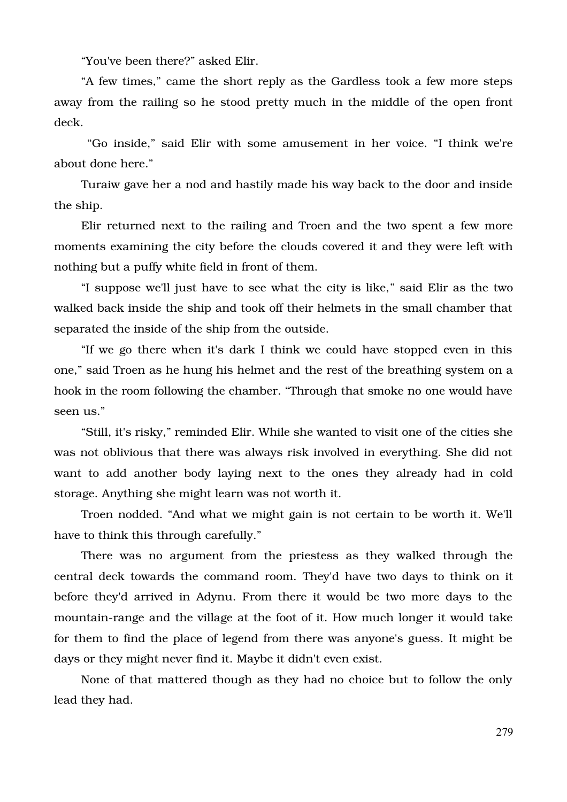"You've been there?" asked Elir.

"A few times," came the short reply as the Gardless took a few more steps away from the railing so he stood pretty much in the middle of the open front deck.

 "Go inside," said Elir with some amusement in her voice. "I think we're about done here."

Turaiw gave her a nod and hastily made his way back to the door and inside the ship.

Elir returned next to the railing and Troen and the two spent a few more moments examining the city before the clouds covered it and they were left with nothing but a puffy white field in front of them.

"I suppose we'll just have to see what the city is like," said Elir as the two walked back inside the ship and took off their helmets in the small chamber that separated the inside of the ship from the outside.

"If we go there when it's dark I think we could have stopped even in this one," said Troen as he hung his helmet and the rest of the breathing system on a hook in the room following the chamber. "Through that smoke no one would have seen us."

"Still, it's risky," reminded Elir. While she wanted to visit one of the cities she was not oblivious that there was always risk involved in everything. She did not want to add another body laying next to the ones they already had in cold storage. Anything she might learn was not worth it.

Troen nodded. "And what we might gain is not certain to be worth it. We'll have to think this through carefully."

There was no argument from the priestess as they walked through the central deck towards the command room. They'd have two days to think on it before they'd arrived in Adynu. From there it would be two more days to the mountain-range and the village at the foot of it. How much longer it would take for them to find the place of legend from there was anyone's guess. It might be days or they might never find it. Maybe it didn't even exist.

None of that mattered though as they had no choice but to follow the only lead they had.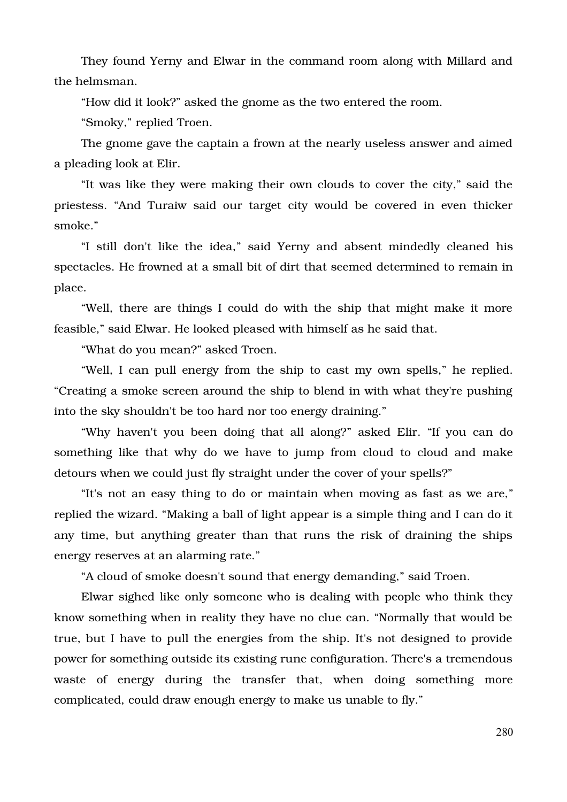They found Yerny and Elwar in the command room along with Millard and the helmsman.

"How did it look?" asked the gnome as the two entered the room.

"Smoky," replied Troen.

The gnome gave the captain a frown at the nearly useless answer and aimed a pleading look at Elir.

"It was like they were making their own clouds to cover the city," said the priestess. "And Turaiw said our target city would be covered in even thicker smoke."

"I still don't like the idea," said Yerny and absent mindedly cleaned his spectacles. He frowned at a small bit of dirt that seemed determined to remain in place.

"Well, there are things I could do with the ship that might make it more feasible," said Elwar. He looked pleased with himself as he said that.

"What do you mean?" asked Troen.

"Well, I can pull energy from the ship to cast my own spells," he replied. "Creating a smoke screen around the ship to blend in with what they're pushing into the sky shouldn't be too hard nor too energy draining."

"Why haven't you been doing that all along?" asked Elir. "If you can do something like that why do we have to jump from cloud to cloud and make detours when we could just fly straight under the cover of your spells?"

"It's not an easy thing to do or maintain when moving as fast as we are," replied the wizard. "Making a ball of light appear is a simple thing and I can do it any time, but anything greater than that runs the risk of draining the ships energy reserves at an alarming rate."

"A cloud of smoke doesn't sound that energy demanding," said Troen.

Elwar sighed like only someone who is dealing with people who think they know something when in reality they have no clue can. "Normally that would be true, but I have to pull the energies from the ship. It's not designed to provide power for something outside its existing rune configuration. There's a tremendous waste of energy during the transfer that, when doing something more complicated, could draw enough energy to make us unable to fly."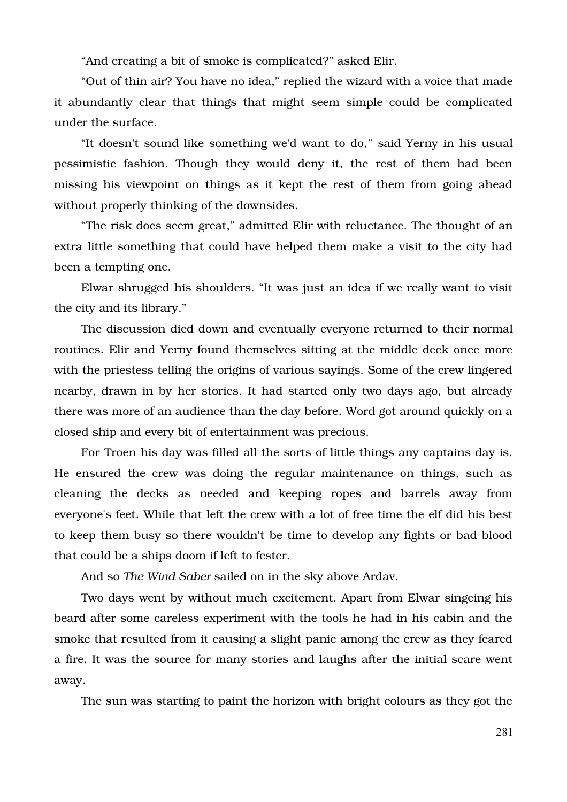"And creating a bit of smoke is complicated?" asked Elir.

"Out of thin air? You have no idea," replied the wizard with a voice that made it abundantly clear that things that might seem simple could be complicated under the surface.

"It doesn't sound like something we'd want to do," said Yerny in his usual pessimistic fashion. Though they would deny it, the rest of them had been missing his viewpoint on things as it kept the rest of them from going ahead without properly thinking of the downsides.

"The risk does seem great," admitted Elir with reluctance. The thought of an extra little something that could have helped them make a visit to the city had been a tempting one.

Elwar shrugged his shoulders. "It was just an idea if we really want to visit the city and its library."

The discussion died down and eventually everyone returned to their normal routines. Elir and Yerny found themselves sitting at the middle deck once more with the priestess telling the origins of various sayings. Some of the crew lingered nearby, drawn in by her stories. It had started only two days ago, but already there was more of an audience than the day before. Word got around quickly on a closed ship and every bit of entertainment was precious.

For Troen his day was filled all the sorts of little things any captains day is. He ensured the crew was doing the regular maintenance on things, such as cleaning the decks as needed and keeping ropes and barrels away from everyone's feet. While that left the crew with a lot of free time the elf did his best to keep them busy so there wouldn't be time to develop any fights or bad blood that could be a ships doom if left to fester.

And so *The Wind Saber* sailed on in the sky above Ardav.

Two days went by without much excitement. Apart from Elwar singeing his beard after some careless experiment with the tools he had in his cabin and the smoke that resulted from it causing a slight panic among the crew as they feared a fire. It was the source for many stories and laughs after the initial scare went away.

The sun was starting to paint the horizon with bright colours as they got the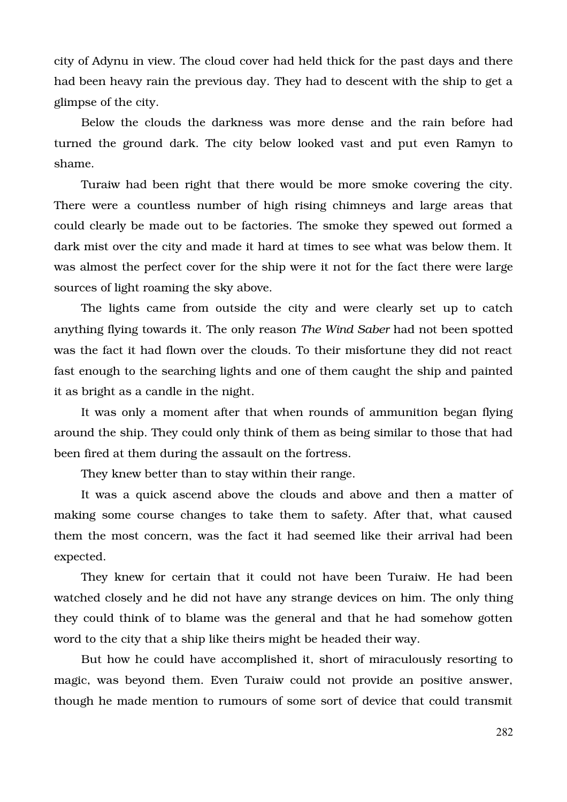city of Adynu in view. The cloud cover had held thick for the past days and there had been heavy rain the previous day. They had to descent with the ship to get a glimpse of the city.

Below the clouds the darkness was more dense and the rain before had turned the ground dark. The city below looked vast and put even Ramyn to shame.

Turaiw had been right that there would be more smoke covering the city. There were a countless number of high rising chimneys and large areas that could clearly be made out to be factories. The smoke they spewed out formed a dark mist over the city and made it hard at times to see what was below them. It was almost the perfect cover for the ship were it not for the fact there were large sources of light roaming the sky above.

The lights came from outside the city and were clearly set up to catch anything flying towards it. The only reason *The Wind Saber* had not been spotted was the fact it had flown over the clouds. To their misfortune they did not react fast enough to the searching lights and one of them caught the ship and painted it as bright as a candle in the night.

It was only a moment after that when rounds of ammunition began flying around the ship. They could only think of them as being similar to those that had been fired at them during the assault on the fortress.

They knew better than to stay within their range.

It was a quick ascend above the clouds and above and then a matter of making some course changes to take them to safety. After that, what caused them the most concern, was the fact it had seemed like their arrival had been expected.

They knew for certain that it could not have been Turaiw. He had been watched closely and he did not have any strange devices on him. The only thing they could think of to blame was the general and that he had somehow gotten word to the city that a ship like theirs might be headed their way.

But how he could have accomplished it, short of miraculously resorting to magic, was beyond them. Even Turaiw could not provide an positive answer, though he made mention to rumours of some sort of device that could transmit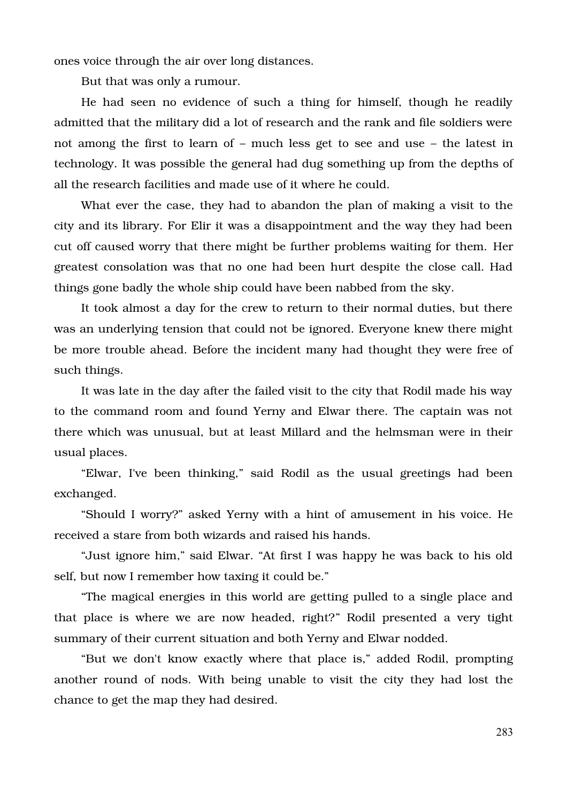ones voice through the air over long distances.

But that was only a rumour.

He had seen no evidence of such a thing for himself, though he readily admitted that the military did a lot of research and the rank and file soldiers were not among the first to learn of – much less get to see and use – the latest in technology. It was possible the general had dug something up from the depths of all the research facilities and made use of it where he could.

What ever the case, they had to abandon the plan of making a visit to the city and its library. For Elir it was a disappointment and the way they had been cut off caused worry that there might be further problems waiting for them. Her greatest consolation was that no one had been hurt despite the close call. Had things gone badly the whole ship could have been nabbed from the sky.

It took almost a day for the crew to return to their normal duties, but there was an underlying tension that could not be ignored. Everyone knew there might be more trouble ahead. Before the incident many had thought they were free of such things.

It was late in the day after the failed visit to the city that Rodil made his way to the command room and found Yerny and Elwar there. The captain was not there which was unusual, but at least Millard and the helmsman were in their usual places.

"Elwar, I've been thinking," said Rodil as the usual greetings had been exchanged.

"Should I worry?" asked Yerny with a hint of amusement in his voice. He received a stare from both wizards and raised his hands.

"Just ignore him," said Elwar. "At first I was happy he was back to his old self, but now I remember how taxing it could be."

"The magical energies in this world are getting pulled to a single place and that place is where we are now headed, right?" Rodil presented a very tight summary of their current situation and both Yerny and Elwar nodded.

"But we don't know exactly where that place is," added Rodil, prompting another round of nods. With being unable to visit the city they had lost the chance to get the map they had desired.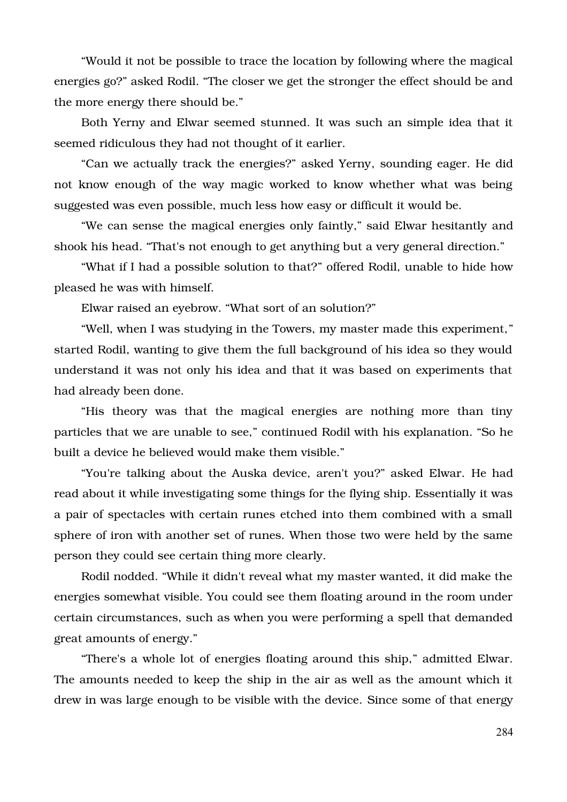"Would it not be possible to trace the location by following where the magical energies go?" asked Rodil. "The closer we get the stronger the effect should be and the more energy there should be."

Both Yerny and Elwar seemed stunned. It was such an simple idea that it seemed ridiculous they had not thought of it earlier.

"Can we actually track the energies?" asked Yerny, sounding eager. He did not know enough of the way magic worked to know whether what was being suggested was even possible, much less how easy or difficult it would be.

"We can sense the magical energies only faintly," said Elwar hesitantly and shook his head. "That's not enough to get anything but a very general direction."

"What if I had a possible solution to that?" offered Rodil, unable to hide how pleased he was with himself.

Elwar raised an eyebrow. "What sort of an solution?"

"Well, when I was studying in the Towers, my master made this experiment," started Rodil, wanting to give them the full background of his idea so they would understand it was not only his idea and that it was based on experiments that had already been done.

"His theory was that the magical energies are nothing more than tiny particles that we are unable to see," continued Rodil with his explanation. "So he built a device he believed would make them visible."

"You're talking about the Auska device, aren't you?" asked Elwar. He had read about it while investigating some things for the flying ship. Essentially it was a pair of spectacles with certain runes etched into them combined with a small sphere of iron with another set of runes. When those two were held by the same person they could see certain thing more clearly.

Rodil nodded. "While it didn't reveal what my master wanted, it did make the energies somewhat visible. You could see them floating around in the room under certain circumstances, such as when you were performing a spell that demanded great amounts of energy."

"There's a whole lot of energies floating around this ship," admitted Elwar. The amounts needed to keep the ship in the air as well as the amount which it drew in was large enough to be visible with the device. Since some of that energy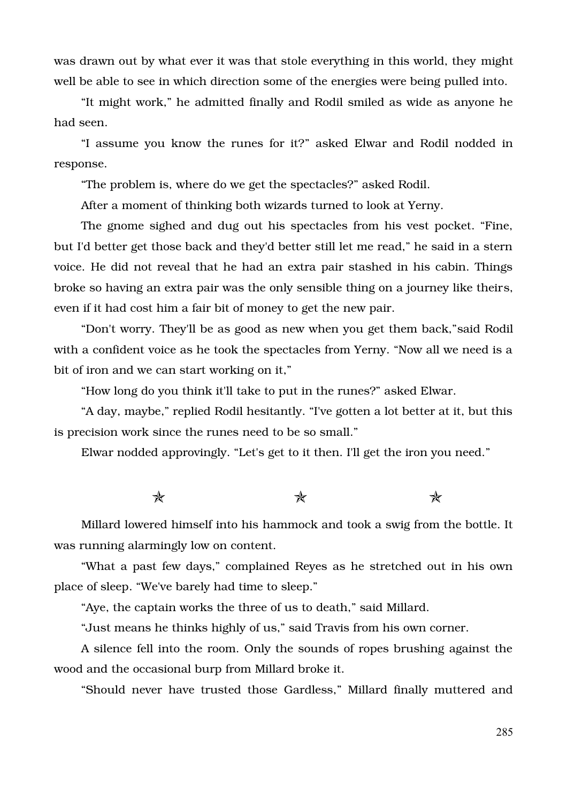was drawn out by what ever it was that stole everything in this world, they might well be able to see in which direction some of the energies were being pulled into.

"It might work," he admitted finally and Rodil smiled as wide as anyone he had seen.

"I assume you know the runes for it?" asked Elwar and Rodil nodded in response.

"The problem is, where do we get the spectacles?" asked Rodil.

After a moment of thinking both wizards turned to look at Yerny.

The gnome sighed and dug out his spectacles from his vest pocket. "Fine, but I'd better get those back and they'd better still let me read," he said in a stern voice. He did not reveal that he had an extra pair stashed in his cabin. Things broke so having an extra pair was the only sensible thing on a journey like theirs, even if it had cost him a fair bit of money to get the new pair.

"Don't worry. They'll be as good as new when you get them back,"said Rodil with a confident voice as he took the spectacles from Yerny. "Now all we need is a bit of iron and we can start working on it,"

"How long do you think it'll take to put in the runes?" asked Elwar.

"A day, maybe," replied Rodil hesitantly. "I've gotten a lot better at it, but this is precision work since the runes need to be so small."

Elwar nodded approvingly. "Let's get to it then. I'll get the iron you need."

 $\star$  and  $\star$ 

Millard lowered himself into his hammock and took a swig from the bottle. It was running alarmingly low on content.

"What a past few days," complained Reyes as he stretched out in his own place of sleep. "We've barely had time to sleep."

"Aye, the captain works the three of us to death," said Millard.

"Just means he thinks highly of us," said Travis from his own corner.

A silence fell into the room. Only the sounds of ropes brushing against the wood and the occasional burp from Millard broke it.

"Should never have trusted those Gardless," Millard finally muttered and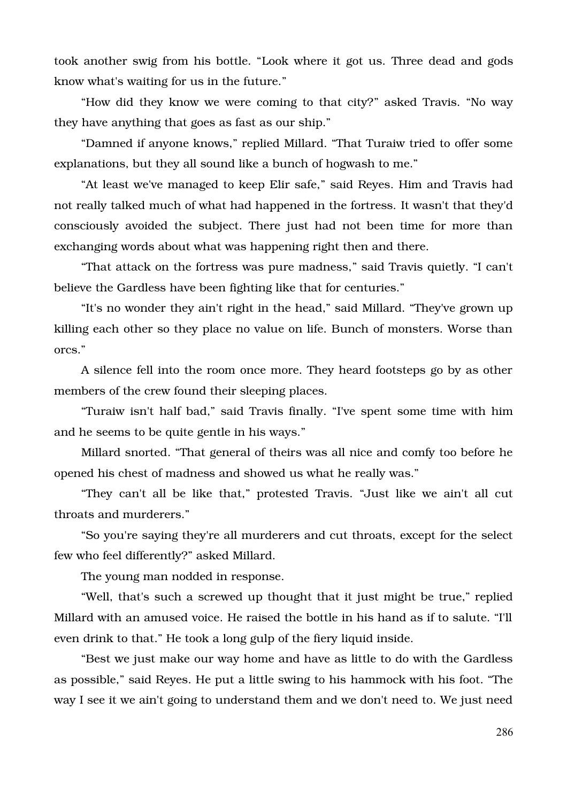took another swig from his bottle. "Look where it got us. Three dead and gods know what's waiting for us in the future."

"How did they know we were coming to that city?" asked Travis. "No way they have anything that goes as fast as our ship."

"Damned if anyone knows," replied Millard. "That Turaiw tried to offer some explanations, but they all sound like a bunch of hogwash to me."

"At least we've managed to keep Elir safe," said Reyes. Him and Travis had not really talked much of what had happened in the fortress. It wasn't that they'd consciously avoided the subject. There just had not been time for more than exchanging words about what was happening right then and there.

"That attack on the fortress was pure madness," said Travis quietly. "I can't believe the Gardless have been fighting like that for centuries."

"It's no wonder they ain't right in the head," said Millard. "They've grown up killing each other so they place no value on life. Bunch of monsters. Worse than orcs."

A silence fell into the room once more. They heard footsteps go by as other members of the crew found their sleeping places.

"Turaiw isn't half bad," said Travis finally. "I've spent some time with him and he seems to be quite gentle in his ways."

Millard snorted. "That general of theirs was all nice and comfy too before he opened his chest of madness and showed us what he really was."

"They can't all be like that," protested Travis. "Just like we ain't all cut throats and murderers."

"So you're saying they're all murderers and cut throats, except for the select few who feel differently?" asked Millard.

The young man nodded in response.

"Well, that's such a screwed up thought that it just might be true," replied Millard with an amused voice. He raised the bottle in his hand as if to salute. "I'll even drink to that." He took a long gulp of the fiery liquid inside.

"Best we just make our way home and have as little to do with the Gardless as possible," said Reyes. He put a little swing to his hammock with his foot. "The way I see it we ain't going to understand them and we don't need to. We just need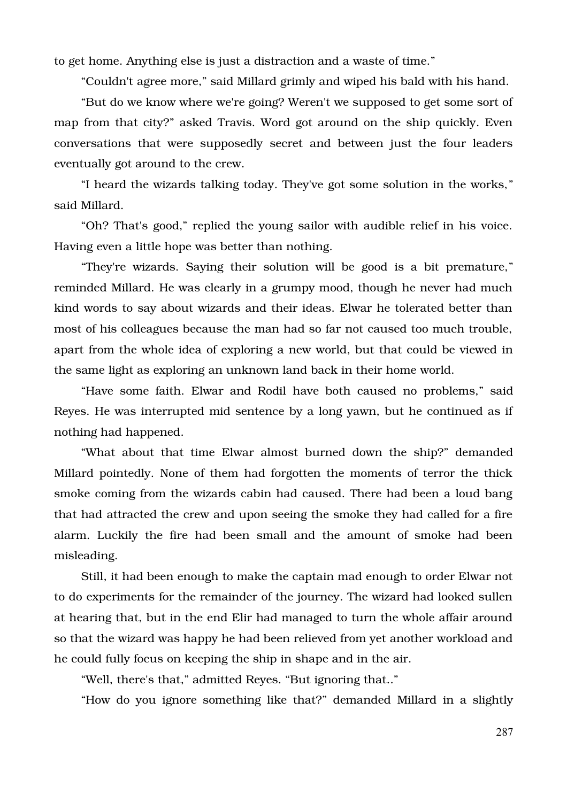to get home. Anything else is just a distraction and a waste of time."

"Couldn't agree more," said Millard grimly and wiped his bald with his hand.

"But do we know where we're going? Weren't we supposed to get some sort of map from that city?" asked Travis. Word got around on the ship quickly. Even conversations that were supposedly secret and between just the four leaders eventually got around to the crew.

"I heard the wizards talking today. They've got some solution in the works," said Millard.

"Oh? That's good," replied the young sailor with audible relief in his voice. Having even a little hope was better than nothing.

"They're wizards. Saying their solution will be good is a bit premature," reminded Millard. He was clearly in a grumpy mood, though he never had much kind words to say about wizards and their ideas. Elwar he tolerated better than most of his colleagues because the man had so far not caused too much trouble, apart from the whole idea of exploring a new world, but that could be viewed in the same light as exploring an unknown land back in their home world.

"Have some faith. Elwar and Rodil have both caused no problems," said Reyes. He was interrupted mid sentence by a long yawn, but he continued as if nothing had happened.

"What about that time Elwar almost burned down the ship?" demanded Millard pointedly. None of them had forgotten the moments of terror the thick smoke coming from the wizards cabin had caused. There had been a loud bang that had attracted the crew and upon seeing the smoke they had called for a fire alarm. Luckily the fire had been small and the amount of smoke had been misleading.

Still, it had been enough to make the captain mad enough to order Elwar not to do experiments for the remainder of the journey. The wizard had looked sullen at hearing that, but in the end Elir had managed to turn the whole affair around so that the wizard was happy he had been relieved from yet another workload and he could fully focus on keeping the ship in shape and in the air.

"Well, there's that," admitted Reyes. "But ignoring that.."

"How do you ignore something like that?" demanded Millard in a slightly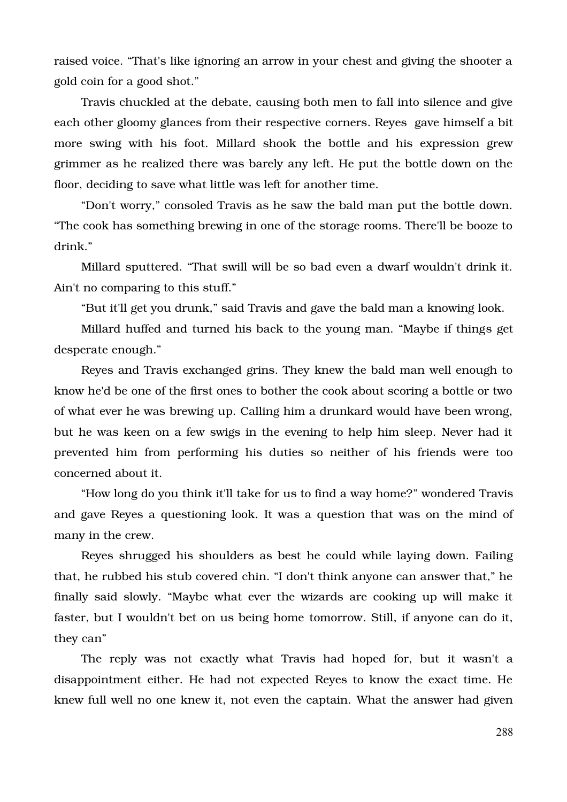raised voice. "That's like ignoring an arrow in your chest and giving the shooter a gold coin for a good shot."

Travis chuckled at the debate, causing both men to fall into silence and give each other gloomy glances from their respective corners. Reyes gave himself a bit more swing with his foot. Millard shook the bottle and his expression grew grimmer as he realized there was barely any left. He put the bottle down on the floor, deciding to save what little was left for another time.

"Don't worry," consoled Travis as he saw the bald man put the bottle down. "The cook has something brewing in one of the storage rooms. There'll be booze to drink."

Millard sputtered. "That swill will be so bad even a dwarf wouldn't drink it. Ain't no comparing to this stuff."

"But it'll get you drunk," said Travis and gave the bald man a knowing look.

Millard huffed and turned his back to the young man. "Maybe if things get desperate enough."

Reyes and Travis exchanged grins. They knew the bald man well enough to know he'd be one of the first ones to bother the cook about scoring a bottle or two of what ever he was brewing up. Calling him a drunkard would have been wrong, but he was keen on a few swigs in the evening to help him sleep. Never had it prevented him from performing his duties so neither of his friends were too concerned about it.

"How long do you think it'll take for us to find a way home?" wondered Travis and gave Reyes a questioning look. It was a question that was on the mind of many in the crew.

Reyes shrugged his shoulders as best he could while laying down. Failing that, he rubbed his stub covered chin. "I don't think anyone can answer that," he finally said slowly. "Maybe what ever the wizards are cooking up will make it faster, but I wouldn't bet on us being home tomorrow. Still, if anyone can do it, they can"

The reply was not exactly what Travis had hoped for, but it wasn't a disappointment either. He had not expected Reyes to know the exact time. He knew full well no one knew it, not even the captain. What the answer had given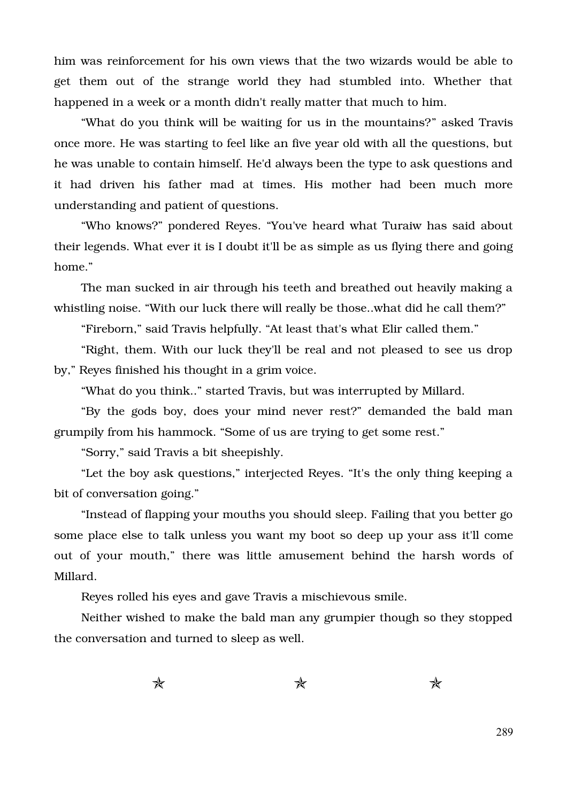him was reinforcement for his own views that the two wizards would be able to get them out of the strange world they had stumbled into. Whether that happened in a week or a month didn't really matter that much to him.

"What do you think will be waiting for us in the mountains?" asked Travis once more. He was starting to feel like an five year old with all the questions, but he was unable to contain himself. He'd always been the type to ask questions and it had driven his father mad at times. His mother had been much more understanding and patient of questions.

"Who knows?" pondered Reyes. "You've heard what Turaiw has said about their legends. What ever it is I doubt it'll be as simple as us flying there and going home."

The man sucked in air through his teeth and breathed out heavily making a whistling noise. "With our luck there will really be those..what did he call them?"

"Fireborn," said Travis helpfully. "At least that's what Elir called them."

"Right, them. With our luck they'll be real and not pleased to see us drop by," Reyes finished his thought in a grim voice.

"What do you think.." started Travis, but was interrupted by Millard.

"By the gods boy, does your mind never rest?" demanded the bald man grumpily from his hammock. "Some of us are trying to get some rest."

"Sorry," said Travis a bit sheepishly.

"Let the boy ask questions," interjected Reyes. "It's the only thing keeping a bit of conversation going."

"Instead of flapping your mouths you should sleep. Failing that you better go some place else to talk unless you want my boot so deep up your ass it'll come out of your mouth," there was little amusement behind the harsh words of Millard.

Reyes rolled his eyes and gave Travis a mischievous smile.

Neither wished to make the bald man any grumpier though so they stopped the conversation and turned to sleep as well.

 $\star$  and  $\star$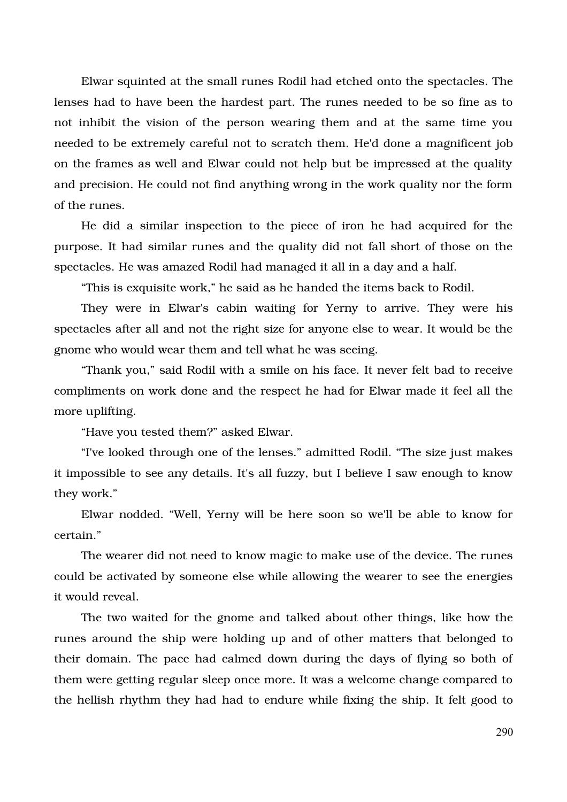Elwar squinted at the small runes Rodil had etched onto the spectacles. The lenses had to have been the hardest part. The runes needed to be so fine as to not inhibit the vision of the person wearing them and at the same time you needed to be extremely careful not to scratch them. He'd done a magnificent job on the frames as well and Elwar could not help but be impressed at the quality and precision. He could not find anything wrong in the work quality nor the form of the runes.

He did a similar inspection to the piece of iron he had acquired for the purpose. It had similar runes and the quality did not fall short of those on the spectacles. He was amazed Rodil had managed it all in a day and a half.

"This is exquisite work," he said as he handed the items back to Rodil.

They were in Elwar's cabin waiting for Yerny to arrive. They were his spectacles after all and not the right size for anyone else to wear. It would be the gnome who would wear them and tell what he was seeing.

"Thank you," said Rodil with a smile on his face. It never felt bad to receive compliments on work done and the respect he had for Elwar made it feel all the more uplifting.

"Have you tested them?" asked Elwar.

"I've looked through one of the lenses." admitted Rodil. "The size just makes it impossible to see any details. It's all fuzzy, but I believe I saw enough to know they work."

Elwar nodded. "Well, Yerny will be here soon so we'll be able to know for certain."

The wearer did not need to know magic to make use of the device. The runes could be activated by someone else while allowing the wearer to see the energies it would reveal.

The two waited for the gnome and talked about other things, like how the runes around the ship were holding up and of other matters that belonged to their domain. The pace had calmed down during the days of flying so both of them were getting regular sleep once more. It was a welcome change compared to the hellish rhythm they had had to endure while fixing the ship. It felt good to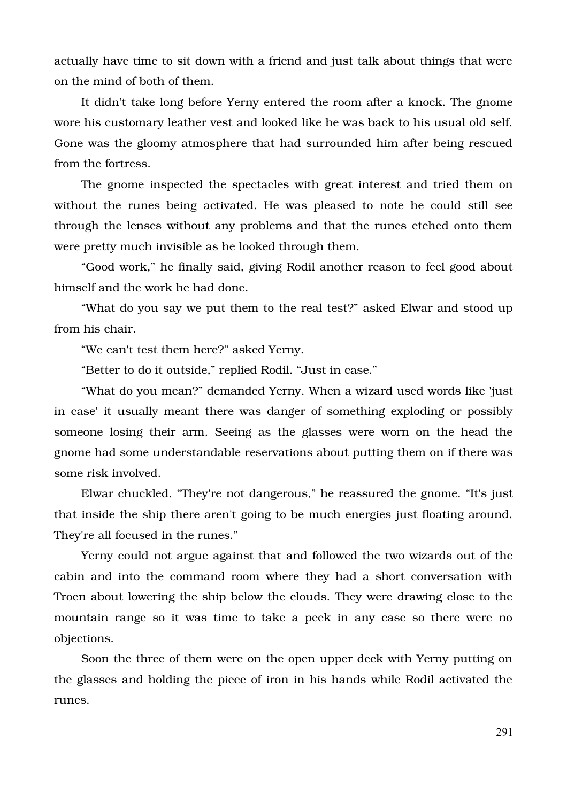actually have time to sit down with a friend and just talk about things that were on the mind of both of them.

It didn't take long before Yerny entered the room after a knock. The gnome wore his customary leather vest and looked like he was back to his usual old self. Gone was the gloomy atmosphere that had surrounded him after being rescued from the fortress.

The gnome inspected the spectacles with great interest and tried them on without the runes being activated. He was pleased to note he could still see through the lenses without any problems and that the runes etched onto them were pretty much invisible as he looked through them.

"Good work," he finally said, giving Rodil another reason to feel good about himself and the work he had done.

"What do you say we put them to the real test?" asked Elwar and stood up from his chair.

"We can't test them here?" asked Yerny.

"Better to do it outside," replied Rodil. "Just in case."

"What do you mean?" demanded Yerny. When a wizard used words like 'just in case' it usually meant there was danger of something exploding or possibly someone losing their arm. Seeing as the glasses were worn on the head the gnome had some understandable reservations about putting them on if there was some risk involved.

Elwar chuckled. "They're not dangerous," he reassured the gnome. "It's just that inside the ship there aren't going to be much energies just floating around. They're all focused in the runes."

Yerny could not argue against that and followed the two wizards out of the cabin and into the command room where they had a short conversation with Troen about lowering the ship below the clouds. They were drawing close to the mountain range so it was time to take a peek in any case so there were no objections.

Soon the three of them were on the open upper deck with Yerny putting on the glasses and holding the piece of iron in his hands while Rodil activated the runes.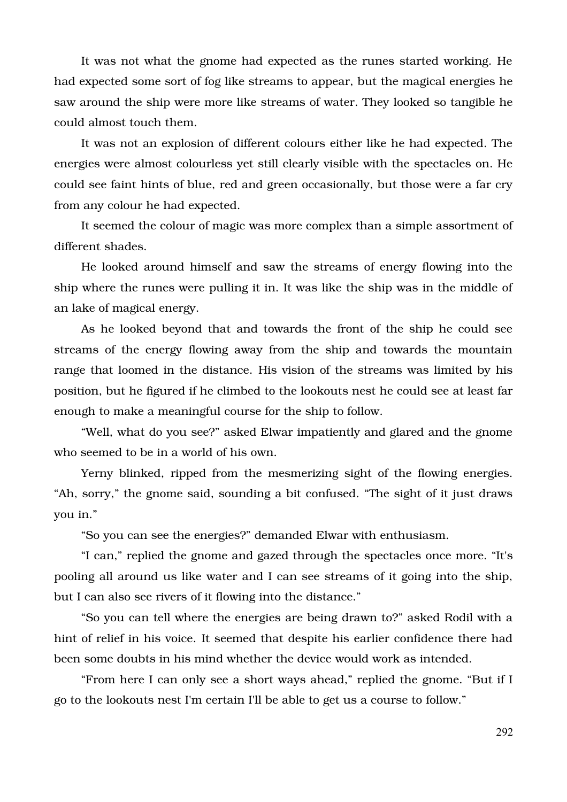It was not what the gnome had expected as the runes started working. He had expected some sort of fog like streams to appear, but the magical energies he saw around the ship were more like streams of water. They looked so tangible he could almost touch them.

It was not an explosion of different colours either like he had expected. The energies were almost colourless yet still clearly visible with the spectacles on. He could see faint hints of blue, red and green occasionally, but those were a far cry from any colour he had expected.

It seemed the colour of magic was more complex than a simple assortment of different shades.

He looked around himself and saw the streams of energy flowing into the ship where the runes were pulling it in. It was like the ship was in the middle of an lake of magical energy.

As he looked beyond that and towards the front of the ship he could see streams of the energy flowing away from the ship and towards the mountain range that loomed in the distance. His vision of the streams was limited by his position, but he figured if he climbed to the lookouts nest he could see at least far enough to make a meaningful course for the ship to follow.

"Well, what do you see?" asked Elwar impatiently and glared and the gnome who seemed to be in a world of his own.

Yerny blinked, ripped from the mesmerizing sight of the flowing energies. "Ah, sorry," the gnome said, sounding a bit confused. "The sight of it just draws you in."

"So you can see the energies?" demanded Elwar with enthusiasm.

"I can," replied the gnome and gazed through the spectacles once more. "It's pooling all around us like water and I can see streams of it going into the ship, but I can also see rivers of it flowing into the distance."

"So you can tell where the energies are being drawn to?" asked Rodil with a hint of relief in his voice. It seemed that despite his earlier confidence there had been some doubts in his mind whether the device would work as intended.

"From here I can only see a short ways ahead," replied the gnome. "But if I go to the lookouts nest I'm certain I'll be able to get us a course to follow."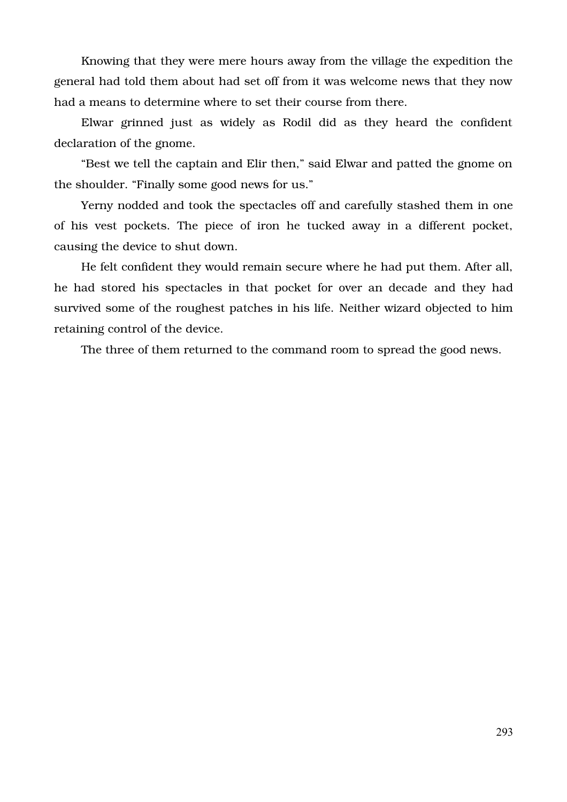Knowing that they were mere hours away from the village the expedition the general had told them about had set off from it was welcome news that they now had a means to determine where to set their course from there.

Elwar grinned just as widely as Rodil did as they heard the confident declaration of the gnome.

"Best we tell the captain and Elir then," said Elwar and patted the gnome on the shoulder. "Finally some good news for us."

Yerny nodded and took the spectacles off and carefully stashed them in one of his vest pockets. The piece of iron he tucked away in a different pocket, causing the device to shut down.

He felt confident they would remain secure where he had put them. After all, he had stored his spectacles in that pocket for over an decade and they had survived some of the roughest patches in his life. Neither wizard objected to him retaining control of the device.

The three of them returned to the command room to spread the good news.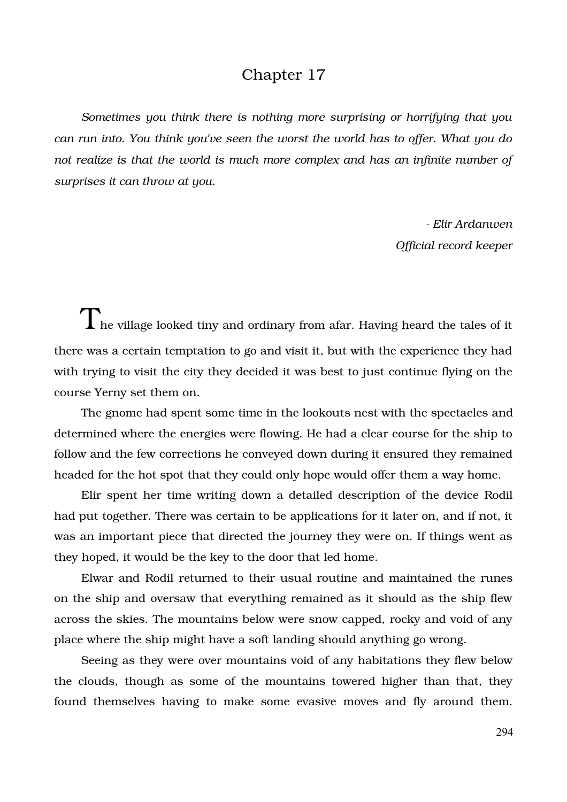## Chapter 17

*Sometimes you think there is nothing more surprising or horrifying that you can run into. You think you've seen the worst the world has to offer. What you do not realize is that the world is much more complex and has an infinite number of surprises it can throw at you.*

> *Elir Ardanwen Official record keeper*

 $\rm T$ he village looked tiny and ordinary from afar. Having heard the tales of it there was a certain temptation to go and visit it, but with the experience they had with trying to visit the city they decided it was best to just continue flying on the course Yerny set them on.

The gnome had spent some time in the lookouts nest with the spectacles and determined where the energies were flowing. He had a clear course for the ship to follow and the few corrections he conveyed down during it ensured they remained headed for the hot spot that they could only hope would offer them a way home.

Elir spent her time writing down a detailed description of the device Rodil had put together. There was certain to be applications for it later on, and if not, it was an important piece that directed the journey they were on. If things went as they hoped, it would be the key to the door that led home.

Elwar and Rodil returned to their usual routine and maintained the runes on the ship and oversaw that everything remained as it should as the ship flew across the skies. The mountains below were snow capped, rocky and void of any place where the ship might have a soft landing should anything go wrong.

Seeing as they were over mountains void of any habitations they flew below the clouds, though as some of the mountains towered higher than that, they found themselves having to make some evasive moves and fly around them.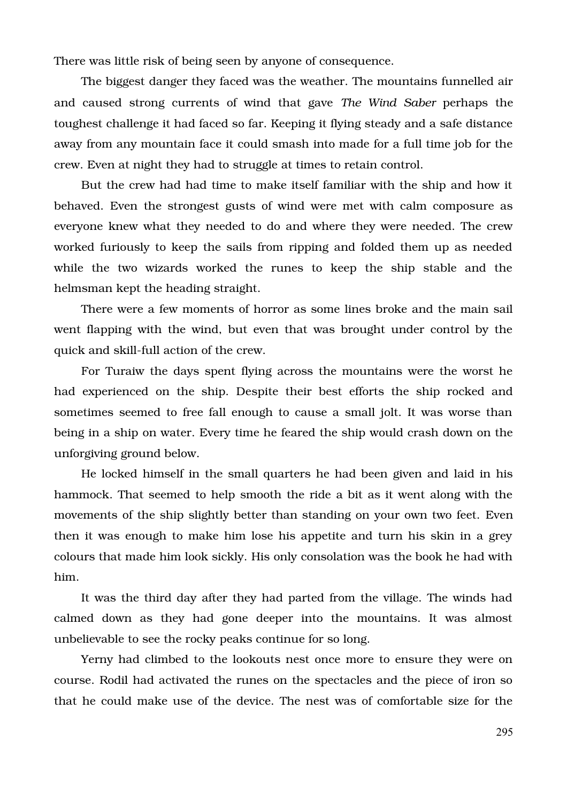There was little risk of being seen by anyone of consequence.

The biggest danger they faced was the weather. The mountains funnelled air and caused strong currents of wind that gave *The Wind Saber* perhaps the toughest challenge it had faced so far. Keeping it flying steady and a safe distance away from any mountain face it could smash into made for a full time job for the crew. Even at night they had to struggle at times to retain control.

But the crew had had time to make itself familiar with the ship and how it behaved. Even the strongest gusts of wind were met with calm composure as everyone knew what they needed to do and where they were needed. The crew worked furiously to keep the sails from ripping and folded them up as needed while the two wizards worked the runes to keep the ship stable and the helmsman kept the heading straight.

There were a few moments of horror as some lines broke and the main sail went flapping with the wind, but even that was brought under control by the quick and skill-full action of the crew.

For Turaiw the days spent flying across the mountains were the worst he had experienced on the ship. Despite their best efforts the ship rocked and sometimes seemed to free fall enough to cause a small jolt. It was worse than being in a ship on water. Every time he feared the ship would crash down on the unforgiving ground below.

He locked himself in the small quarters he had been given and laid in his hammock. That seemed to help smooth the ride a bit as it went along with the movements of the ship slightly better than standing on your own two feet. Even then it was enough to make him lose his appetite and turn his skin in a grey colours that made him look sickly. His only consolation was the book he had with him.

It was the third day after they had parted from the village. The winds had calmed down as they had gone deeper into the mountains. It was almost unbelievable to see the rocky peaks continue for so long.

Yerny had climbed to the lookouts nest once more to ensure they were on course. Rodil had activated the runes on the spectacles and the piece of iron so that he could make use of the device. The nest was of comfortable size for the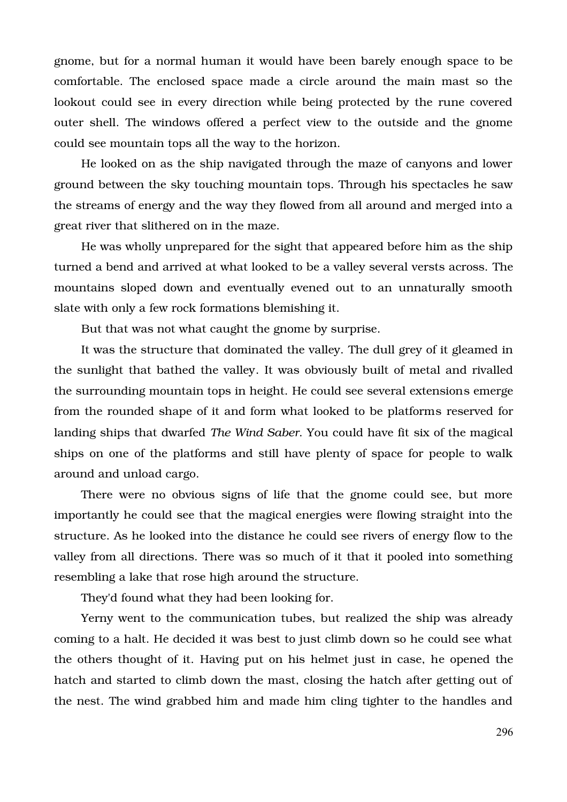gnome, but for a normal human it would have been barely enough space to be comfortable. The enclosed space made a circle around the main mast so the lookout could see in every direction while being protected by the rune covered outer shell. The windows offered a perfect view to the outside and the gnome could see mountain tops all the way to the horizon.

He looked on as the ship navigated through the maze of canyons and lower ground between the sky touching mountain tops. Through his spectacles he saw the streams of energy and the way they flowed from all around and merged into a great river that slithered on in the maze.

He was wholly unprepared for the sight that appeared before him as the ship turned a bend and arrived at what looked to be a valley several versts across. The mountains sloped down and eventually evened out to an unnaturally smooth slate with only a few rock formations blemishing it.

But that was not what caught the gnome by surprise.

It was the structure that dominated the valley. The dull grey of it gleamed in the sunlight that bathed the valley. It was obviously built of metal and rivalled the surrounding mountain tops in height. He could see several extensions emerge from the rounded shape of it and form what looked to be platforms reserved for landing ships that dwarfed *The Wind Saber*. You could have fit six of the magical ships on one of the platforms and still have plenty of space for people to walk around and unload cargo.

There were no obvious signs of life that the gnome could see, but more importantly he could see that the magical energies were flowing straight into the structure. As he looked into the distance he could see rivers of energy flow to the valley from all directions. There was so much of it that it pooled into something resembling a lake that rose high around the structure.

They'd found what they had been looking for.

Yerny went to the communication tubes, but realized the ship was already coming to a halt. He decided it was best to just climb down so he could see what the others thought of it. Having put on his helmet just in case, he opened the hatch and started to climb down the mast, closing the hatch after getting out of the nest. The wind grabbed him and made him cling tighter to the handles and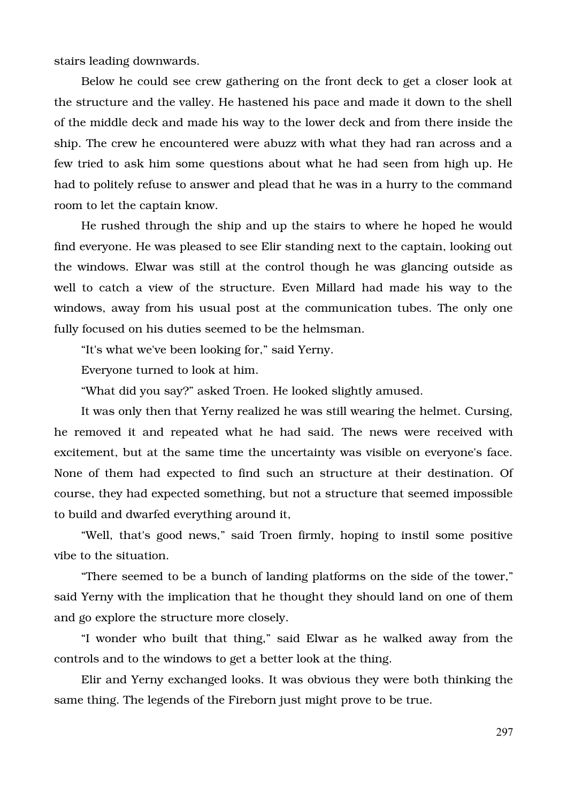stairs leading downwards.

Below he could see crew gathering on the front deck to get a closer look at the structure and the valley. He hastened his pace and made it down to the shell of the middle deck and made his way to the lower deck and from there inside the ship. The crew he encountered were abuzz with what they had ran across and a few tried to ask him some questions about what he had seen from high up. He had to politely refuse to answer and plead that he was in a hurry to the command room to let the captain know.

He rushed through the ship and up the stairs to where he hoped he would find everyone. He was pleased to see Elir standing next to the captain, looking out the windows. Elwar was still at the control though he was glancing outside as well to catch a view of the structure. Even Millard had made his way to the windows, away from his usual post at the communication tubes. The only one fully focused on his duties seemed to be the helmsman.

"It's what we've been looking for," said Yerny.

Everyone turned to look at him.

"What did you say?" asked Troen. He looked slightly amused.

It was only then that Yerny realized he was still wearing the helmet. Cursing, he removed it and repeated what he had said. The news were received with excitement, but at the same time the uncertainty was visible on everyone's face. None of them had expected to find such an structure at their destination. Of course, they had expected something, but not a structure that seemed impossible to build and dwarfed everything around it,

"Well, that's good news," said Troen firmly, hoping to instil some positive vibe to the situation.

"There seemed to be a bunch of landing platforms on the side of the tower," said Yerny with the implication that he thought they should land on one of them and go explore the structure more closely.

"I wonder who built that thing," said Elwar as he walked away from the controls and to the windows to get a better look at the thing.

Elir and Yerny exchanged looks. It was obvious they were both thinking the same thing. The legends of the Fireborn just might prove to be true.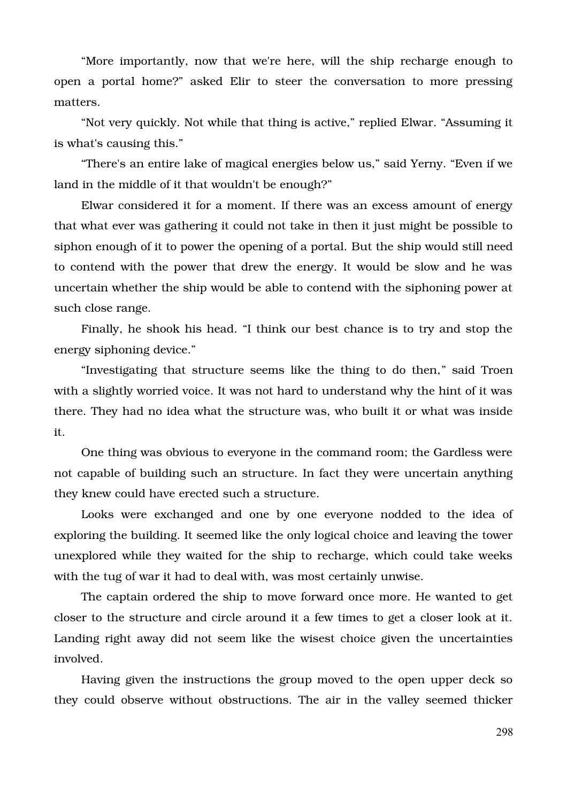"More importantly, now that we're here, will the ship recharge enough to open a portal home?" asked Elir to steer the conversation to more pressing matters.

"Not very quickly. Not while that thing is active," replied Elwar. "Assuming it is what's causing this."

"There's an entire lake of magical energies below us," said Yerny. "Even if we land in the middle of it that wouldn't be enough?"

Elwar considered it for a moment. If there was an excess amount of energy that what ever was gathering it could not take in then it just might be possible to siphon enough of it to power the opening of a portal. But the ship would still need to contend with the power that drew the energy. It would be slow and he was uncertain whether the ship would be able to contend with the siphoning power at such close range.

Finally, he shook his head. "I think our best chance is to try and stop the energy siphoning device."

"Investigating that structure seems like the thing to do then," said Troen with a slightly worried voice. It was not hard to understand why the hint of it was there. They had no idea what the structure was, who built it or what was inside it.

One thing was obvious to everyone in the command room; the Gardless were not capable of building such an structure. In fact they were uncertain anything they knew could have erected such a structure.

Looks were exchanged and one by one everyone nodded to the idea of exploring the building. It seemed like the only logical choice and leaving the tower unexplored while they waited for the ship to recharge, which could take weeks with the tug of war it had to deal with, was most certainly unwise.

The captain ordered the ship to move forward once more. He wanted to get closer to the structure and circle around it a few times to get a closer look at it. Landing right away did not seem like the wisest choice given the uncertainties involved.

Having given the instructions the group moved to the open upper deck so they could observe without obstructions. The air in the valley seemed thicker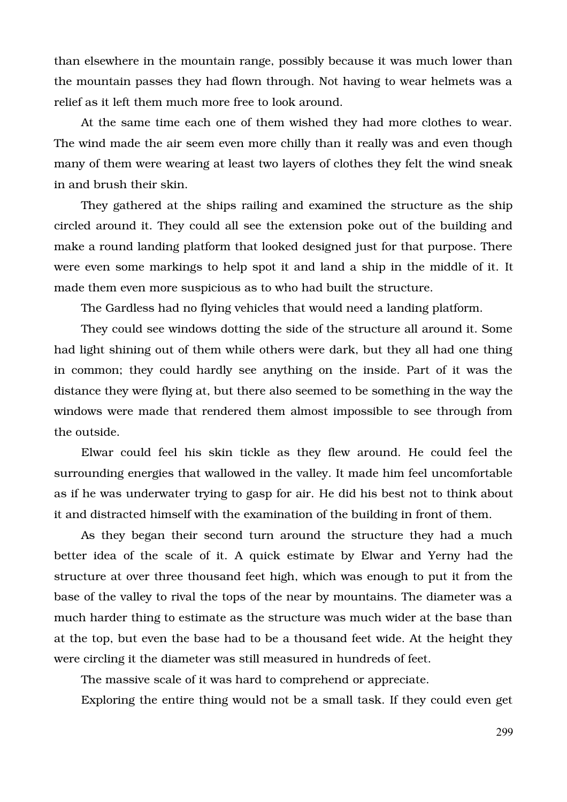than elsewhere in the mountain range, possibly because it was much lower than the mountain passes they had flown through. Not having to wear helmets was a relief as it left them much more free to look around.

At the same time each one of them wished they had more clothes to wear. The wind made the air seem even more chilly than it really was and even though many of them were wearing at least two layers of clothes they felt the wind sneak in and brush their skin.

They gathered at the ships railing and examined the structure as the ship circled around it. They could all see the extension poke out of the building and make a round landing platform that looked designed just for that purpose. There were even some markings to help spot it and land a ship in the middle of it. It made them even more suspicious as to who had built the structure.

The Gardless had no flying vehicles that would need a landing platform.

They could see windows dotting the side of the structure all around it. Some had light shining out of them while others were dark, but they all had one thing in common; they could hardly see anything on the inside. Part of it was the distance they were flying at, but there also seemed to be something in the way the windows were made that rendered them almost impossible to see through from the outside.

Elwar could feel his skin tickle as they flew around. He could feel the surrounding energies that wallowed in the valley. It made him feel uncomfortable as if he was underwater trying to gasp for air. He did his best not to think about it and distracted himself with the examination of the building in front of them.

As they began their second turn around the structure they had a much better idea of the scale of it. A quick estimate by Elwar and Yerny had the structure at over three thousand feet high, which was enough to put it from the base of the valley to rival the tops of the near by mountains. The diameter was a much harder thing to estimate as the structure was much wider at the base than at the top, but even the base had to be a thousand feet wide. At the height they were circling it the diameter was still measured in hundreds of feet.

The massive scale of it was hard to comprehend or appreciate.

Exploring the entire thing would not be a small task. If they could even get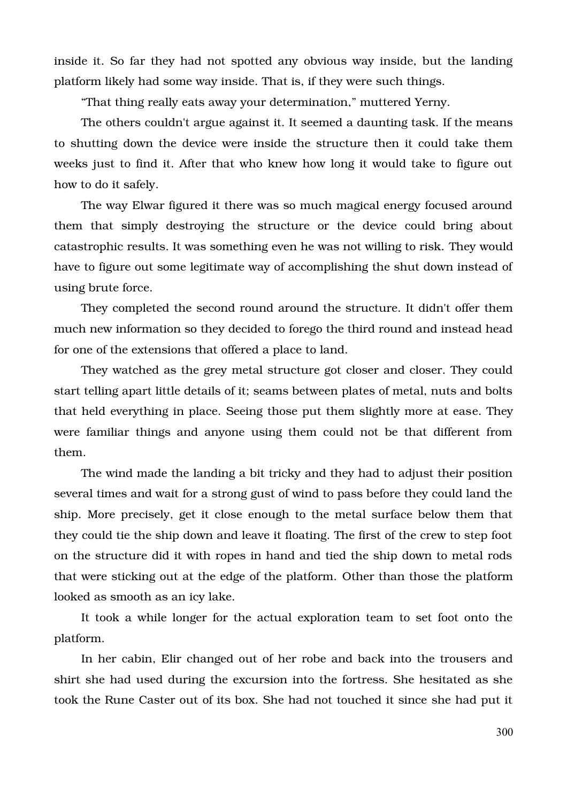inside it. So far they had not spotted any obvious way inside, but the landing platform likely had some way inside. That is, if they were such things.

"That thing really eats away your determination," muttered Yerny.

The others couldn't argue against it. It seemed a daunting task. If the means to shutting down the device were inside the structure then it could take them weeks just to find it. After that who knew how long it would take to figure out how to do it safely.

The way Elwar figured it there was so much magical energy focused around them that simply destroying the structure or the device could bring about catastrophic results. It was something even he was not willing to risk. They would have to figure out some legitimate way of accomplishing the shut down instead of using brute force.

They completed the second round around the structure. It didn't offer them much new information so they decided to forego the third round and instead head for one of the extensions that offered a place to land.

They watched as the grey metal structure got closer and closer. They could start telling apart little details of it; seams between plates of metal, nuts and bolts that held everything in place. Seeing those put them slightly more at ease. They were familiar things and anyone using them could not be that different from them.

The wind made the landing a bit tricky and they had to adjust their position several times and wait for a strong gust of wind to pass before they could land the ship. More precisely, get it close enough to the metal surface below them that they could tie the ship down and leave it floating. The first of the crew to step foot on the structure did it with ropes in hand and tied the ship down to metal rods that were sticking out at the edge of the platform. Other than those the platform looked as smooth as an icy lake.

It took a while longer for the actual exploration team to set foot onto the platform.

In her cabin, Elir changed out of her robe and back into the trousers and shirt she had used during the excursion into the fortress. She hesitated as she took the Rune Caster out of its box. She had not touched it since she had put it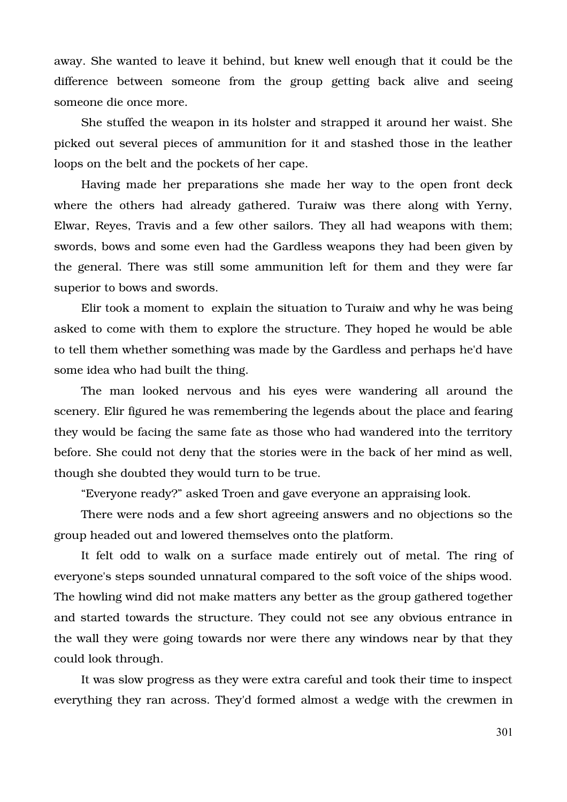away. She wanted to leave it behind, but knew well enough that it could be the difference between someone from the group getting back alive and seeing someone die once more.

She stuffed the weapon in its holster and strapped it around her waist. She picked out several pieces of ammunition for it and stashed those in the leather loops on the belt and the pockets of her cape.

Having made her preparations she made her way to the open front deck where the others had already gathered. Turaiw was there along with Yerny, Elwar, Reyes, Travis and a few other sailors. They all had weapons with them; swords, bows and some even had the Gardless weapons they had been given by the general. There was still some ammunition left for them and they were far superior to bows and swords.

Elir took a moment to explain the situation to Turaiw and why he was being asked to come with them to explore the structure. They hoped he would be able to tell them whether something was made by the Gardless and perhaps he'd have some idea who had built the thing.

The man looked nervous and his eyes were wandering all around the scenery. Elir figured he was remembering the legends about the place and fearing they would be facing the same fate as those who had wandered into the territory before. She could not deny that the stories were in the back of her mind as well, though she doubted they would turn to be true.

"Everyone ready?" asked Troen and gave everyone an appraising look.

There were nods and a few short agreeing answers and no objections so the group headed out and lowered themselves onto the platform.

It felt odd to walk on a surface made entirely out of metal. The ring of everyone's steps sounded unnatural compared to the soft voice of the ships wood. The howling wind did not make matters any better as the group gathered together and started towards the structure. They could not see any obvious entrance in the wall they were going towards nor were there any windows near by that they could look through.

It was slow progress as they were extra careful and took their time to inspect everything they ran across. They'd formed almost a wedge with the crewmen in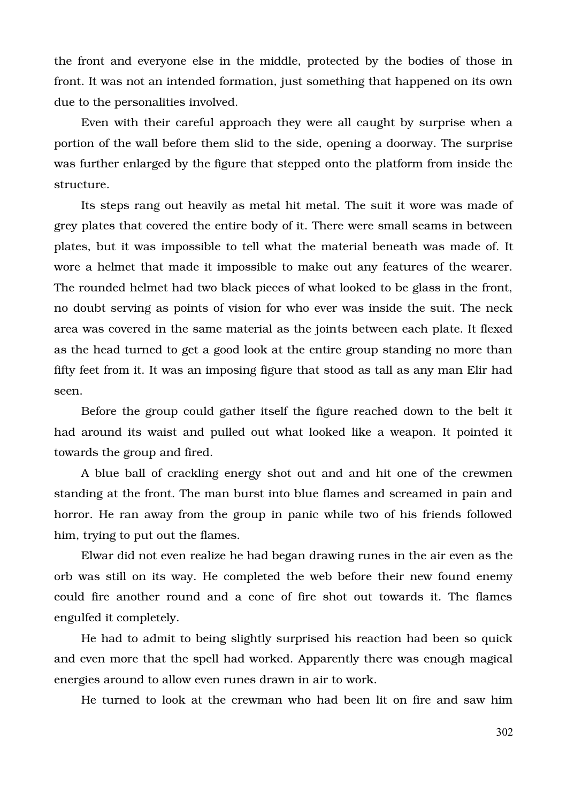the front and everyone else in the middle, protected by the bodies of those in front. It was not an intended formation, just something that happened on its own due to the personalities involved.

Even with their careful approach they were all caught by surprise when a portion of the wall before them slid to the side, opening a doorway. The surprise was further enlarged by the figure that stepped onto the platform from inside the structure.

Its steps rang out heavily as metal hit metal. The suit it wore was made of grey plates that covered the entire body of it. There were small seams in between plates, but it was impossible to tell what the material beneath was made of. It wore a helmet that made it impossible to make out any features of the wearer. The rounded helmet had two black pieces of what looked to be glass in the front, no doubt serving as points of vision for who ever was inside the suit. The neck area was covered in the same material as the joints between each plate. It flexed as the head turned to get a good look at the entire group standing no more than fifty feet from it. It was an imposing figure that stood as tall as any man Elir had seen.

Before the group could gather itself the figure reached down to the belt it had around its waist and pulled out what looked like a weapon. It pointed it towards the group and fired.

A blue ball of crackling energy shot out and and hit one of the crewmen standing at the front. The man burst into blue flames and screamed in pain and horror. He ran away from the group in panic while two of his friends followed him, trying to put out the flames.

Elwar did not even realize he had began drawing runes in the air even as the orb was still on its way. He completed the web before their new found enemy could fire another round and a cone of fire shot out towards it. The flames engulfed it completely.

He had to admit to being slightly surprised his reaction had been so quick and even more that the spell had worked. Apparently there was enough magical energies around to allow even runes drawn in air to work.

He turned to look at the crewman who had been lit on fire and saw him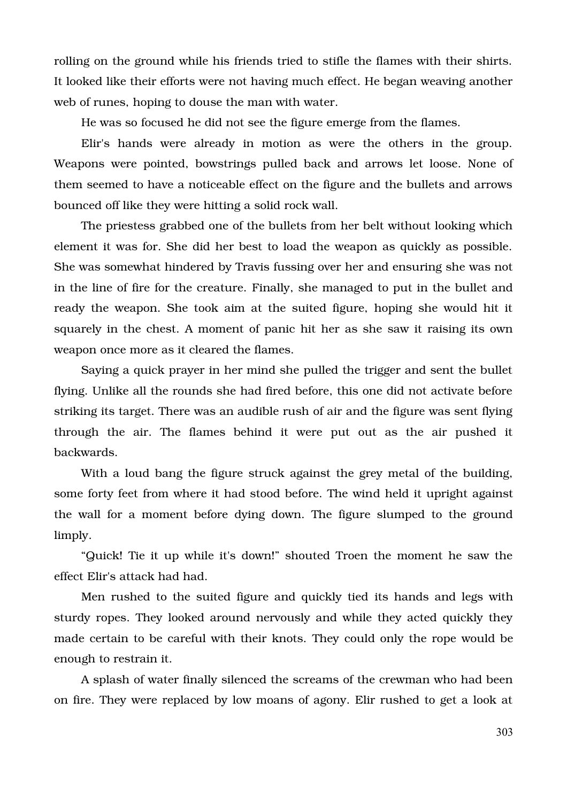rolling on the ground while his friends tried to stifle the flames with their shirts. It looked like their efforts were not having much effect. He began weaving another web of runes, hoping to douse the man with water.

He was so focused he did not see the figure emerge from the flames.

Elir's hands were already in motion as were the others in the group. Weapons were pointed, bowstrings pulled back and arrows let loose. None of them seemed to have a noticeable effect on the figure and the bullets and arrows bounced off like they were hitting a solid rock wall.

The priestess grabbed one of the bullets from her belt without looking which element it was for. She did her best to load the weapon as quickly as possible. She was somewhat hindered by Travis fussing over her and ensuring she was not in the line of fire for the creature. Finally, she managed to put in the bullet and ready the weapon. She took aim at the suited figure, hoping she would hit it squarely in the chest. A moment of panic hit her as she saw it raising its own weapon once more as it cleared the flames.

Saying a quick prayer in her mind she pulled the trigger and sent the bullet flying. Unlike all the rounds she had fired before, this one did not activate before striking its target. There was an audible rush of air and the figure was sent flying through the air. The flames behind it were put out as the air pushed it backwards.

With a loud bang the figure struck against the grey metal of the building, some forty feet from where it had stood before. The wind held it upright against the wall for a moment before dying down. The figure slumped to the ground limply.

"Quick! Tie it up while it's down!" shouted Troen the moment he saw the effect Elir's attack had had.

Men rushed to the suited figure and quickly tied its hands and legs with sturdy ropes. They looked around nervously and while they acted quickly they made certain to be careful with their knots. They could only the rope would be enough to restrain it.

A splash of water finally silenced the screams of the crewman who had been on fire. They were replaced by low moans of agony. Elir rushed to get a look at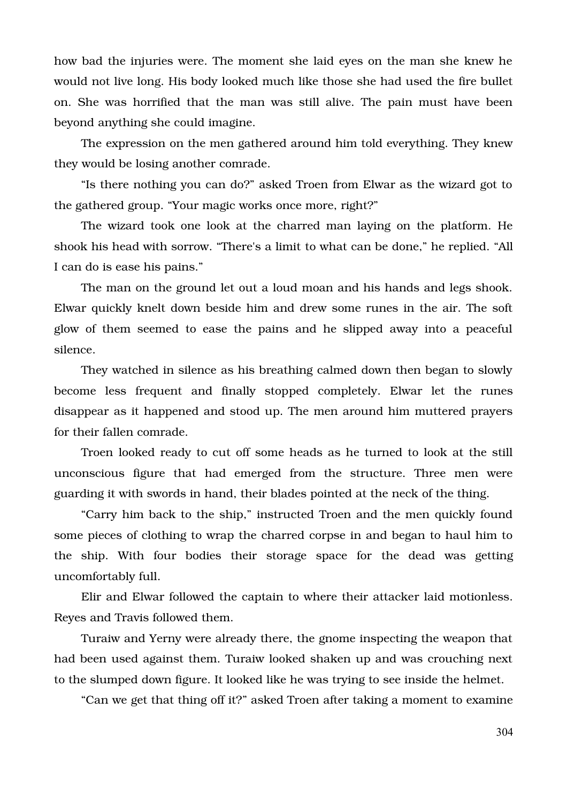how bad the injuries were. The moment she laid eyes on the man she knew he would not live long. His body looked much like those she had used the fire bullet on. She was horrified that the man was still alive. The pain must have been beyond anything she could imagine.

The expression on the men gathered around him told everything. They knew they would be losing another comrade.

"Is there nothing you can do?" asked Troen from Elwar as the wizard got to the gathered group. "Your magic works once more, right?"

The wizard took one look at the charred man laying on the platform. He shook his head with sorrow. "There's a limit to what can be done," he replied. "All I can do is ease his pains."

The man on the ground let out a loud moan and his hands and legs shook. Elwar quickly knelt down beside him and drew some runes in the air. The soft glow of them seemed to ease the pains and he slipped away into a peaceful silence.

They watched in silence as his breathing calmed down then began to slowly become less frequent and finally stopped completely. Elwar let the runes disappear as it happened and stood up. The men around him muttered prayers for their fallen comrade.

Troen looked ready to cut off some heads as he turned to look at the still unconscious figure that had emerged from the structure. Three men were guarding it with swords in hand, their blades pointed at the neck of the thing.

"Carry him back to the ship," instructed Troen and the men quickly found some pieces of clothing to wrap the charred corpse in and began to haul him to the ship. With four bodies their storage space for the dead was getting uncomfortably full.

Elir and Elwar followed the captain to where their attacker laid motionless. Reyes and Travis followed them.

Turaiw and Yerny were already there, the gnome inspecting the weapon that had been used against them. Turaiw looked shaken up and was crouching next to the slumped down figure. It looked like he was trying to see inside the helmet.

"Can we get that thing off it?" asked Troen after taking a moment to examine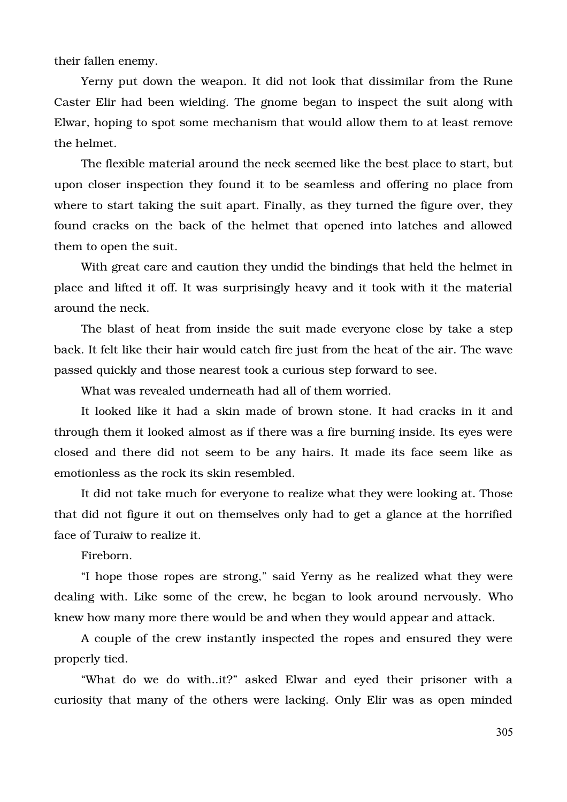their fallen enemy.

Yerny put down the weapon. It did not look that dissimilar from the Rune Caster Elir had been wielding. The gnome began to inspect the suit along with Elwar, hoping to spot some mechanism that would allow them to at least remove the helmet.

The flexible material around the neck seemed like the best place to start, but upon closer inspection they found it to be seamless and offering no place from where to start taking the suit apart. Finally, as they turned the figure over, they found cracks on the back of the helmet that opened into latches and allowed them to open the suit.

With great care and caution they undid the bindings that held the helmet in place and lifted it off. It was surprisingly heavy and it took with it the material around the neck.

The blast of heat from inside the suit made everyone close by take a step back. It felt like their hair would catch fire just from the heat of the air. The wave passed quickly and those nearest took a curious step forward to see.

What was revealed underneath had all of them worried.

It looked like it had a skin made of brown stone. It had cracks in it and through them it looked almost as if there was a fire burning inside. Its eyes were closed and there did not seem to be any hairs. It made its face seem like as emotionless as the rock its skin resembled.

It did not take much for everyone to realize what they were looking at. Those that did not figure it out on themselves only had to get a glance at the horrified face of Turaiw to realize it.

Fireborn.

"I hope those ropes are strong," said Yerny as he realized what they were dealing with. Like some of the crew, he began to look around nervously. Who knew how many more there would be and when they would appear and attack.

A couple of the crew instantly inspected the ropes and ensured they were properly tied.

"What do we do with..it?" asked Elwar and eyed their prisoner with a curiosity that many of the others were lacking. Only Elir was as open minded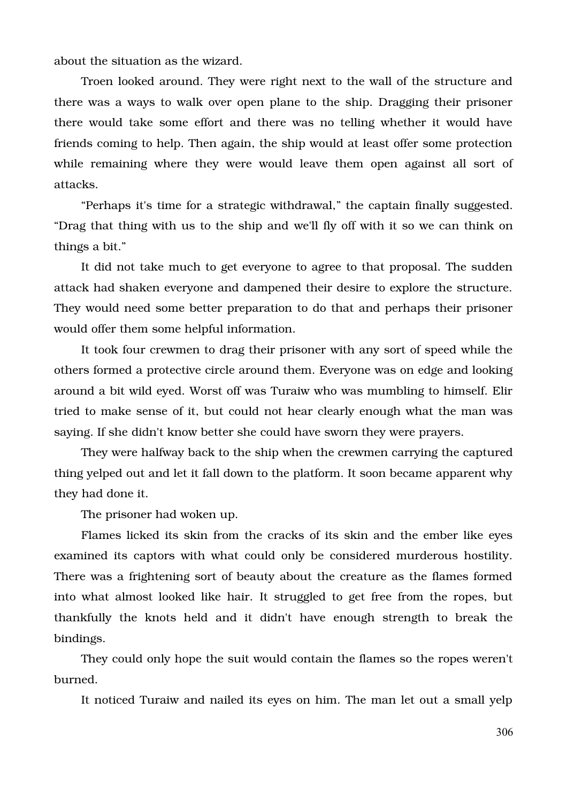about the situation as the wizard.

Troen looked around. They were right next to the wall of the structure and there was a ways to walk over open plane to the ship. Dragging their prisoner there would take some effort and there was no telling whether it would have friends coming to help. Then again, the ship would at least offer some protection while remaining where they were would leave them open against all sort of attacks.

"Perhaps it's time for a strategic withdrawal," the captain finally suggested. "Drag that thing with us to the ship and we'll fly off with it so we can think on things a bit."

It did not take much to get everyone to agree to that proposal. The sudden attack had shaken everyone and dampened their desire to explore the structure. They would need some better preparation to do that and perhaps their prisoner would offer them some helpful information.

It took four crewmen to drag their prisoner with any sort of speed while the others formed a protective circle around them. Everyone was on edge and looking around a bit wild eyed. Worst off was Turaiw who was mumbling to himself. Elir tried to make sense of it, but could not hear clearly enough what the man was saying. If she didn't know better she could have sworn they were prayers.

They were halfway back to the ship when the crewmen carrying the captured thing yelped out and let it fall down to the platform. It soon became apparent why they had done it.

The prisoner had woken up.

Flames licked its skin from the cracks of its skin and the ember like eyes examined its captors with what could only be considered murderous hostility. There was a frightening sort of beauty about the creature as the flames formed into what almost looked like hair. It struggled to get free from the ropes, but thankfully the knots held and it didn't have enough strength to break the bindings.

They could only hope the suit would contain the flames so the ropes weren't burned.

It noticed Turaiw and nailed its eyes on him. The man let out a small yelp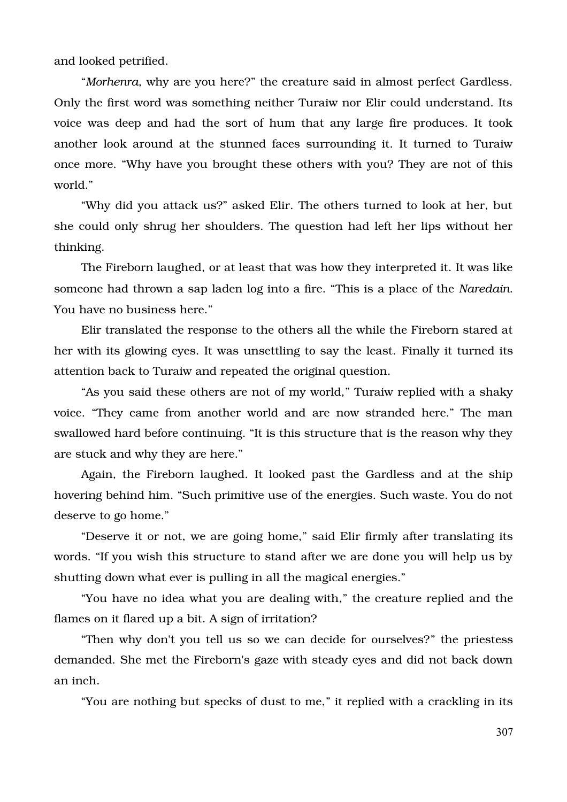and looked petrified.

"*Morhenra*, why are you here?" the creature said in almost perfect Gardless. Only the first word was something neither Turaiw nor Elir could understand. Its voice was deep and had the sort of hum that any large fire produces. It took another look around at the stunned faces surrounding it. It turned to Turaiw once more. "Why have you brought these others with you? They are not of this world."

"Why did you attack us?" asked Elir. The others turned to look at her, but she could only shrug her shoulders. The question had left her lips without her thinking.

The Fireborn laughed, or at least that was how they interpreted it. It was like someone had thrown a sap laden log into a fire. "This is a place of the *Naredain*. You have no business here."

Elir translated the response to the others all the while the Fireborn stared at her with its glowing eyes. It was unsettling to say the least. Finally it turned its attention back to Turaiw and repeated the original question.

"As you said these others are not of my world," Turaiw replied with a shaky voice. "They came from another world and are now stranded here." The man swallowed hard before continuing. "It is this structure that is the reason why they are stuck and why they are here."

Again, the Fireborn laughed. It looked past the Gardless and at the ship hovering behind him. "Such primitive use of the energies. Such waste. You do not deserve to go home."

"Deserve it or not, we are going home," said Elir firmly after translating its words. "If you wish this structure to stand after we are done you will help us by shutting down what ever is pulling in all the magical energies."

"You have no idea what you are dealing with," the creature replied and the flames on it flared up a bit. A sign of irritation?

"Then why don't you tell us so we can decide for ourselves?" the priestess demanded. She met the Fireborn's gaze with steady eyes and did not back down an inch.

"You are nothing but specks of dust to me," it replied with a crackling in its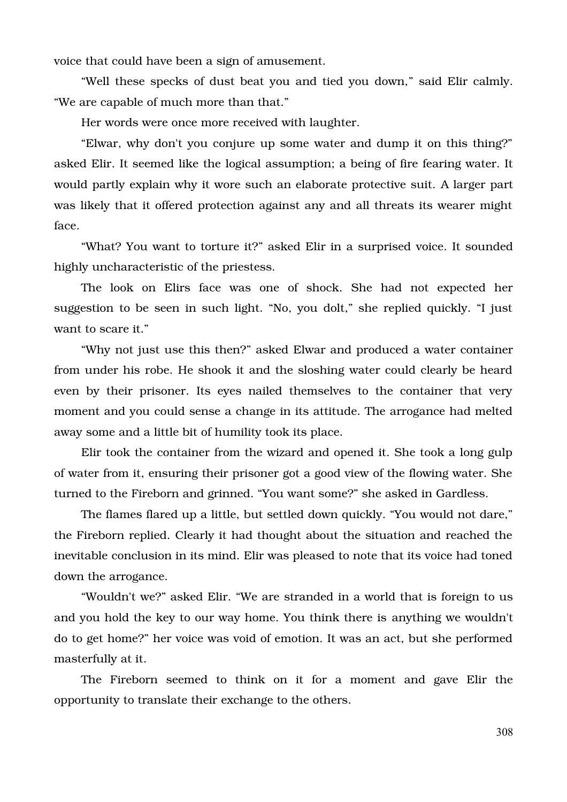voice that could have been a sign of amusement.

"Well these specks of dust beat you and tied you down," said Elir calmly. "We are capable of much more than that."

Her words were once more received with laughter.

"Elwar, why don't you conjure up some water and dump it on this thing?" asked Elir. It seemed like the logical assumption; a being of fire fearing water. It would partly explain why it wore such an elaborate protective suit. A larger part was likely that it offered protection against any and all threats its wearer might face.

"What? You want to torture it?" asked Elir in a surprised voice. It sounded highly uncharacteristic of the priestess.

The look on Elirs face was one of shock. She had not expected her suggestion to be seen in such light. "No, you dolt," she replied quickly. "I just want to scare it."

"Why not just use this then?" asked Elwar and produced a water container from under his robe. He shook it and the sloshing water could clearly be heard even by their prisoner. Its eyes nailed themselves to the container that very moment and you could sense a change in its attitude. The arrogance had melted away some and a little bit of humility took its place.

Elir took the container from the wizard and opened it. She took a long gulp of water from it, ensuring their prisoner got a good view of the flowing water. She turned to the Fireborn and grinned. "You want some?" she asked in Gardless.

The flames flared up a little, but settled down quickly. "You would not dare," the Fireborn replied. Clearly it had thought about the situation and reached the inevitable conclusion in its mind. Elir was pleased to note that its voice had toned down the arrogance.

"Wouldn't we?" asked Elir. "We are stranded in a world that is foreign to us and you hold the key to our way home. You think there is anything we wouldn't do to get home?" her voice was void of emotion. It was an act, but she performed masterfully at it.

The Fireborn seemed to think on it for a moment and gave Elir the opportunity to translate their exchange to the others.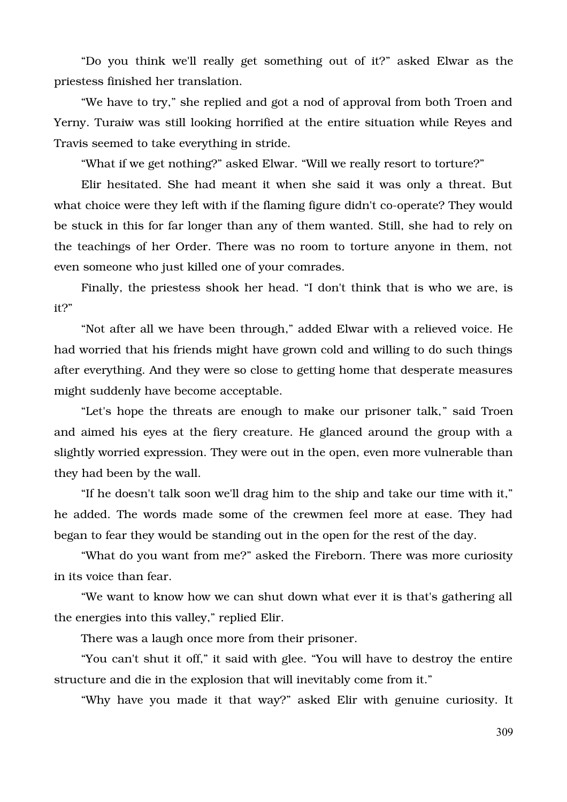"Do you think we'll really get something out of it?" asked Elwar as the priestess finished her translation.

"We have to try," she replied and got a nod of approval from both Troen and Yerny. Turaiw was still looking horrified at the entire situation while Reyes and Travis seemed to take everything in stride.

"What if we get nothing?" asked Elwar. "Will we really resort to torture?"

Elir hesitated. She had meant it when she said it was only a threat. But what choice were they left with if the flaming figure didn't co-operate? They would be stuck in this for far longer than any of them wanted. Still, she had to rely on the teachings of her Order. There was no room to torture anyone in them, not even someone who just killed one of your comrades.

Finally, the priestess shook her head. "I don't think that is who we are, is it?"

"Not after all we have been through," added Elwar with a relieved voice. He had worried that his friends might have grown cold and willing to do such things after everything. And they were so close to getting home that desperate measures might suddenly have become acceptable.

"Let's hope the threats are enough to make our prisoner talk," said Troen and aimed his eyes at the fiery creature. He glanced around the group with a slightly worried expression. They were out in the open, even more vulnerable than they had been by the wall.

"If he doesn't talk soon we'll drag him to the ship and take our time with it," he added. The words made some of the crewmen feel more at ease. They had began to fear they would be standing out in the open for the rest of the day.

"What do you want from me?" asked the Fireborn. There was more curiosity in its voice than fear.

"We want to know how we can shut down what ever it is that's gathering all the energies into this valley," replied Elir.

There was a laugh once more from their prisoner.

"You can't shut it off," it said with glee. "You will have to destroy the entire structure and die in the explosion that will inevitably come from it."

"Why have you made it that way?" asked Elir with genuine curiosity. It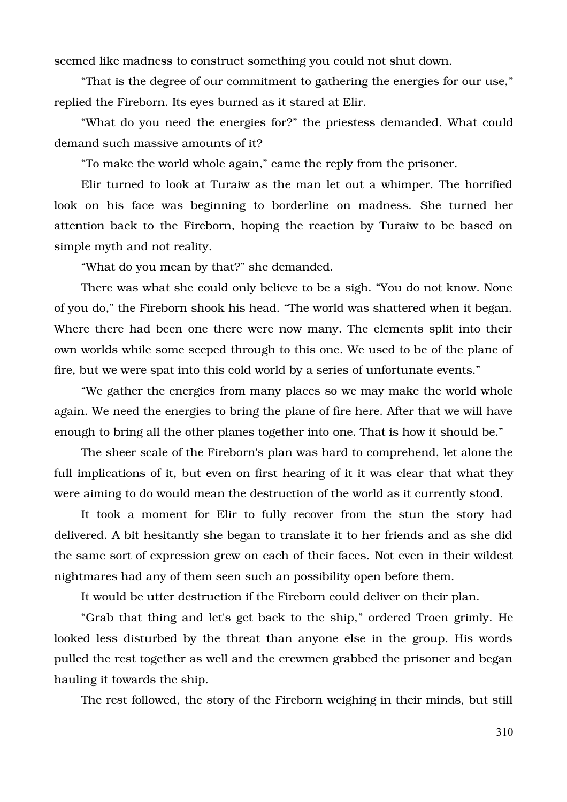seemed like madness to construct something you could not shut down.

"That is the degree of our commitment to gathering the energies for our use," replied the Fireborn. Its eyes burned as it stared at Elir.

"What do you need the energies for?" the priestess demanded. What could demand such massive amounts of it?

"To make the world whole again," came the reply from the prisoner.

Elir turned to look at Turaiw as the man let out a whimper. The horrified look on his face was beginning to borderline on madness. She turned her attention back to the Fireborn, hoping the reaction by Turaiw to be based on simple myth and not reality.

"What do you mean by that?" she demanded.

There was what she could only believe to be a sigh. "You do not know. None of you do," the Fireborn shook his head. "The world was shattered when it began. Where there had been one there were now many. The elements split into their own worlds while some seeped through to this one. We used to be of the plane of fire, but we were spat into this cold world by a series of unfortunate events."

"We gather the energies from many places so we may make the world whole again. We need the energies to bring the plane of fire here. After that we will have enough to bring all the other planes together into one. That is how it should be."

The sheer scale of the Fireborn's plan was hard to comprehend, let alone the full implications of it, but even on first hearing of it it was clear that what they were aiming to do would mean the destruction of the world as it currently stood.

It took a moment for Elir to fully recover from the stun the story had delivered. A bit hesitantly she began to translate it to her friends and as she did the same sort of expression grew on each of their faces. Not even in their wildest nightmares had any of them seen such an possibility open before them.

It would be utter destruction if the Fireborn could deliver on their plan.

"Grab that thing and let's get back to the ship," ordered Troen grimly. He looked less disturbed by the threat than anyone else in the group. His words pulled the rest together as well and the crewmen grabbed the prisoner and began hauling it towards the ship.

The rest followed, the story of the Fireborn weighing in their minds, but still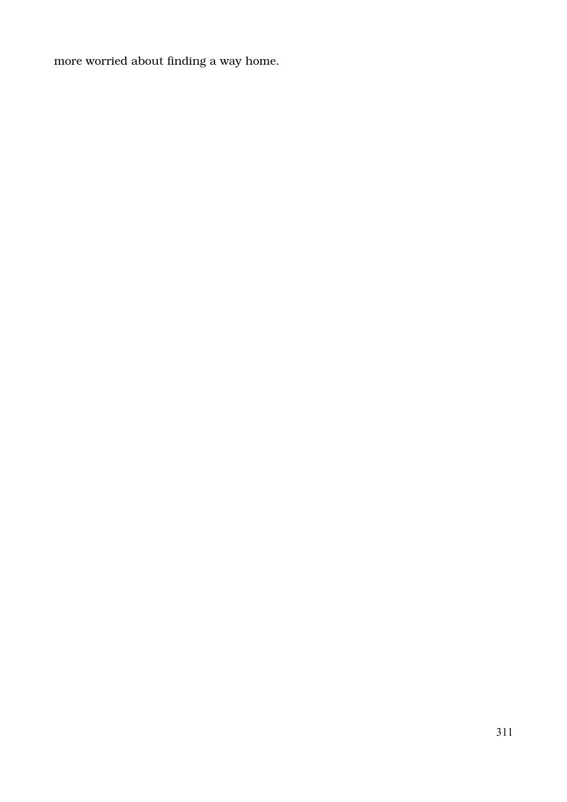more worried about finding a way home.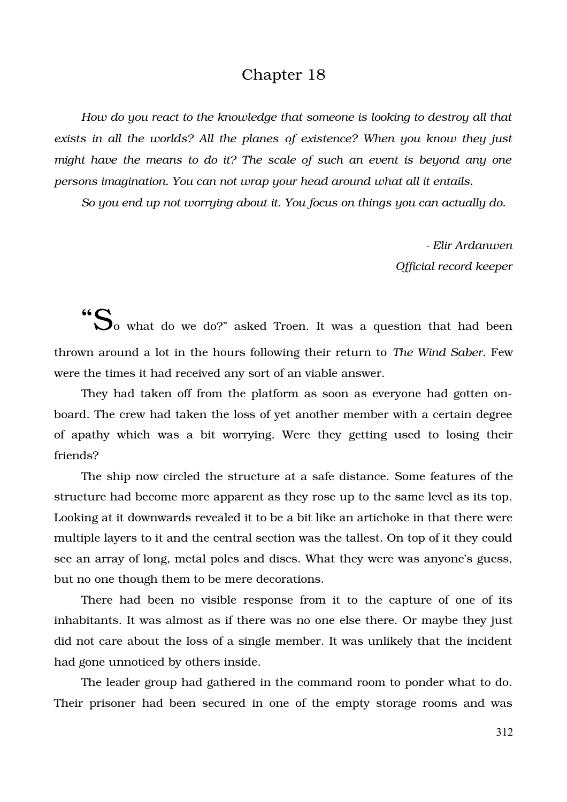## Chapter 18

*How do you react to the knowledge that someone is looking to destroy all that exists in all the worlds? All the planes of existence? When you know they just might have the means to do it? The scale of such an event is beyond any one persons imagination. You can not wrap your head around what all it entails.* 

*So you end up not worrying about it. You focus on things you can actually do.*

 *Elir Ardanwen Official record keeper*

"So what do we do?" asked Troen. It was a question that had been thrown around a lot in the hours following their return to *The Wind Saber*. Few were the times it had received any sort of an viable answer.

They had taken off from the platform as soon as everyone had gotten onboard. The crew had taken the loss of yet another member with a certain degree of apathy which was a bit worrying. Were they getting used to losing their friends?

The ship now circled the structure at a safe distance. Some features of the structure had become more apparent as they rose up to the same level as its top. Looking at it downwards revealed it to be a bit like an artichoke in that there were multiple layers to it and the central section was the tallest. On top of it they could see an array of long, metal poles and discs. What they were was anyone's guess, but no one though them to be mere decorations.

There had been no visible response from it to the capture of one of its inhabitants. It was almost as if there was no one else there. Or maybe they just did not care about the loss of a single member. It was unlikely that the incident had gone unnoticed by others inside.

The leader group had gathered in the command room to ponder what to do. Their prisoner had been secured in one of the empty storage rooms and was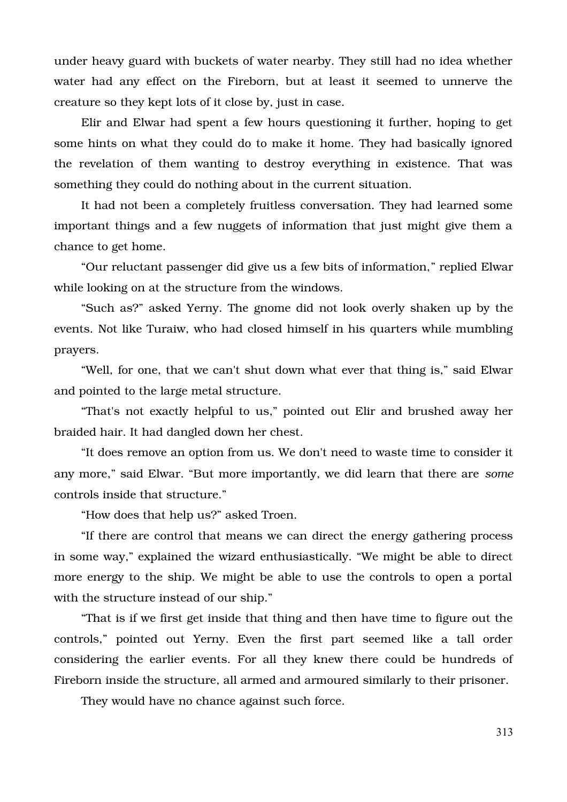under heavy guard with buckets of water nearby. They still had no idea whether water had any effect on the Fireborn, but at least it seemed to unnerve the creature so they kept lots of it close by, just in case.

Elir and Elwar had spent a few hours questioning it further, hoping to get some hints on what they could do to make it home. They had basically ignored the revelation of them wanting to destroy everything in existence. That was something they could do nothing about in the current situation.

It had not been a completely fruitless conversation. They had learned some important things and a few nuggets of information that just might give them a chance to get home.

"Our reluctant passenger did give us a few bits of information," replied Elwar while looking on at the structure from the windows.

"Such as?" asked Yerny. The gnome did not look overly shaken up by the events. Not like Turaiw, who had closed himself in his quarters while mumbling prayers.

"Well, for one, that we can't shut down what ever that thing is," said Elwar and pointed to the large metal structure.

"That's not exactly helpful to us," pointed out Elir and brushed away her braided hair. It had dangled down her chest.

"It does remove an option from us. We don't need to waste time to consider it any more," said Elwar. "But more importantly, we did learn that there are *some* controls inside that structure."

"How does that help us?" asked Troen.

"If there are control that means we can direct the energy gathering process in some way," explained the wizard enthusiastically. "We might be able to direct more energy to the ship. We might be able to use the controls to open a portal with the structure instead of our ship."

"That is if we first get inside that thing and then have time to figure out the controls," pointed out Yerny. Even the first part seemed like a tall order considering the earlier events. For all they knew there could be hundreds of Fireborn inside the structure, all armed and armoured similarly to their prisoner.

They would have no chance against such force.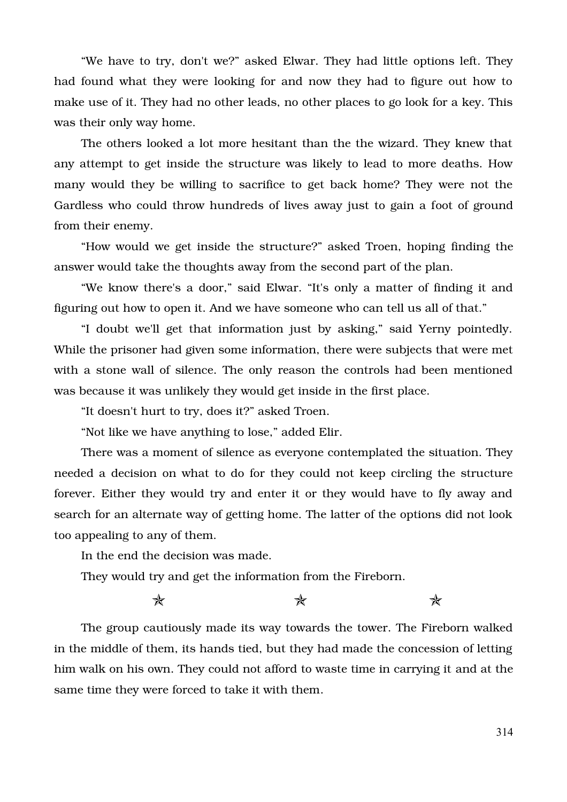"We have to try, don't we?" asked Elwar. They had little options left. They had found what they were looking for and now they had to figure out how to make use of it. They had no other leads, no other places to go look for a key. This was their only way home.

The others looked a lot more hesitant than the the wizard. They knew that any attempt to get inside the structure was likely to lead to more deaths. How many would they be willing to sacrifice to get back home? They were not the Gardless who could throw hundreds of lives away just to gain a foot of ground from their enemy.

"How would we get inside the structure?" asked Troen, hoping finding the answer would take the thoughts away from the second part of the plan.

"We know there's a door," said Elwar. "It's only a matter of finding it and figuring out how to open it. And we have someone who can tell us all of that."

"I doubt we'll get that information just by asking," said Yerny pointedly. While the prisoner had given some information, there were subjects that were met with a stone wall of silence. The only reason the controls had been mentioned was because it was unlikely they would get inside in the first place.

"It doesn't hurt to try, does it?" asked Troen.

"Not like we have anything to lose," added Elir.

There was a moment of silence as everyone contemplated the situation. They needed a decision on what to do for they could not keep circling the structure forever. Either they would try and enter it or they would have to fly away and search for an alternate way of getting home. The latter of the options did not look too appealing to any of them.

In the end the decision was made.

They would try and get the information from the Fireborn.

 $\star$  and  $\star$ 

The group cautiously made its way towards the tower. The Fireborn walked in the middle of them, its hands tied, but they had made the concession of letting him walk on his own. They could not afford to waste time in carrying it and at the same time they were forced to take it with them.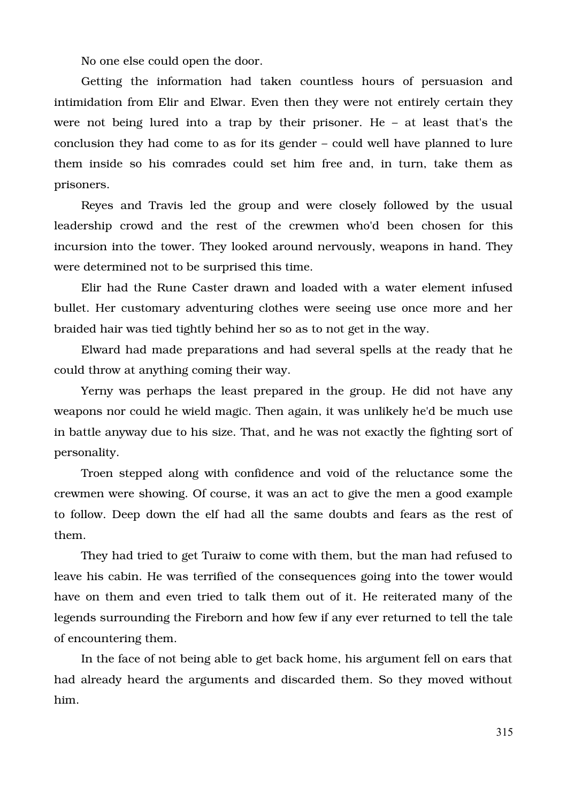No one else could open the door.

Getting the information had taken countless hours of persuasion and intimidation from Elir and Elwar. Even then they were not entirely certain they were not being lured into a trap by their prisoner. He – at least that's the conclusion they had come to as for its gender – could well have planned to lure them inside so his comrades could set him free and, in turn, take them as prisoners.

Reyes and Travis led the group and were closely followed by the usual leadership crowd and the rest of the crewmen who'd been chosen for this incursion into the tower. They looked around nervously, weapons in hand. They were determined not to be surprised this time.

Elir had the Rune Caster drawn and loaded with a water element infused bullet. Her customary adventuring clothes were seeing use once more and her braided hair was tied tightly behind her so as to not get in the way.

Elward had made preparations and had several spells at the ready that he could throw at anything coming their way.

Yerny was perhaps the least prepared in the group. He did not have any weapons nor could he wield magic. Then again, it was unlikely he'd be much use in battle anyway due to his size. That, and he was not exactly the fighting sort of personality.

Troen stepped along with confidence and void of the reluctance some the crewmen were showing. Of course, it was an act to give the men a good example to follow. Deep down the elf had all the same doubts and fears as the rest of them.

They had tried to get Turaiw to come with them, but the man had refused to leave his cabin. He was terrified of the consequences going into the tower would have on them and even tried to talk them out of it. He reiterated many of the legends surrounding the Fireborn and how few if any ever returned to tell the tale of encountering them.

In the face of not being able to get back home, his argument fell on ears that had already heard the arguments and discarded them. So they moved without him.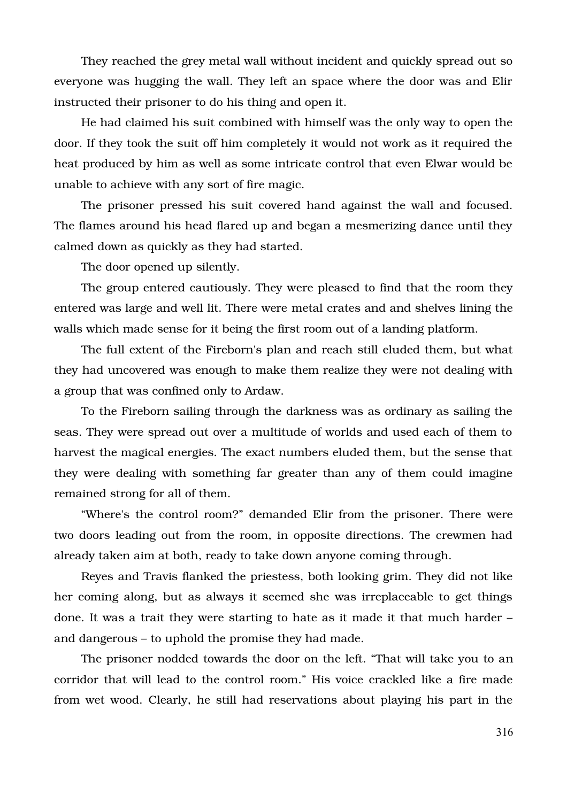They reached the grey metal wall without incident and quickly spread out so everyone was hugging the wall. They left an space where the door was and Elir instructed their prisoner to do his thing and open it.

He had claimed his suit combined with himself was the only way to open the door. If they took the suit off him completely it would not work as it required the heat produced by him as well as some intricate control that even Elwar would be unable to achieve with any sort of fire magic.

The prisoner pressed his suit covered hand against the wall and focused. The flames around his head flared up and began a mesmerizing dance until they calmed down as quickly as they had started.

The door opened up silently.

The group entered cautiously. They were pleased to find that the room they entered was large and well lit. There were metal crates and and shelves lining the walls which made sense for it being the first room out of a landing platform.

The full extent of the Fireborn's plan and reach still eluded them, but what they had uncovered was enough to make them realize they were not dealing with a group that was confined only to Ardaw.

To the Fireborn sailing through the darkness was as ordinary as sailing the seas. They were spread out over a multitude of worlds and used each of them to harvest the magical energies. The exact numbers eluded them, but the sense that they were dealing with something far greater than any of them could imagine remained strong for all of them.

"Where's the control room?" demanded Elir from the prisoner. There were two doors leading out from the room, in opposite directions. The crewmen had already taken aim at both, ready to take down anyone coming through.

Reyes and Travis flanked the priestess, both looking grim. They did not like her coming along, but as always it seemed she was irreplaceable to get things done. It was a trait they were starting to hate as it made it that much harder – and dangerous – to uphold the promise they had made.

The prisoner nodded towards the door on the left. "That will take you to an corridor that will lead to the control room." His voice crackled like a fire made from wet wood. Clearly, he still had reservations about playing his part in the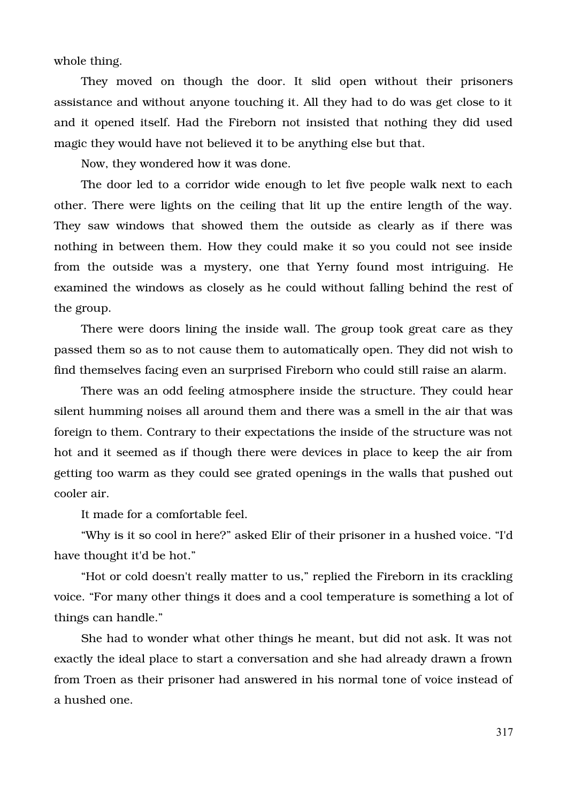whole thing.

They moved on though the door. It slid open without their prisoners assistance and without anyone touching it. All they had to do was get close to it and it opened itself. Had the Fireborn not insisted that nothing they did used magic they would have not believed it to be anything else but that.

Now, they wondered how it was done.

The door led to a corridor wide enough to let five people walk next to each other. There were lights on the ceiling that lit up the entire length of the way. They saw windows that showed them the outside as clearly as if there was nothing in between them. How they could make it so you could not see inside from the outside was a mystery, one that Yerny found most intriguing. He examined the windows as closely as he could without falling behind the rest of the group.

There were doors lining the inside wall. The group took great care as they passed them so as to not cause them to automatically open. They did not wish to find themselves facing even an surprised Fireborn who could still raise an alarm.

There was an odd feeling atmosphere inside the structure. They could hear silent humming noises all around them and there was a smell in the air that was foreign to them. Contrary to their expectations the inside of the structure was not hot and it seemed as if though there were devices in place to keep the air from getting too warm as they could see grated openings in the walls that pushed out cooler air.

It made for a comfortable feel.

"Why is it so cool in here?" asked Elir of their prisoner in a hushed voice. "I'd have thought it'd be hot."

"Hot or cold doesn't really matter to us," replied the Fireborn in its crackling voice. "For many other things it does and a cool temperature is something a lot of things can handle."

She had to wonder what other things he meant, but did not ask. It was not exactly the ideal place to start a conversation and she had already drawn a frown from Troen as their prisoner had answered in his normal tone of voice instead of a hushed one.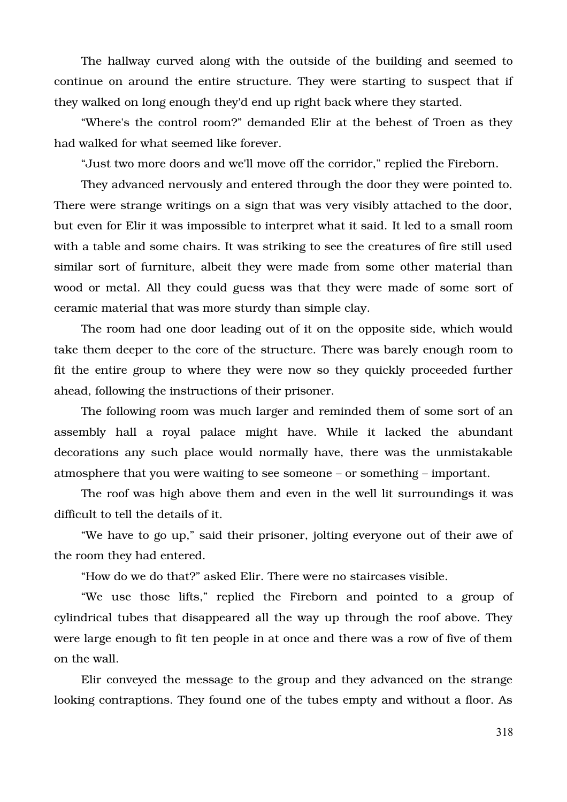The hallway curved along with the outside of the building and seemed to continue on around the entire structure. They were starting to suspect that if they walked on long enough they'd end up right back where they started.

"Where's the control room?" demanded Elir at the behest of Troen as they had walked for what seemed like forever.

"Just two more doors and we'll move off the corridor," replied the Fireborn.

They advanced nervously and entered through the door they were pointed to. There were strange writings on a sign that was very visibly attached to the door, but even for Elir it was impossible to interpret what it said. It led to a small room with a table and some chairs. It was striking to see the creatures of fire still used similar sort of furniture, albeit they were made from some other material than wood or metal. All they could guess was that they were made of some sort of ceramic material that was more sturdy than simple clay.

The room had one door leading out of it on the opposite side, which would take them deeper to the core of the structure. There was barely enough room to fit the entire group to where they were now so they quickly proceeded further ahead, following the instructions of their prisoner.

The following room was much larger and reminded them of some sort of an assembly hall a royal palace might have. While it lacked the abundant decorations any such place would normally have, there was the unmistakable atmosphere that you were waiting to see someone – or something – important.

The roof was high above them and even in the well lit surroundings it was difficult to tell the details of it.

"We have to go up," said their prisoner, jolting everyone out of their awe of the room they had entered.

"How do we do that?" asked Elir. There were no staircases visible.

"We use those lifts," replied the Fireborn and pointed to a group of cylindrical tubes that disappeared all the way up through the roof above. They were large enough to fit ten people in at once and there was a row of five of them on the wall.

Elir conveyed the message to the group and they advanced on the strange looking contraptions. They found one of the tubes empty and without a floor. As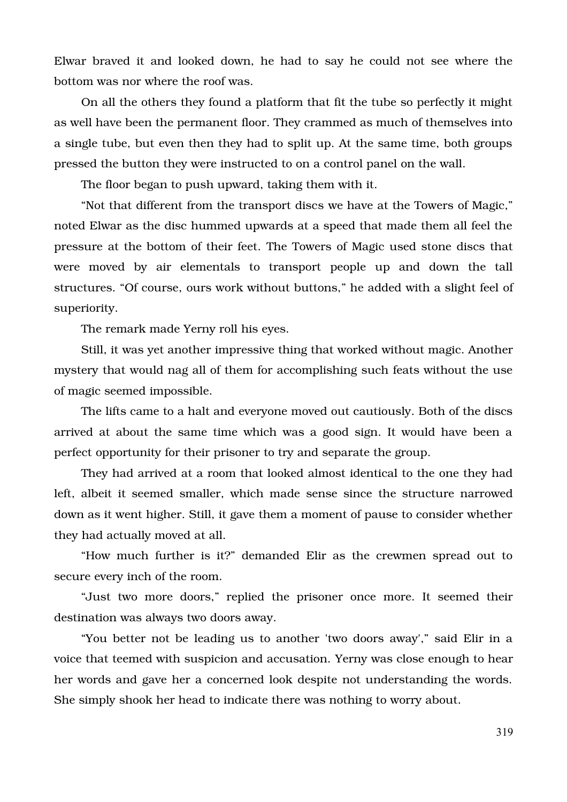Elwar braved it and looked down, he had to say he could not see where the bottom was nor where the roof was.

On all the others they found a platform that fit the tube so perfectly it might as well have been the permanent floor. They crammed as much of themselves into a single tube, but even then they had to split up. At the same time, both groups pressed the button they were instructed to on a control panel on the wall.

The floor began to push upward, taking them with it.

"Not that different from the transport discs we have at the Towers of Magic," noted Elwar as the disc hummed upwards at a speed that made them all feel the pressure at the bottom of their feet. The Towers of Magic used stone discs that were moved by air elementals to transport people up and down the tall structures. "Of course, ours work without buttons," he added with a slight feel of superiority.

The remark made Yerny roll his eyes.

Still, it was yet another impressive thing that worked without magic. Another mystery that would nag all of them for accomplishing such feats without the use of magic seemed impossible.

The lifts came to a halt and everyone moved out cautiously. Both of the discs arrived at about the same time which was a good sign. It would have been a perfect opportunity for their prisoner to try and separate the group.

They had arrived at a room that looked almost identical to the one they had left, albeit it seemed smaller, which made sense since the structure narrowed down as it went higher. Still, it gave them a moment of pause to consider whether they had actually moved at all.

"How much further is it?" demanded Elir as the crewmen spread out to secure every inch of the room.

"Just two more doors," replied the prisoner once more. It seemed their destination was always two doors away.

"You better not be leading us to another 'two doors away'," said Elir in a voice that teemed with suspicion and accusation. Yerny was close enough to hear her words and gave her a concerned look despite not understanding the words. She simply shook her head to indicate there was nothing to worry about.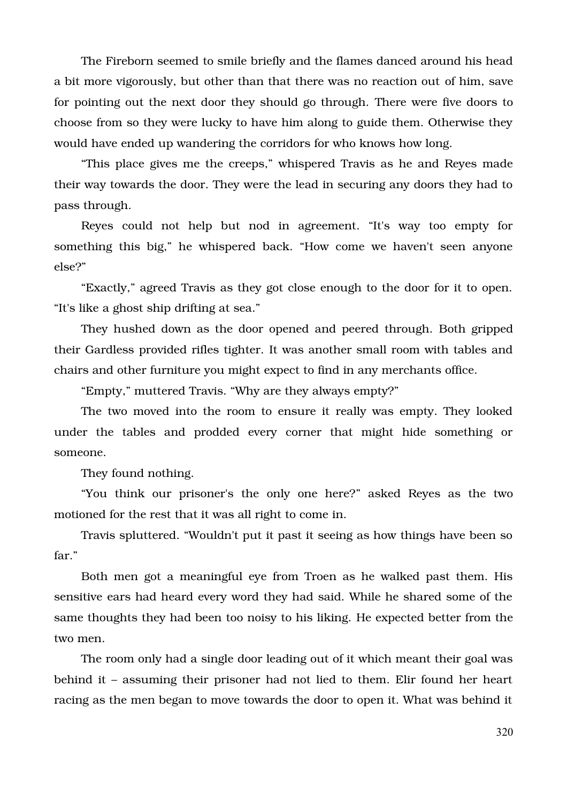The Fireborn seemed to smile briefly and the flames danced around his head a bit more vigorously, but other than that there was no reaction out of him, save for pointing out the next door they should go through. There were five doors to choose from so they were lucky to have him along to guide them. Otherwise they would have ended up wandering the corridors for who knows how long.

"This place gives me the creeps," whispered Travis as he and Reyes made their way towards the door. They were the lead in securing any doors they had to pass through.

Reyes could not help but nod in agreement. "It's way too empty for something this big," he whispered back. "How come we haven't seen anyone else?"

"Exactly," agreed Travis as they got close enough to the door for it to open. "It's like a ghost ship drifting at sea."

They hushed down as the door opened and peered through. Both gripped their Gardless provided rifles tighter. It was another small room with tables and chairs and other furniture you might expect to find in any merchants office.

"Empty," muttered Travis. "Why are they always empty?"

The two moved into the room to ensure it really was empty. They looked under the tables and prodded every corner that might hide something or someone.

They found nothing.

"You think our prisoner's the only one here?" asked Reyes as the two motioned for the rest that it was all right to come in.

Travis spluttered. "Wouldn't put it past it seeing as how things have been so far."

Both men got a meaningful eye from Troen as he walked past them. His sensitive ears had heard every word they had said. While he shared some of the same thoughts they had been too noisy to his liking. He expected better from the two men.

The room only had a single door leading out of it which meant their goal was behind it – assuming their prisoner had not lied to them. Elir found her heart racing as the men began to move towards the door to open it. What was behind it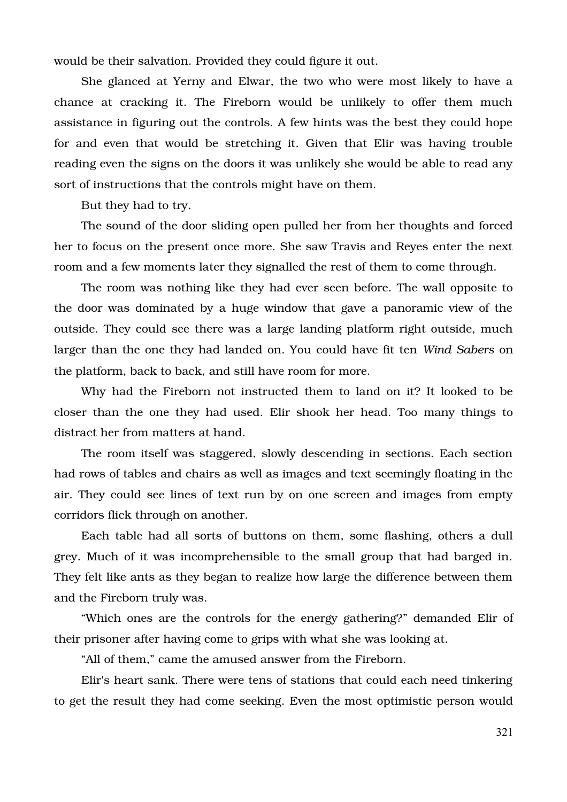would be their salvation. Provided they could figure it out.

She glanced at Yerny and Elwar, the two who were most likely to have a chance at cracking it. The Fireborn would be unlikely to offer them much assistance in figuring out the controls. A few hints was the best they could hope for and even that would be stretching it. Given that Elir was having trouble reading even the signs on the doors it was unlikely she would be able to read any sort of instructions that the controls might have on them.

But they had to try.

The sound of the door sliding open pulled her from her thoughts and forced her to focus on the present once more. She saw Travis and Reyes enter the next room and a few moments later they signalled the rest of them to come through.

The room was nothing like they had ever seen before. The wall opposite to the door was dominated by a huge window that gave a panoramic view of the outside. They could see there was a large landing platform right outside, much larger than the one they had landed on. You could have fit ten *Wind Sabers* on the platform, back to back, and still have room for more.

Why had the Fireborn not instructed them to land on it? It looked to be closer than the one they had used. Elir shook her head. Too many things to distract her from matters at hand.

The room itself was staggered, slowly descending in sections. Each section had rows of tables and chairs as well as images and text seemingly floating in the air. They could see lines of text run by on one screen and images from empty corridors flick through on another.

Each table had all sorts of buttons on them, some flashing, others a dull grey. Much of it was incomprehensible to the small group that had barged in. They felt like ants as they began to realize how large the difference between them and the Fireborn truly was.

"Which ones are the controls for the energy gathering?" demanded Elir of their prisoner after having come to grips with what she was looking at.

"All of them," came the amused answer from the Fireborn.

Elir's heart sank. There were tens of stations that could each need tinkering to get the result they had come seeking. Even the most optimistic person would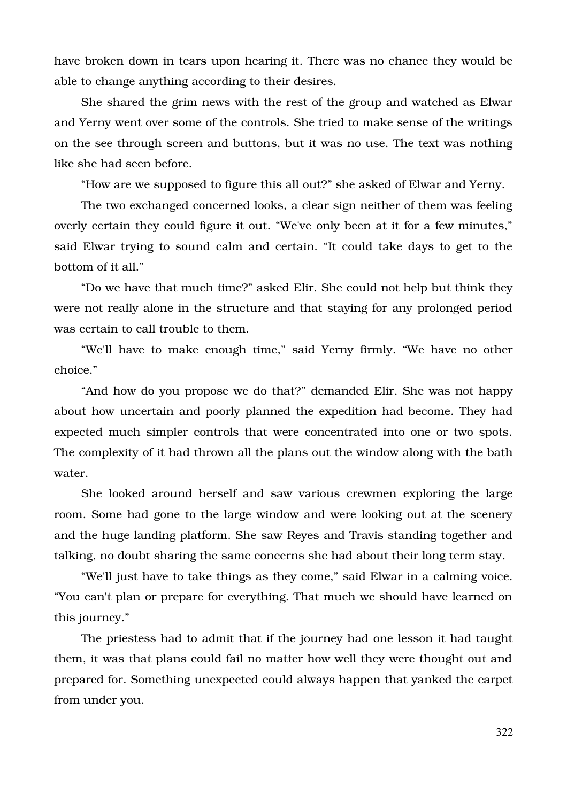have broken down in tears upon hearing it. There was no chance they would be able to change anything according to their desires.

She shared the grim news with the rest of the group and watched as Elwar and Yerny went over some of the controls. She tried to make sense of the writings on the see through screen and buttons, but it was no use. The text was nothing like she had seen before.

"How are we supposed to figure this all out?" she asked of Elwar and Yerny.

The two exchanged concerned looks, a clear sign neither of them was feeling overly certain they could figure it out. "We've only been at it for a few minutes," said Elwar trying to sound calm and certain. "It could take days to get to the bottom of it all."

"Do we have that much time?" asked Elir. She could not help but think they were not really alone in the structure and that staying for any prolonged period was certain to call trouble to them.

"We'll have to make enough time," said Yerny firmly. "We have no other choice."

"And how do you propose we do that?" demanded Elir. She was not happy about how uncertain and poorly planned the expedition had become. They had expected much simpler controls that were concentrated into one or two spots. The complexity of it had thrown all the plans out the window along with the bath water.

She looked around herself and saw various crewmen exploring the large room. Some had gone to the large window and were looking out at the scenery and the huge landing platform. She saw Reyes and Travis standing together and talking, no doubt sharing the same concerns she had about their long term stay.

"We'll just have to take things as they come," said Elwar in a calming voice. "You can't plan or prepare for everything. That much we should have learned on this journey."

The priestess had to admit that if the journey had one lesson it had taught them, it was that plans could fail no matter how well they were thought out and prepared for. Something unexpected could always happen that yanked the carpet from under you.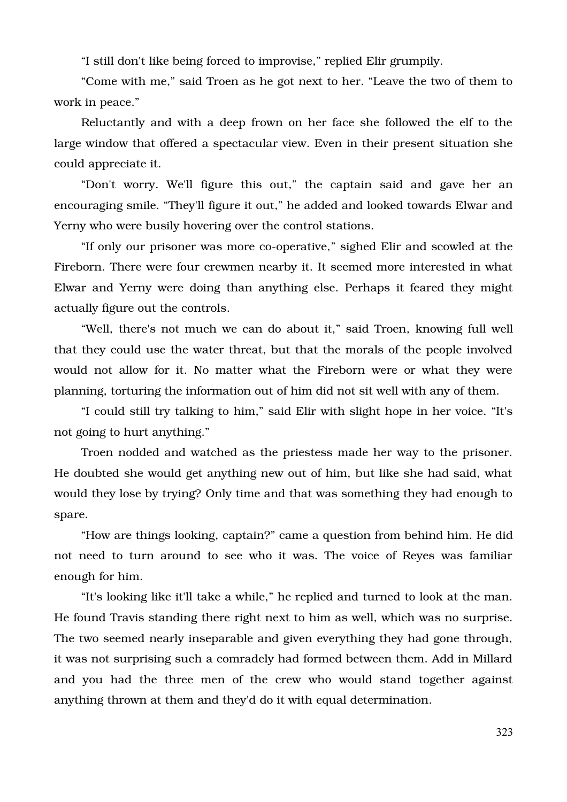"I still don't like being forced to improvise," replied Elir grumpily.

"Come with me," said Troen as he got next to her. "Leave the two of them to work in peace."

Reluctantly and with a deep frown on her face she followed the elf to the large window that offered a spectacular view. Even in their present situation she could appreciate it.

"Don't worry. We'll figure this out," the captain said and gave her an encouraging smile. "They'll figure it out," he added and looked towards Elwar and Yerny who were busily hovering over the control stations.

"If only our prisoner was more co-operative," sighed Elir and scowled at the Fireborn. There were four crewmen nearby it. It seemed more interested in what Elwar and Yerny were doing than anything else. Perhaps it feared they might actually figure out the controls.

"Well, there's not much we can do about it," said Troen, knowing full well that they could use the water threat, but that the morals of the people involved would not allow for it. No matter what the Fireborn were or what they were planning, torturing the information out of him did not sit well with any of them.

"I could still try talking to him," said Elir with slight hope in her voice. "It's not going to hurt anything."

Troen nodded and watched as the priestess made her way to the prisoner. He doubted she would get anything new out of him, but like she had said, what would they lose by trying? Only time and that was something they had enough to spare.

"How are things looking, captain?" came a question from behind him. He did not need to turn around to see who it was. The voice of Reyes was familiar enough for him.

"It's looking like it'll take a while," he replied and turned to look at the man. He found Travis standing there right next to him as well, which was no surprise. The two seemed nearly inseparable and given everything they had gone through, it was not surprising such a comradely had formed between them. Add in Millard and you had the three men of the crew who would stand together against anything thrown at them and they'd do it with equal determination.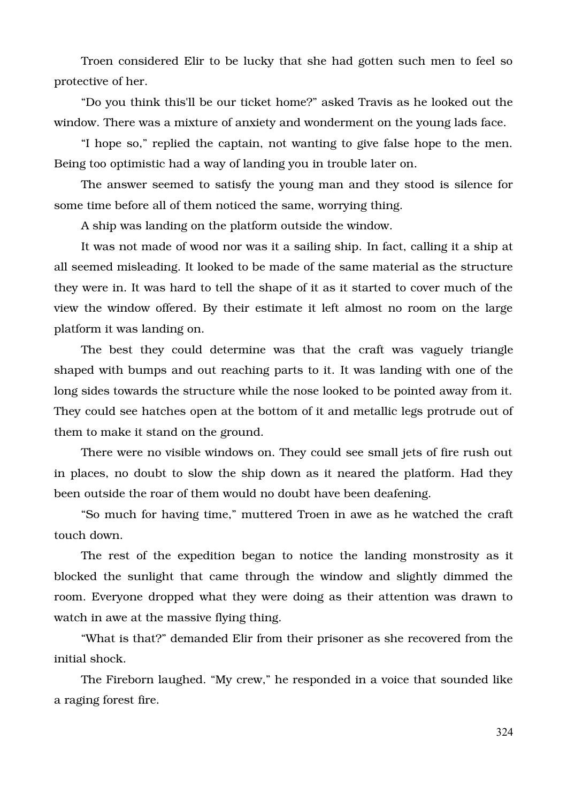Troen considered Elir to be lucky that she had gotten such men to feel so protective of her.

"Do you think this'll be our ticket home?" asked Travis as he looked out the window. There was a mixture of anxiety and wonderment on the young lads face.

"I hope so," replied the captain, not wanting to give false hope to the men. Being too optimistic had a way of landing you in trouble later on.

The answer seemed to satisfy the young man and they stood is silence for some time before all of them noticed the same, worrying thing.

A ship was landing on the platform outside the window.

It was not made of wood nor was it a sailing ship. In fact, calling it a ship at all seemed misleading. It looked to be made of the same material as the structure they were in. It was hard to tell the shape of it as it started to cover much of the view the window offered. By their estimate it left almost no room on the large platform it was landing on.

The best they could determine was that the craft was vaguely triangle shaped with bumps and out reaching parts to it. It was landing with one of the long sides towards the structure while the nose looked to be pointed away from it. They could see hatches open at the bottom of it and metallic legs protrude out of them to make it stand on the ground.

There were no visible windows on. They could see small jets of fire rush out in places, no doubt to slow the ship down as it neared the platform. Had they been outside the roar of them would no doubt have been deafening.

"So much for having time," muttered Troen in awe as he watched the craft touch down.

The rest of the expedition began to notice the landing monstrosity as it blocked the sunlight that came through the window and slightly dimmed the room. Everyone dropped what they were doing as their attention was drawn to watch in awe at the massive flying thing.

"What is that?" demanded Elir from their prisoner as she recovered from the initial shock.

The Fireborn laughed. "My crew," he responded in a voice that sounded like a raging forest fire.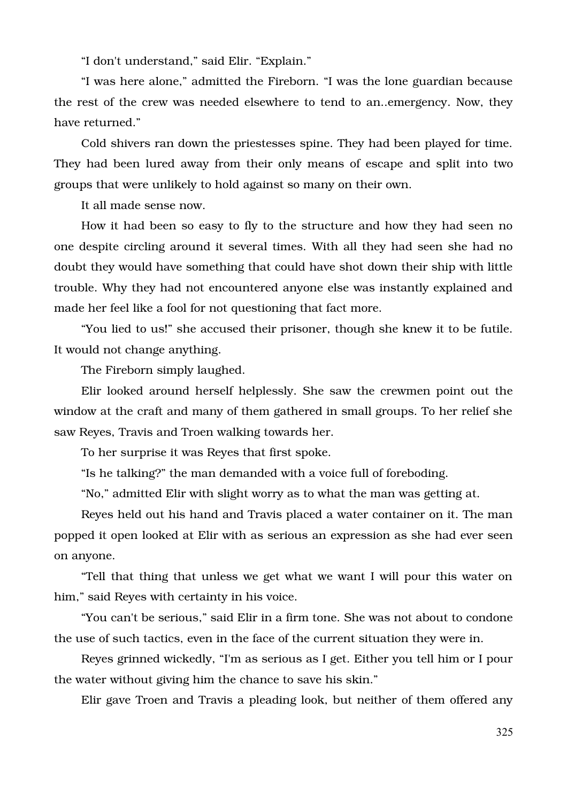"I don't understand," said Elir. "Explain."

"I was here alone," admitted the Fireborn. "I was the lone guardian because the rest of the crew was needed elsewhere to tend to an..emergency. Now, they have returned."

Cold shivers ran down the priestesses spine. They had been played for time. They had been lured away from their only means of escape and split into two groups that were unlikely to hold against so many on their own.

It all made sense now.

How it had been so easy to fly to the structure and how they had seen no one despite circling around it several times. With all they had seen she had no doubt they would have something that could have shot down their ship with little trouble. Why they had not encountered anyone else was instantly explained and made her feel like a fool for not questioning that fact more.

"You lied to us!" she accused their prisoner, though she knew it to be futile. It would not change anything.

The Fireborn simply laughed.

Elir looked around herself helplessly. She saw the crewmen point out the window at the craft and many of them gathered in small groups. To her relief she saw Reyes, Travis and Troen walking towards her.

To her surprise it was Reyes that first spoke.

"Is he talking?" the man demanded with a voice full of foreboding.

"No," admitted Elir with slight worry as to what the man was getting at.

Reyes held out his hand and Travis placed a water container on it. The man popped it open looked at Elir with as serious an expression as she had ever seen on anyone.

"Tell that thing that unless we get what we want I will pour this water on him," said Reyes with certainty in his voice.

"You can't be serious," said Elir in a firm tone. She was not about to condone the use of such tactics, even in the face of the current situation they were in.

Reyes grinned wickedly, "I'm as serious as I get. Either you tell him or I pour the water without giving him the chance to save his skin."

Elir gave Troen and Travis a pleading look, but neither of them offered any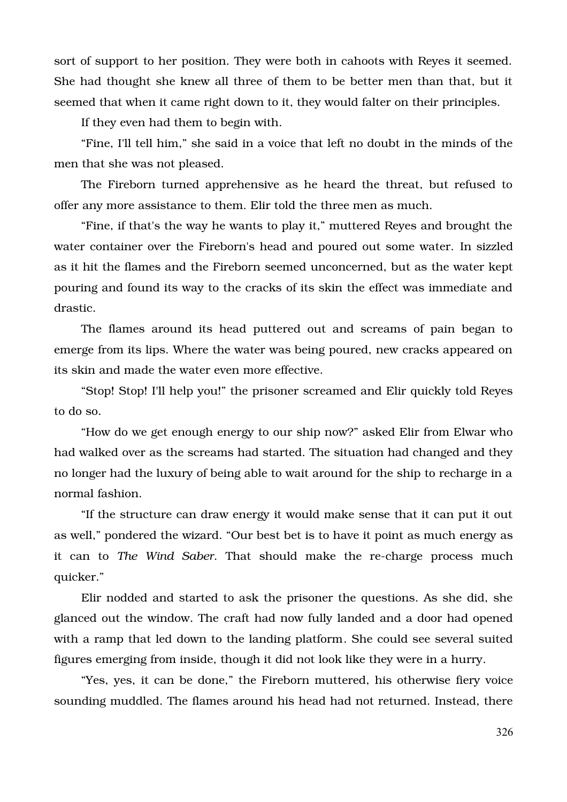sort of support to her position. They were both in cahoots with Reyes it seemed. She had thought she knew all three of them to be better men than that, but it seemed that when it came right down to it, they would falter on their principles.

If they even had them to begin with.

"Fine, I'll tell him," she said in a voice that left no doubt in the minds of the men that she was not pleased.

The Fireborn turned apprehensive as he heard the threat, but refused to offer any more assistance to them. Elir told the three men as much.

"Fine, if that's the way he wants to play it," muttered Reyes and brought the water container over the Fireborn's head and poured out some water. In sizzled as it hit the flames and the Fireborn seemed unconcerned, but as the water kept pouring and found its way to the cracks of its skin the effect was immediate and drastic.

The flames around its head puttered out and screams of pain began to emerge from its lips. Where the water was being poured, new cracks appeared on its skin and made the water even more effective.

"Stop! Stop! I'll help you!" the prisoner screamed and Elir quickly told Reyes to do so.

"How do we get enough energy to our ship now?" asked Elir from Elwar who had walked over as the screams had started. The situation had changed and they no longer had the luxury of being able to wait around for the ship to recharge in a normal fashion.

"If the structure can draw energy it would make sense that it can put it out as well," pondered the wizard. "Our best bet is to have it point as much energy as it can to *The Wind Saber*. That should make the re-charge process much quicker."

Elir nodded and started to ask the prisoner the questions. As she did, she glanced out the window. The craft had now fully landed and a door had opened with a ramp that led down to the landing platform. She could see several suited figures emerging from inside, though it did not look like they were in a hurry.

"Yes, yes, it can be done," the Fireborn muttered, his otherwise fiery voice sounding muddled. The flames around his head had not returned. Instead, there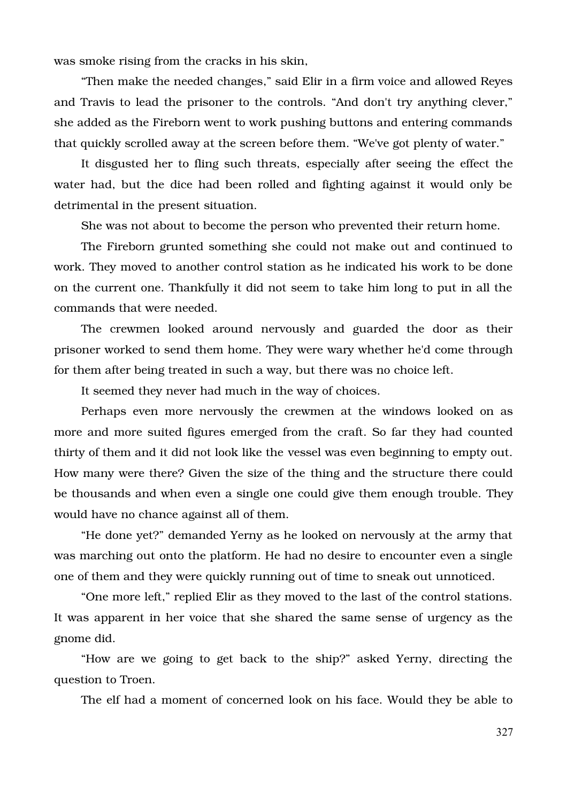was smoke rising from the cracks in his skin,

"Then make the needed changes," said Elir in a firm voice and allowed Reyes and Travis to lead the prisoner to the controls. "And don't try anything clever," she added as the Fireborn went to work pushing buttons and entering commands that quickly scrolled away at the screen before them. "We've got plenty of water."

It disgusted her to fling such threats, especially after seeing the effect the water had, but the dice had been rolled and fighting against it would only be detrimental in the present situation.

She was not about to become the person who prevented their return home.

The Fireborn grunted something she could not make out and continued to work. They moved to another control station as he indicated his work to be done on the current one. Thankfully it did not seem to take him long to put in all the commands that were needed.

The crewmen looked around nervously and guarded the door as their prisoner worked to send them home. They were wary whether he'd come through for them after being treated in such a way, but there was no choice left.

It seemed they never had much in the way of choices.

Perhaps even more nervously the crewmen at the windows looked on as more and more suited figures emerged from the craft. So far they had counted thirty of them and it did not look like the vessel was even beginning to empty out. How many were there? Given the size of the thing and the structure there could be thousands and when even a single one could give them enough trouble. They would have no chance against all of them.

"He done yet?" demanded Yerny as he looked on nervously at the army that was marching out onto the platform. He had no desire to encounter even a single one of them and they were quickly running out of time to sneak out unnoticed.

"One more left," replied Elir as they moved to the last of the control stations. It was apparent in her voice that she shared the same sense of urgency as the gnome did.

"How are we going to get back to the ship?" asked Yerny, directing the question to Troen.

The elf had a moment of concerned look on his face. Would they be able to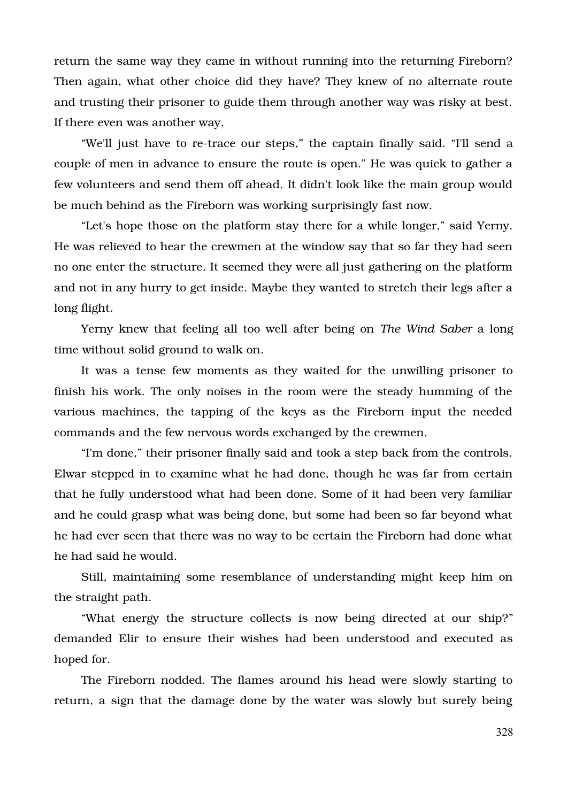return the same way they came in without running into the returning Fireborn? Then again, what other choice did they have? They knew of no alternate route and trusting their prisoner to guide them through another way was risky at best. If there even was another way.

"We'll just have to re-trace our steps," the captain finally said. "I'll send a couple of men in advance to ensure the route is open." He was quick to gather a few volunteers and send them off ahead. It didn't look like the main group would be much behind as the Fireborn was working surprisingly fast now.

"Let's hope those on the platform stay there for a while longer," said Yerny. He was relieved to hear the crewmen at the window say that so far they had seen no one enter the structure. It seemed they were all just gathering on the platform and not in any hurry to get inside. Maybe they wanted to stretch their legs after a long flight.

Yerny knew that feeling all too well after being on *The Wind Saber* a long time without solid ground to walk on.

It was a tense few moments as they waited for the unwilling prisoner to finish his work. The only noises in the room were the steady humming of the various machines, the tapping of the keys as the Fireborn input the needed commands and the few nervous words exchanged by the crewmen.

"I'm done," their prisoner finally said and took a step back from the controls. Elwar stepped in to examine what he had done, though he was far from certain that he fully understood what had been done. Some of it had been very familiar and he could grasp what was being done, but some had been so far beyond what he had ever seen that there was no way to be certain the Fireborn had done what he had said he would.

Still, maintaining some resemblance of understanding might keep him on the straight path.

"What energy the structure collects is now being directed at our ship?" demanded Elir to ensure their wishes had been understood and executed as hoped for.

The Fireborn nodded. The flames around his head were slowly starting to return, a sign that the damage done by the water was slowly but surely being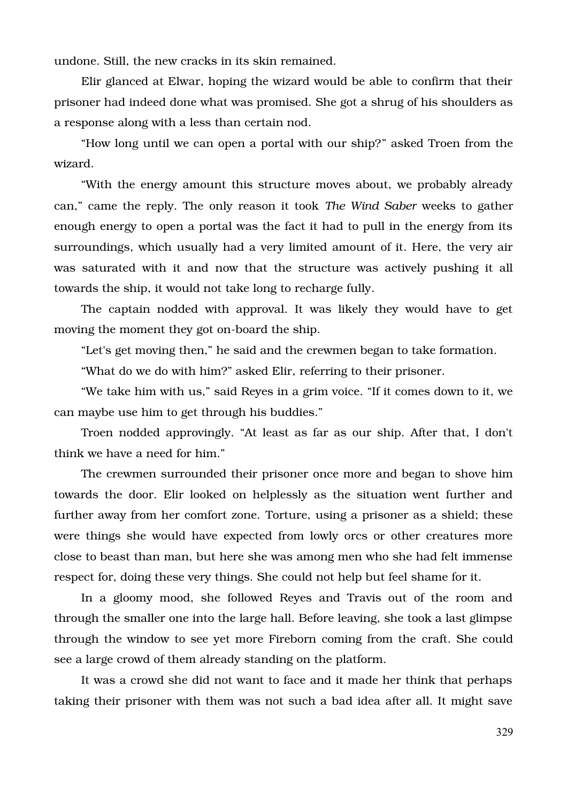undone. Still, the new cracks in its skin remained.

Elir glanced at Elwar, hoping the wizard would be able to confirm that their prisoner had indeed done what was promised. She got a shrug of his shoulders as a response along with a less than certain nod.

"How long until we can open a portal with our ship?" asked Troen from the wizard.

"With the energy amount this structure moves about, we probably already can," came the reply. The only reason it took *The Wind Saber* weeks to gather enough energy to open a portal was the fact it had to pull in the energy from its surroundings, which usually had a very limited amount of it. Here, the very air was saturated with it and now that the structure was actively pushing it all towards the ship, it would not take long to recharge fully.

The captain nodded with approval. It was likely they would have to get moving the moment they got on-board the ship.

"Let's get moving then," he said and the crewmen began to take formation.

"What do we do with him?" asked Elir, referring to their prisoner.

"We take him with us," said Reyes in a grim voice. "If it comes down to it, we can maybe use him to get through his buddies."

Troen nodded approvingly. "At least as far as our ship. After that, I don't think we have a need for him."

The crewmen surrounded their prisoner once more and began to shove him towards the door. Elir looked on helplessly as the situation went further and further away from her comfort zone. Torture, using a prisoner as a shield; these were things she would have expected from lowly orcs or other creatures more close to beast than man, but here she was among men who she had felt immense respect for, doing these very things. She could not help but feel shame for it.

In a gloomy mood, she followed Reyes and Travis out of the room and through the smaller one into the large hall. Before leaving, she took a last glimpse through the window to see yet more Fireborn coming from the craft. She could see a large crowd of them already standing on the platform.

It was a crowd she did not want to face and it made her think that perhaps taking their prisoner with them was not such a bad idea after all. It might save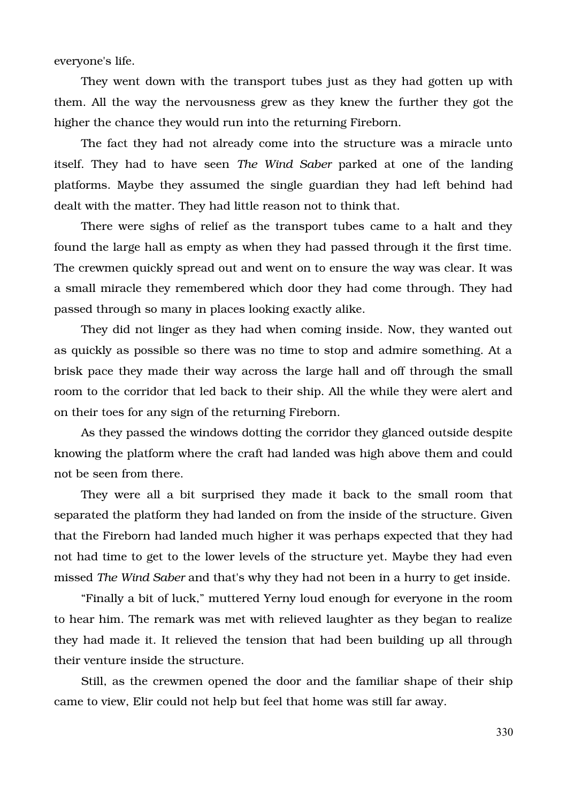everyone's life.

They went down with the transport tubes just as they had gotten up with them. All the way the nervousness grew as they knew the further they got the higher the chance they would run into the returning Fireborn.

The fact they had not already come into the structure was a miracle unto itself. They had to have seen *The Wind Saber* parked at one of the landing platforms. Maybe they assumed the single guardian they had left behind had dealt with the matter. They had little reason not to think that.

There were sighs of relief as the transport tubes came to a halt and they found the large hall as empty as when they had passed through it the first time. The crewmen quickly spread out and went on to ensure the way was clear. It was a small miracle they remembered which door they had come through. They had passed through so many in places looking exactly alike.

They did not linger as they had when coming inside. Now, they wanted out as quickly as possible so there was no time to stop and admire something. At a brisk pace they made their way across the large hall and off through the small room to the corridor that led back to their ship. All the while they were alert and on their toes for any sign of the returning Fireborn.

As they passed the windows dotting the corridor they glanced outside despite knowing the platform where the craft had landed was high above them and could not be seen from there.

They were all a bit surprised they made it back to the small room that separated the platform they had landed on from the inside of the structure. Given that the Fireborn had landed much higher it was perhaps expected that they had not had time to get to the lower levels of the structure yet. Maybe they had even missed *The Wind Saber* and that's why they had not been in a hurry to get inside.

"Finally a bit of luck," muttered Yerny loud enough for everyone in the room to hear him. The remark was met with relieved laughter as they began to realize they had made it. It relieved the tension that had been building up all through their venture inside the structure.

Still, as the crewmen opened the door and the familiar shape of their ship came to view, Elir could not help but feel that home was still far away.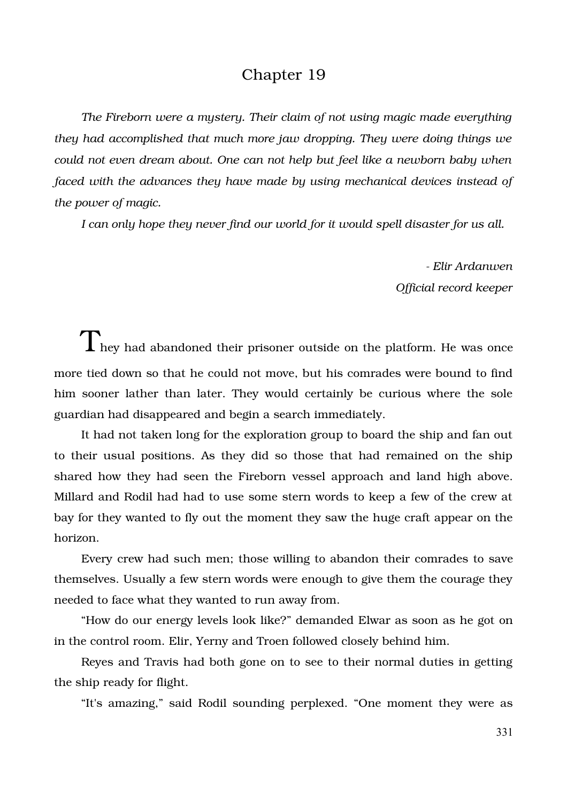## Chapter 19

*The Fireborn were a mystery. Their claim of not using magic made everything they had accomplished that much more jaw dropping. They were doing things we could not even dream about. One can not help but feel like a newborn baby when faced with the advances they have made by using mechanical devices instead of the power of magic.*

*I can only hope they never find our world for it would spell disaster for us all.*

 *Elir Ardanwen Official record keeper*

 $\rm T$  hey had abandoned their prisoner outside on the platform. He was once more tied down so that he could not move, but his comrades were bound to find him sooner lather than later. They would certainly be curious where the sole guardian had disappeared and begin a search immediately.

It had not taken long for the exploration group to board the ship and fan out to their usual positions. As they did so those that had remained on the ship shared how they had seen the Fireborn vessel approach and land high above. Millard and Rodil had had to use some stern words to keep a few of the crew at bay for they wanted to fly out the moment they saw the huge craft appear on the horizon.

Every crew had such men; those willing to abandon their comrades to save themselves. Usually a few stern words were enough to give them the courage they needed to face what they wanted to run away from.

"How do our energy levels look like?" demanded Elwar as soon as he got on in the control room. Elir, Yerny and Troen followed closely behind him.

Reyes and Travis had both gone on to see to their normal duties in getting the ship ready for flight.

"It's amazing," said Rodil sounding perplexed. "One moment they were as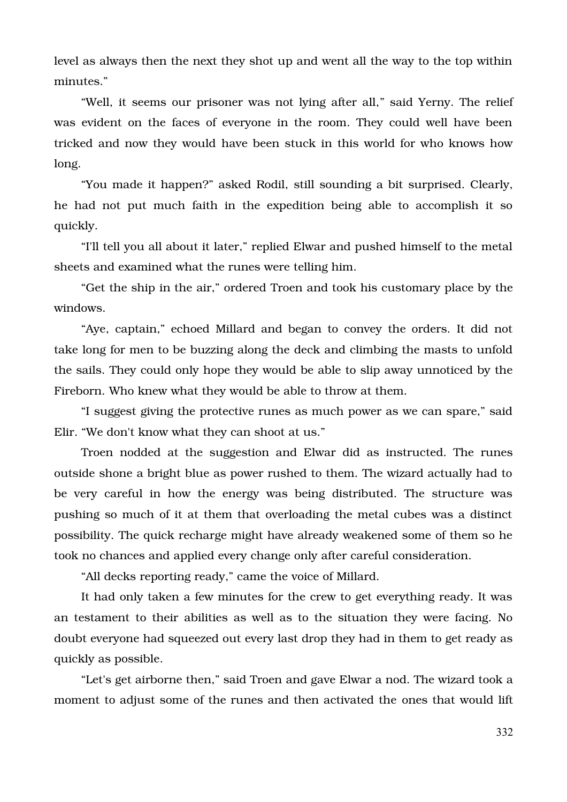level as always then the next they shot up and went all the way to the top within minutes."

"Well, it seems our prisoner was not lying after all," said Yerny. The relief was evident on the faces of everyone in the room. They could well have been tricked and now they would have been stuck in this world for who knows how long.

"You made it happen?" asked Rodil, still sounding a bit surprised. Clearly, he had not put much faith in the expedition being able to accomplish it so quickly.

"I'll tell you all about it later," replied Elwar and pushed himself to the metal sheets and examined what the runes were telling him.

"Get the ship in the air," ordered Troen and took his customary place by the windows.

"Aye, captain," echoed Millard and began to convey the orders. It did not take long for men to be buzzing along the deck and climbing the masts to unfold the sails. They could only hope they would be able to slip away unnoticed by the Fireborn. Who knew what they would be able to throw at them.

"I suggest giving the protective runes as much power as we can spare," said Elir. "We don't know what they can shoot at us."

Troen nodded at the suggestion and Elwar did as instructed. The runes outside shone a bright blue as power rushed to them. The wizard actually had to be very careful in how the energy was being distributed. The structure was pushing so much of it at them that overloading the metal cubes was a distinct possibility. The quick recharge might have already weakened some of them so he took no chances and applied every change only after careful consideration.

"All decks reporting ready," came the voice of Millard.

It had only taken a few minutes for the crew to get everything ready. It was an testament to their abilities as well as to the situation they were facing. No doubt everyone had squeezed out every last drop they had in them to get ready as quickly as possible.

"Let's get airborne then," said Troen and gave Elwar a nod. The wizard took a moment to adjust some of the runes and then activated the ones that would lift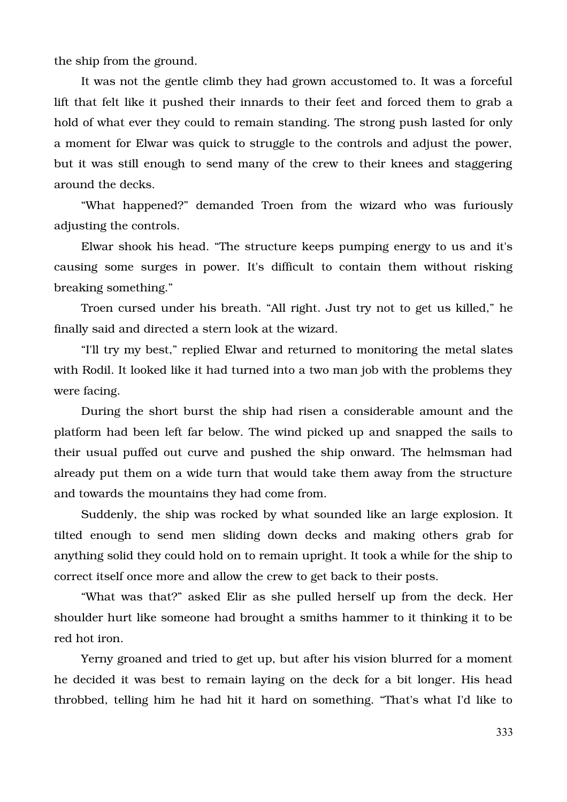the ship from the ground.

It was not the gentle climb they had grown accustomed to. It was a forceful lift that felt like it pushed their innards to their feet and forced them to grab a hold of what ever they could to remain standing. The strong push lasted for only a moment for Elwar was quick to struggle to the controls and adjust the power, but it was still enough to send many of the crew to their knees and staggering around the decks.

"What happened?" demanded Troen from the wizard who was furiously adjusting the controls.

Elwar shook his head. "The structure keeps pumping energy to us and it's causing some surges in power. It's difficult to contain them without risking breaking something."

Troen cursed under his breath. "All right. Just try not to get us killed," he finally said and directed a stern look at the wizard.

"I'll try my best," replied Elwar and returned to monitoring the metal slates with Rodil. It looked like it had turned into a two man job with the problems they were facing.

During the short burst the ship had risen a considerable amount and the platform had been left far below. The wind picked up and snapped the sails to their usual puffed out curve and pushed the ship onward. The helmsman had already put them on a wide turn that would take them away from the structure and towards the mountains they had come from.

Suddenly, the ship was rocked by what sounded like an large explosion. It tilted enough to send men sliding down decks and making others grab for anything solid they could hold on to remain upright. It took a while for the ship to correct itself once more and allow the crew to get back to their posts.

"What was that?" asked Elir as she pulled herself up from the deck. Her shoulder hurt like someone had brought a smiths hammer to it thinking it to be red hot iron.

Yerny groaned and tried to get up, but after his vision blurred for a moment he decided it was best to remain laying on the deck for a bit longer. His head throbbed, telling him he had hit it hard on something. "That's what I'd like to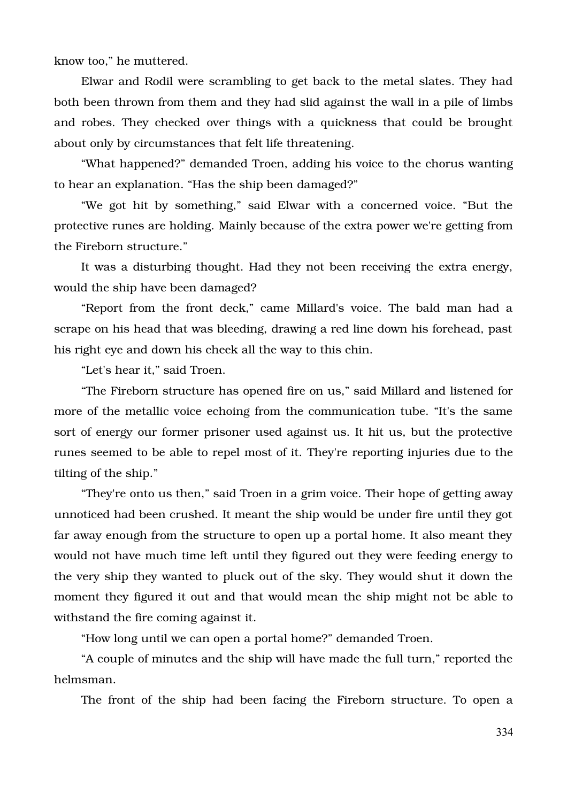know too," he muttered.

Elwar and Rodil were scrambling to get back to the metal slates. They had both been thrown from them and they had slid against the wall in a pile of limbs and robes. They checked over things with a quickness that could be brought about only by circumstances that felt life threatening.

"What happened?" demanded Troen, adding his voice to the chorus wanting to hear an explanation. "Has the ship been damaged?"

"We got hit by something," said Elwar with a concerned voice. "But the protective runes are holding. Mainly because of the extra power we're getting from the Fireborn structure."

It was a disturbing thought. Had they not been receiving the extra energy, would the ship have been damaged?

"Report from the front deck," came Millard's voice. The bald man had a scrape on his head that was bleeding, drawing a red line down his forehead, past his right eye and down his cheek all the way to this chin.

"Let's hear it," said Troen.

"The Fireborn structure has opened fire on us," said Millard and listened for more of the metallic voice echoing from the communication tube. "It's the same sort of energy our former prisoner used against us. It hit us, but the protective runes seemed to be able to repel most of it. They're reporting injuries due to the tilting of the ship."

"They're onto us then," said Troen in a grim voice. Their hope of getting away unnoticed had been crushed. It meant the ship would be under fire until they got far away enough from the structure to open up a portal home. It also meant they would not have much time left until they figured out they were feeding energy to the very ship they wanted to pluck out of the sky. They would shut it down the moment they figured it out and that would mean the ship might not be able to withstand the fire coming against it.

"How long until we can open a portal home?" demanded Troen.

"A couple of minutes and the ship will have made the full turn," reported the helmsman.

The front of the ship had been facing the Fireborn structure. To open a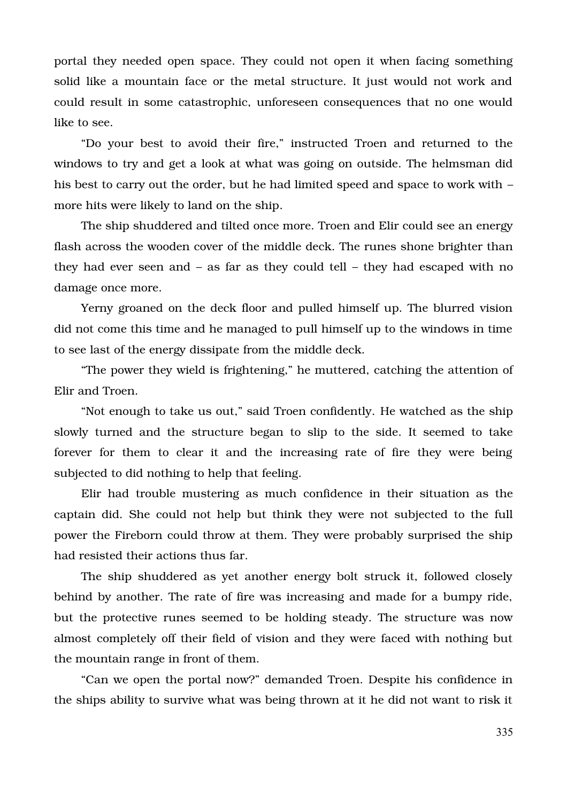portal they needed open space. They could not open it when facing something solid like a mountain face or the metal structure. It just would not work and could result in some catastrophic, unforeseen consequences that no one would like to see.

"Do your best to avoid their fire," instructed Troen and returned to the windows to try and get a look at what was going on outside. The helmsman did his best to carry out the order, but he had limited speed and space to work with  $$ more hits were likely to land on the ship.

The ship shuddered and tilted once more. Troen and Elir could see an energy flash across the wooden cover of the middle deck. The runes shone brighter than they had ever seen and – as far as they could tell – they had escaped with no damage once more.

Yerny groaned on the deck floor and pulled himself up. The blurred vision did not come this time and he managed to pull himself up to the windows in time to see last of the energy dissipate from the middle deck.

"The power they wield is frightening," he muttered, catching the attention of Elir and Troen.

"Not enough to take us out," said Troen confidently. He watched as the ship slowly turned and the structure began to slip to the side. It seemed to take forever for them to clear it and the increasing rate of fire they were being subjected to did nothing to help that feeling.

Elir had trouble mustering as much confidence in their situation as the captain did. She could not help but think they were not subjected to the full power the Fireborn could throw at them. They were probably surprised the ship had resisted their actions thus far.

The ship shuddered as yet another energy bolt struck it, followed closely behind by another. The rate of fire was increasing and made for a bumpy ride, but the protective runes seemed to be holding steady. The structure was now almost completely off their field of vision and they were faced with nothing but the mountain range in front of them.

"Can we open the portal now?" demanded Troen. Despite his confidence in the ships ability to survive what was being thrown at it he did not want to risk it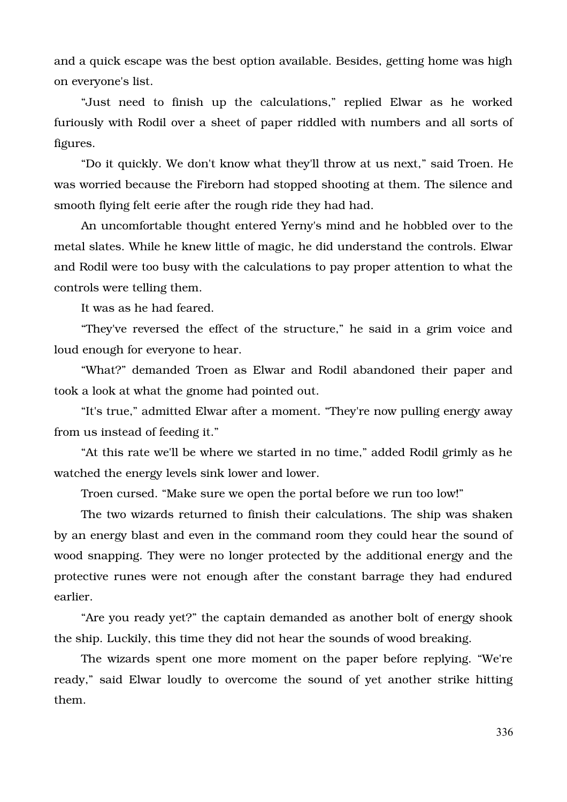and a quick escape was the best option available. Besides, getting home was high on everyone's list.

"Just need to finish up the calculations," replied Elwar as he worked furiously with Rodil over a sheet of paper riddled with numbers and all sorts of figures.

"Do it quickly. We don't know what they'll throw at us next," said Troen. He was worried because the Fireborn had stopped shooting at them. The silence and smooth flying felt eerie after the rough ride they had had.

An uncomfortable thought entered Yerny's mind and he hobbled over to the metal slates. While he knew little of magic, he did understand the controls. Elwar and Rodil were too busy with the calculations to pay proper attention to what the controls were telling them.

It was as he had feared.

"They've reversed the effect of the structure," he said in a grim voice and loud enough for everyone to hear.

"What?" demanded Troen as Elwar and Rodil abandoned their paper and took a look at what the gnome had pointed out.

"It's true," admitted Elwar after a moment. "They're now pulling energy away from us instead of feeding it."

"At this rate we'll be where we started in no time," added Rodil grimly as he watched the energy levels sink lower and lower.

Troen cursed. "Make sure we open the portal before we run too low!"

The two wizards returned to finish their calculations. The ship was shaken by an energy blast and even in the command room they could hear the sound of wood snapping. They were no longer protected by the additional energy and the protective runes were not enough after the constant barrage they had endured earlier.

"Are you ready yet?" the captain demanded as another bolt of energy shook the ship. Luckily, this time they did not hear the sounds of wood breaking.

The wizards spent one more moment on the paper before replying. "We're ready," said Elwar loudly to overcome the sound of yet another strike hitting them.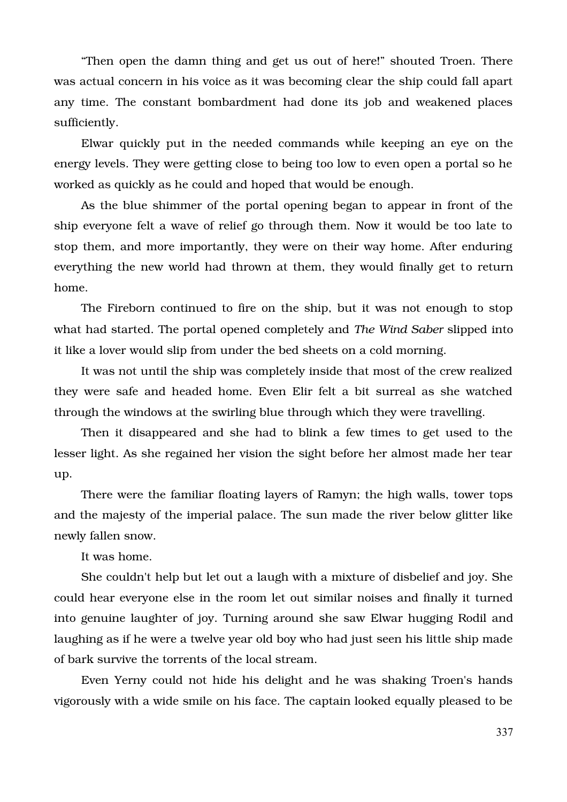"Then open the damn thing and get us out of here!" shouted Troen. There was actual concern in his voice as it was becoming clear the ship could fall apart any time. The constant bombardment had done its job and weakened places sufficiently.

Elwar quickly put in the needed commands while keeping an eye on the energy levels. They were getting close to being too low to even open a portal so he worked as quickly as he could and hoped that would be enough.

As the blue shimmer of the portal opening began to appear in front of the ship everyone felt a wave of relief go through them. Now it would be too late to stop them, and more importantly, they were on their way home. After enduring everything the new world had thrown at them, they would finally get to return home.

The Fireborn continued to fire on the ship, but it was not enough to stop what had started. The portal opened completely and *The Wind Saber* slipped into it like a lover would slip from under the bed sheets on a cold morning.

It was not until the ship was completely inside that most of the crew realized they were safe and headed home. Even Elir felt a bit surreal as she watched through the windows at the swirling blue through which they were travelling.

Then it disappeared and she had to blink a few times to get used to the lesser light. As she regained her vision the sight before her almost made her tear up.

There were the familiar floating layers of Ramyn; the high walls, tower tops and the majesty of the imperial palace. The sun made the river below glitter like newly fallen snow.

It was home.

She couldn't help but let out a laugh with a mixture of disbelief and joy. She could hear everyone else in the room let out similar noises and finally it turned into genuine laughter of joy. Turning around she saw Elwar hugging Rodil and laughing as if he were a twelve year old boy who had just seen his little ship made of bark survive the torrents of the local stream.

Even Yerny could not hide his delight and he was shaking Troen's hands vigorously with a wide smile on his face. The captain looked equally pleased to be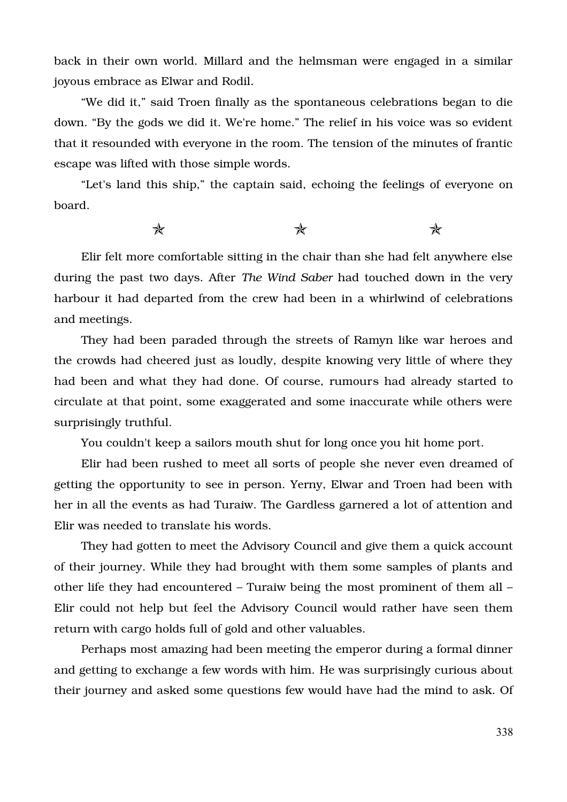back in their own world. Millard and the helmsman were engaged in a similar joyous embrace as Elwar and Rodil.

"We did it," said Troen finally as the spontaneous celebrations began to die down. "By the gods we did it. We're home." The relief in his voice was so evident that it resounded with everyone in the room. The tension of the minutes of frantic escape was lifted with those simple words.

"Let's land this ship," the captain said, echoing the feelings of everyone on board.

 $\star$  and  $\star$ 

Elir felt more comfortable sitting in the chair than she had felt anywhere else during the past two days. After *The Wind Saber* had touched down in the very harbour it had departed from the crew had been in a whirlwind of celebrations and meetings.

They had been paraded through the streets of Ramyn like war heroes and the crowds had cheered just as loudly, despite knowing very little of where they had been and what they had done. Of course, rumours had already started to circulate at that point, some exaggerated and some inaccurate while others were surprisingly truthful.

You couldn't keep a sailors mouth shut for long once you hit home port.

Elir had been rushed to meet all sorts of people she never even dreamed of getting the opportunity to see in person. Yerny, Elwar and Troen had been with her in all the events as had Turaiw. The Gardless garnered a lot of attention and Elir was needed to translate his words.

They had gotten to meet the Advisory Council and give them a quick account of their journey. While they had brought with them some samples of plants and other life they had encountered – Turaiw being the most prominent of them all – Elir could not help but feel the Advisory Council would rather have seen them return with cargo holds full of gold and other valuables.

Perhaps most amazing had been meeting the emperor during a formal dinner and getting to exchange a few words with him. He was surprisingly curious about their journey and asked some questions few would have had the mind to ask. Of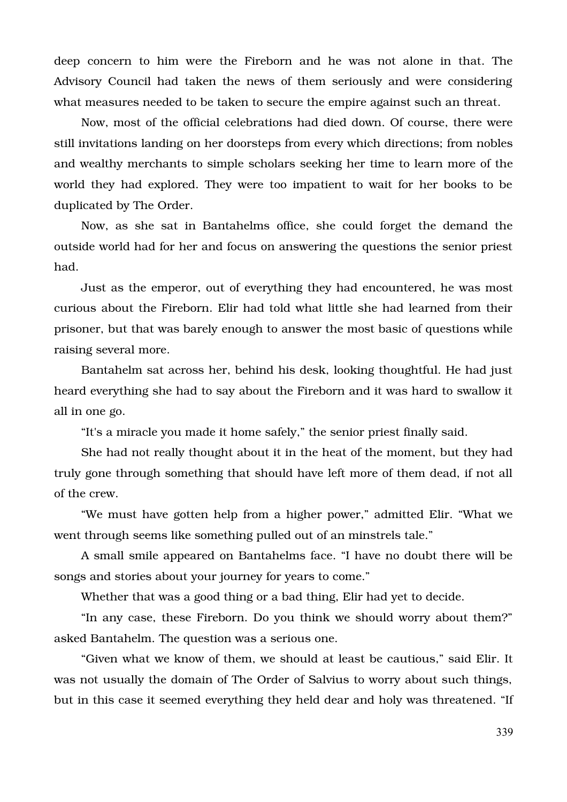deep concern to him were the Fireborn and he was not alone in that. The Advisory Council had taken the news of them seriously and were considering what measures needed to be taken to secure the empire against such an threat.

Now, most of the official celebrations had died down. Of course, there were still invitations landing on her doorsteps from every which directions; from nobles and wealthy merchants to simple scholars seeking her time to learn more of the world they had explored. They were too impatient to wait for her books to be duplicated by The Order.

Now, as she sat in Bantahelms office, she could forget the demand the outside world had for her and focus on answering the questions the senior priest had.

Just as the emperor, out of everything they had encountered, he was most curious about the Fireborn. Elir had told what little she had learned from their prisoner, but that was barely enough to answer the most basic of questions while raising several more.

Bantahelm sat across her, behind his desk, looking thoughtful. He had just heard everything she had to say about the Fireborn and it was hard to swallow it all in one go.

"It's a miracle you made it home safely," the senior priest finally said.

She had not really thought about it in the heat of the moment, but they had truly gone through something that should have left more of them dead, if not all of the crew.

"We must have gotten help from a higher power," admitted Elir. "What we went through seems like something pulled out of an minstrels tale."

A small smile appeared on Bantahelms face. "I have no doubt there will be songs and stories about your journey for years to come."

Whether that was a good thing or a bad thing, Elir had yet to decide.

"In any case, these Fireborn. Do you think we should worry about them?" asked Bantahelm. The question was a serious one.

"Given what we know of them, we should at least be cautious," said Elir. It was not usually the domain of The Order of Salvius to worry about such things, but in this case it seemed everything they held dear and holy was threatened. "If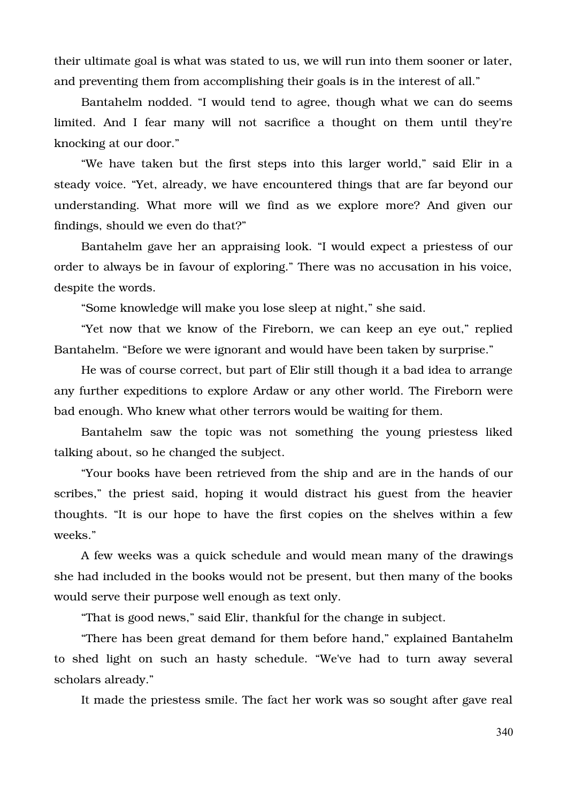their ultimate goal is what was stated to us, we will run into them sooner or later, and preventing them from accomplishing their goals is in the interest of all."

Bantahelm nodded. "I would tend to agree, though what we can do seems limited. And I fear many will not sacrifice a thought on them until they're knocking at our door."

"We have taken but the first steps into this larger world," said Elir in a steady voice. "Yet, already, we have encountered things that are far beyond our understanding. What more will we find as we explore more? And given our findings, should we even do that?"

Bantahelm gave her an appraising look. "I would expect a priestess of our order to always be in favour of exploring." There was no accusation in his voice, despite the words.

"Some knowledge will make you lose sleep at night," she said.

"Yet now that we know of the Fireborn, we can keep an eye out," replied Bantahelm. "Before we were ignorant and would have been taken by surprise."

He was of course correct, but part of Elir still though it a bad idea to arrange any further expeditions to explore Ardaw or any other world. The Fireborn were bad enough. Who knew what other terrors would be waiting for them.

Bantahelm saw the topic was not something the young priestess liked talking about, so he changed the subject.

"Your books have been retrieved from the ship and are in the hands of our scribes," the priest said, hoping it would distract his guest from the heavier thoughts. "It is our hope to have the first copies on the shelves within a few weeks."

A few weeks was a quick schedule and would mean many of the drawings she had included in the books would not be present, but then many of the books would serve their purpose well enough as text only.

"That is good news," said Elir, thankful for the change in subject.

"There has been great demand for them before hand," explained Bantahelm to shed light on such an hasty schedule. "We've had to turn away several scholars already."

It made the priestess smile. The fact her work was so sought after gave real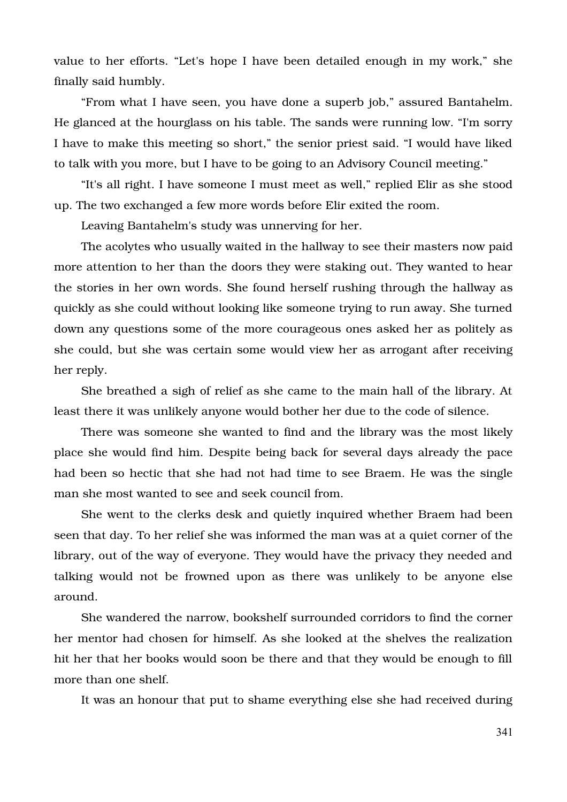value to her efforts. "Let's hope I have been detailed enough in my work," she finally said humbly.

"From what I have seen, you have done a superb job," assured Bantahelm. He glanced at the hourglass on his table. The sands were running low. "I'm sorry I have to make this meeting so short," the senior priest said. "I would have liked to talk with you more, but I have to be going to an Advisory Council meeting."

"It's all right. I have someone I must meet as well," replied Elir as she stood up. The two exchanged a few more words before Elir exited the room.

Leaving Bantahelm's study was unnerving for her.

The acolytes who usually waited in the hallway to see their masters now paid more attention to her than the doors they were staking out. They wanted to hear the stories in her own words. She found herself rushing through the hallway as quickly as she could without looking like someone trying to run away. She turned down any questions some of the more courageous ones asked her as politely as she could, but she was certain some would view her as arrogant after receiving her reply.

She breathed a sigh of relief as she came to the main hall of the library. At least there it was unlikely anyone would bother her due to the code of silence.

There was someone she wanted to find and the library was the most likely place she would find him. Despite being back for several days already the pace had been so hectic that she had not had time to see Braem. He was the single man she most wanted to see and seek council from.

She went to the clerks desk and quietly inquired whether Braem had been seen that day. To her relief she was informed the man was at a quiet corner of the library, out of the way of everyone. They would have the privacy they needed and talking would not be frowned upon as there was unlikely to be anyone else around.

She wandered the narrow, bookshelf surrounded corridors to find the corner her mentor had chosen for himself. As she looked at the shelves the realization hit her that her books would soon be there and that they would be enough to fill more than one shelf.

It was an honour that put to shame everything else she had received during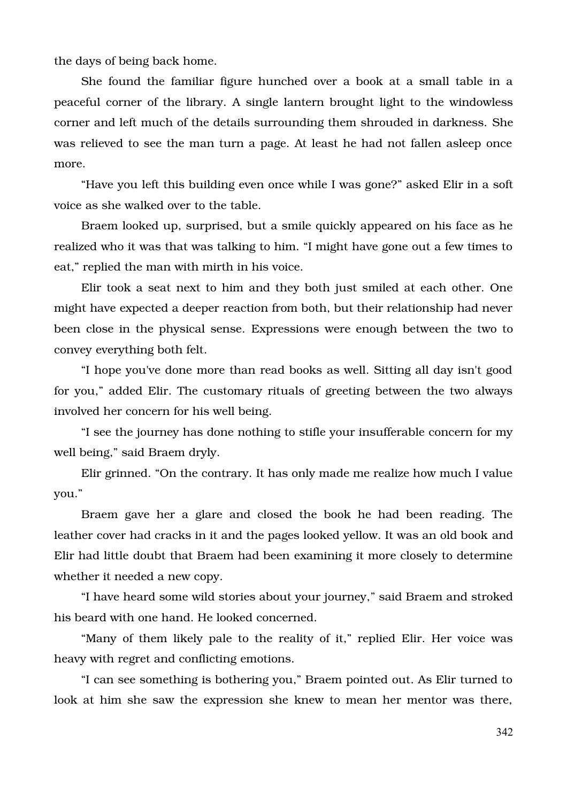the days of being back home.

She found the familiar figure hunched over a book at a small table in a peaceful corner of the library. A single lantern brought light to the windowless corner and left much of the details surrounding them shrouded in darkness. She was relieved to see the man turn a page. At least he had not fallen asleep once more.

"Have you left this building even once while I was gone?" asked Elir in a soft voice as she walked over to the table.

Braem looked up, surprised, but a smile quickly appeared on his face as he realized who it was that was talking to him. "I might have gone out a few times to eat," replied the man with mirth in his voice.

Elir took a seat next to him and they both just smiled at each other. One might have expected a deeper reaction from both, but their relationship had never been close in the physical sense. Expressions were enough between the two to convey everything both felt.

"I hope you've done more than read books as well. Sitting all day isn't good for you," added Elir. The customary rituals of greeting between the two always involved her concern for his well being.

"I see the journey has done nothing to stifle your insufferable concern for my well being," said Braem dryly.

Elir grinned. "On the contrary. It has only made me realize how much I value you."

Braem gave her a glare and closed the book he had been reading. The leather cover had cracks in it and the pages looked yellow. It was an old book and Elir had little doubt that Braem had been examining it more closely to determine whether it needed a new copy.

"I have heard some wild stories about your journey," said Braem and stroked his beard with one hand. He looked concerned.

"Many of them likely pale to the reality of it," replied Elir. Her voice was heavy with regret and conflicting emotions.

"I can see something is bothering you," Braem pointed out. As Elir turned to look at him she saw the expression she knew to mean her mentor was there,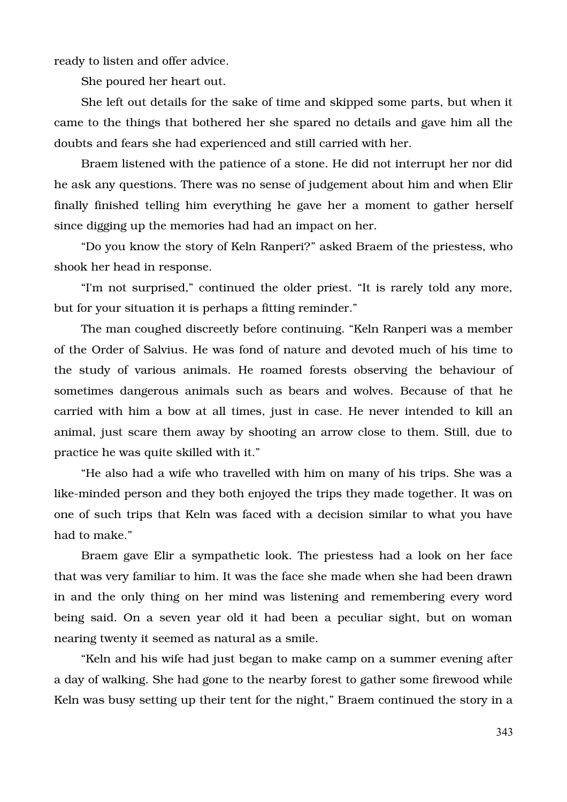ready to listen and offer advice.

She poured her heart out.

She left out details for the sake of time and skipped some parts, but when it came to the things that bothered her she spared no details and gave him all the doubts and fears she had experienced and still carried with her.

Braem listened with the patience of a stone. He did not interrupt her nor did he ask any questions. There was no sense of judgement about him and when Elir finally finished telling him everything he gave her a moment to gather herself since digging up the memories had had an impact on her.

"Do you know the story of Keln Ranperi?" asked Braem of the priestess, who shook her head in response.

"I'm not surprised," continued the older priest. "It is rarely told any more, but for your situation it is perhaps a fitting reminder."

The man coughed discreetly before continuing. "Keln Ranperi was a member of the Order of Salvius. He was fond of nature and devoted much of his time to the study of various animals. He roamed forests observing the behaviour of sometimes dangerous animals such as bears and wolves. Because of that he carried with him a bow at all times, just in case. He never intended to kill an animal, just scare them away by shooting an arrow close to them. Still, due to practice he was quite skilled with it."

"He also had a wife who travelled with him on many of his trips. She was a like-minded person and they both enjoyed the trips they made together. It was on one of such trips that Keln was faced with a decision similar to what you have had to make."

Braem gave Elir a sympathetic look. The priestess had a look on her face that was very familiar to him. It was the face she made when she had been drawn in and the only thing on her mind was listening and remembering every word being said. On a seven year old it had been a peculiar sight, but on woman nearing twenty it seemed as natural as a smile.

"Keln and his wife had just began to make camp on a summer evening after a day of walking. She had gone to the nearby forest to gather some firewood while Keln was busy setting up their tent for the night," Braem continued the story in a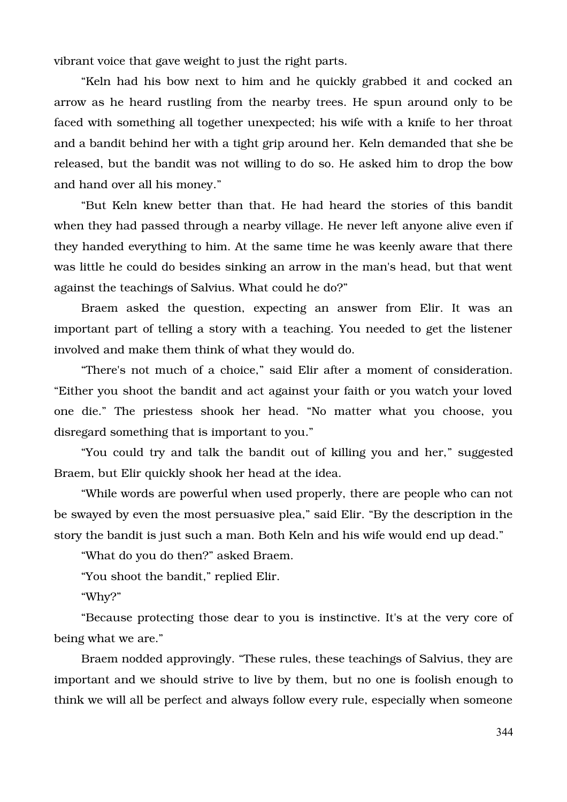vibrant voice that gave weight to just the right parts.

"Keln had his bow next to him and he quickly grabbed it and cocked an arrow as he heard rustling from the nearby trees. He spun around only to be faced with something all together unexpected; his wife with a knife to her throat and a bandit behind her with a tight grip around her. Keln demanded that she be released, but the bandit was not willing to do so. He asked him to drop the bow and hand over all his money."

"But Keln knew better than that. He had heard the stories of this bandit when they had passed through a nearby village. He never left anyone alive even if they handed everything to him. At the same time he was keenly aware that there was little he could do besides sinking an arrow in the man's head, but that went against the teachings of Salvius. What could he do?"

Braem asked the question, expecting an answer from Elir. It was an important part of telling a story with a teaching. You needed to get the listener involved and make them think of what they would do.

"There's not much of a choice," said Elir after a moment of consideration. "Either you shoot the bandit and act against your faith or you watch your loved one die." The priestess shook her head. "No matter what vou choose, vou disregard something that is important to you."

"You could try and talk the bandit out of killing you and her," suggested Braem, but Elir quickly shook her head at the idea.

"While words are powerful when used properly, there are people who can not be swayed by even the most persuasive plea," said Elir. "By the description in the story the bandit is just such a man. Both Keln and his wife would end up dead."

"What do you do then?" asked Braem.

"You shoot the bandit," replied Elir.

"Why?"

"Because protecting those dear to you is instinctive. It's at the very core of being what we are."

Braem nodded approvingly. "These rules, these teachings of Salvius, they are important and we should strive to live by them, but no one is foolish enough to think we will all be perfect and always follow every rule, especially when someone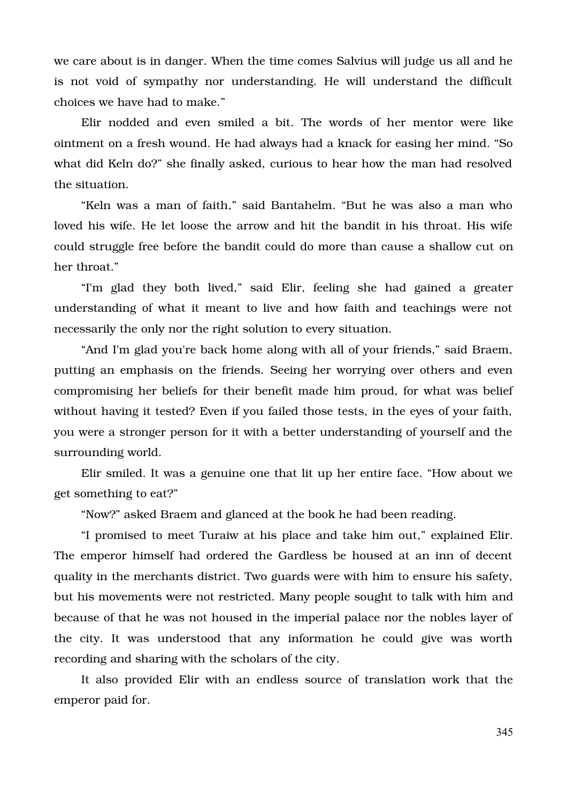we care about is in danger. When the time comes Salvius will judge us all and he is not void of sympathy nor understanding. He will understand the difficult choices we have had to make."

Elir nodded and even smiled a bit. The words of her mentor were like ointment on a fresh wound. He had always had a knack for easing her mind. "So what did Keln do?" she finally asked, curious to hear how the man had resolved the situation.

"Keln was a man of faith," said Bantahelm. "But he was also a man who loved his wife. He let loose the arrow and hit the bandit in his throat. His wife could struggle free before the bandit could do more than cause a shallow cut on her throat."

"I'm glad they both lived," said Elir, feeling she had gained a greater understanding of what it meant to live and how faith and teachings were not necessarily the only nor the right solution to every situation.

"And I'm glad you're back home along with all of your friends," said Braem, putting an emphasis on the friends. Seeing her worrying over others and even compromising her beliefs for their benefit made him proud, for what was belief without having it tested? Even if you failed those tests, in the eyes of your faith, you were a stronger person for it with a better understanding of yourself and the surrounding world.

Elir smiled. It was a genuine one that lit up her entire face. "How about we get something to eat?"

"Now?" asked Braem and glanced at the book he had been reading.

"I promised to meet Turaiw at his place and take him out," explained Elir. The emperor himself had ordered the Gardless be housed at an inn of decent quality in the merchants district. Two guards were with him to ensure his safety, but his movements were not restricted. Many people sought to talk with him and because of that he was not housed in the imperial palace nor the nobles layer of the city. It was understood that any information he could give was worth recording and sharing with the scholars of the city.

It also provided Elir with an endless source of translation work that the emperor paid for.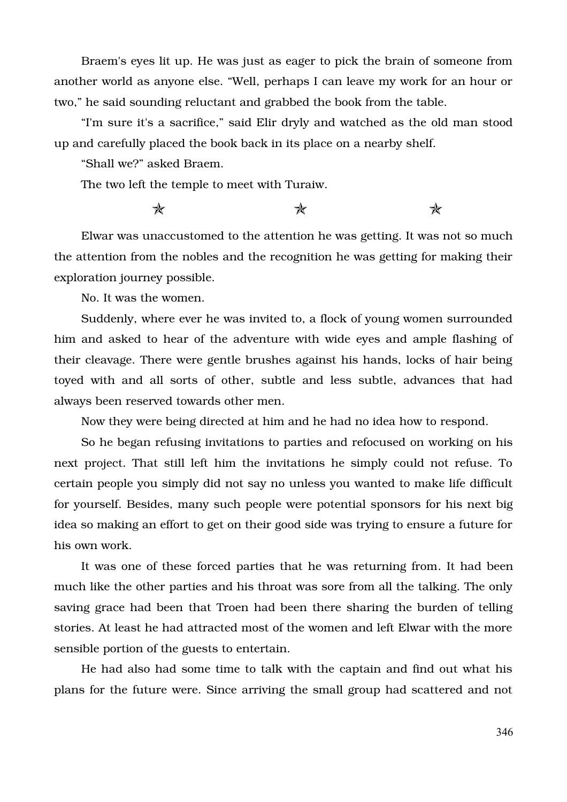Braem's eyes lit up. He was just as eager to pick the brain of someone from another world as anyone else. "Well, perhaps I can leave my work for an hour or two," he said sounding reluctant and grabbed the book from the table.

"I'm sure it's a sacrifice," said Elir dryly and watched as the old man stood up and carefully placed the book back in its place on a nearby shelf.

"Shall we?" asked Braem.

The two left the temple to meet with Turaiw.

 $\star$  and  $\star$ 

Elwar was unaccustomed to the attention he was getting. It was not so much the attention from the nobles and the recognition he was getting for making their exploration journey possible.

No. It was the women.

Suddenly, where ever he was invited to, a flock of young women surrounded him and asked to hear of the adventure with wide eyes and ample flashing of their cleavage. There were gentle brushes against his hands, locks of hair being toyed with and all sorts of other, subtle and less subtle, advances that had always been reserved towards other men.

Now they were being directed at him and he had no idea how to respond.

So he began refusing invitations to parties and refocused on working on his next project. That still left him the invitations he simply could not refuse. To certain people you simply did not say no unless you wanted to make life difficult for yourself. Besides, many such people were potential sponsors for his next big idea so making an effort to get on their good side was trying to ensure a future for his own work.

It was one of these forced parties that he was returning from. It had been much like the other parties and his throat was sore from all the talking. The only saving grace had been that Troen had been there sharing the burden of telling stories. At least he had attracted most of the women and left Elwar with the more sensible portion of the guests to entertain.

He had also had some time to talk with the captain and find out what his plans for the future were. Since arriving the small group had scattered and not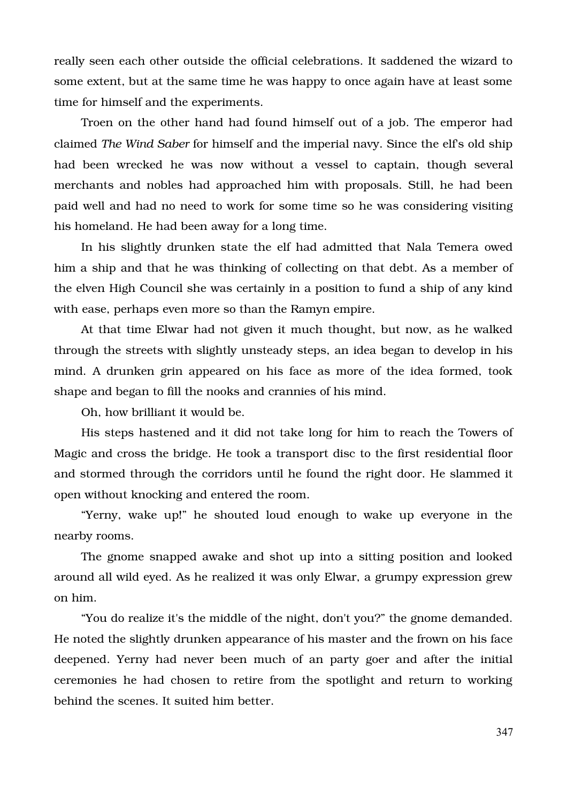really seen each other outside the official celebrations. It saddened the wizard to some extent, but at the same time he was happy to once again have at least some time for himself and the experiments.

Troen on the other hand had found himself out of a job. The emperor had claimed *The Wind Saber* for himself and the imperial navy. Since the elf's old ship had been wrecked he was now without a vessel to captain, though several merchants and nobles had approached him with proposals. Still, he had been paid well and had no need to work for some time so he was considering visiting his homeland. He had been away for a long time.

In his slightly drunken state the elf had admitted that Nala Temera owed him a ship and that he was thinking of collecting on that debt. As a member of the elven High Council she was certainly in a position to fund a ship of any kind with ease, perhaps even more so than the Ramyn empire.

At that time Elwar had not given it much thought, but now, as he walked through the streets with slightly unsteady steps, an idea began to develop in his mind. A drunken grin appeared on his face as more of the idea formed, took shape and began to fill the nooks and crannies of his mind.

Oh, how brilliant it would be.

His steps hastened and it did not take long for him to reach the Towers of Magic and cross the bridge. He took a transport disc to the first residential floor and stormed through the corridors until he found the right door. He slammed it open without knocking and entered the room.

"Yerny, wake up!" he shouted loud enough to wake up everyone in the nearby rooms.

The gnome snapped awake and shot up into a sitting position and looked around all wild eyed. As he realized it was only Elwar, a grumpy expression grew on him.

"You do realize it's the middle of the night, don't you?" the gnome demanded. He noted the slightly drunken appearance of his master and the frown on his face deepened. Yerny had never been much of an party goer and after the initial ceremonies he had chosen to retire from the spotlight and return to working behind the scenes. It suited him better.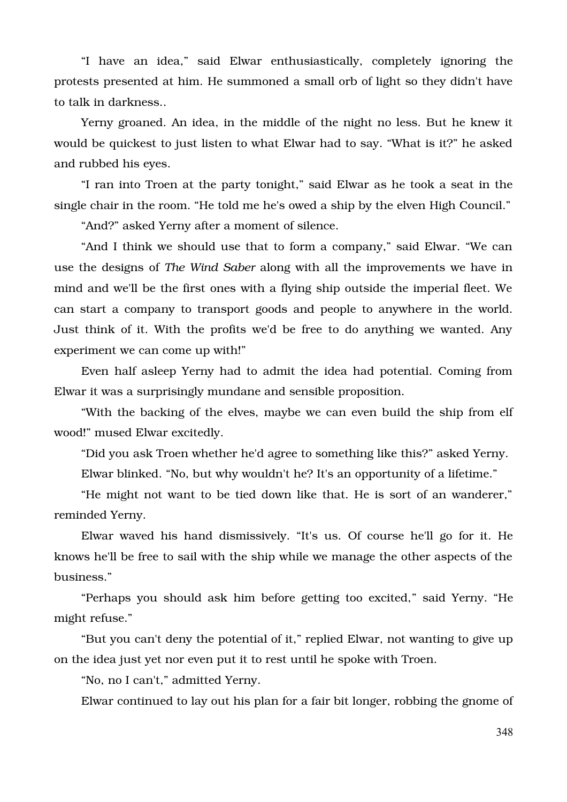"I have an idea," said Elwar enthusiastically, completely ignoring the protests presented at him. He summoned a small orb of light so they didn't have to talk in darkness..

Yerny groaned. An idea, in the middle of the night no less. But he knew it would be quickest to just listen to what Elwar had to say. "What is it?" he asked and rubbed his eyes.

"I ran into Troen at the party tonight," said Elwar as he took a seat in the single chair in the room. "He told me he's owed a ship by the elven High Council."

"And?" asked Yerny after a moment of silence.

"And I think we should use that to form a company," said Elwar. "We can use the designs of *The Wind Saber* along with all the improvements we have in mind and we'll be the first ones with a flying ship outside the imperial fleet. We can start a company to transport goods and people to anywhere in the world. Just think of it. With the profits we'd be free to do anything we wanted. Any experiment we can come up with!"

Even half asleep Yerny had to admit the idea had potential. Coming from Elwar it was a surprisingly mundane and sensible proposition.

"With the backing of the elves, maybe we can even build the ship from elf wood!" mused Elwar excitedly.

"Did you ask Troen whether he'd agree to something like this?" asked Yerny.

Elwar blinked. "No, but why wouldn't he? It's an opportunity of a lifetime."

"He might not want to be tied down like that. He is sort of an wanderer," reminded Yerny.

Elwar waved his hand dismissively. "It's us. Of course he'll go for it. He knows he'll be free to sail with the ship while we manage the other aspects of the business."

"Perhaps you should ask him before getting too excited," said Yerny. "He might refuse."

"But you can't deny the potential of it," replied Elwar, not wanting to give up on the idea just yet nor even put it to rest until he spoke with Troen.

"No, no I can't," admitted Yerny.

Elwar continued to lay out his plan for a fair bit longer, robbing the gnome of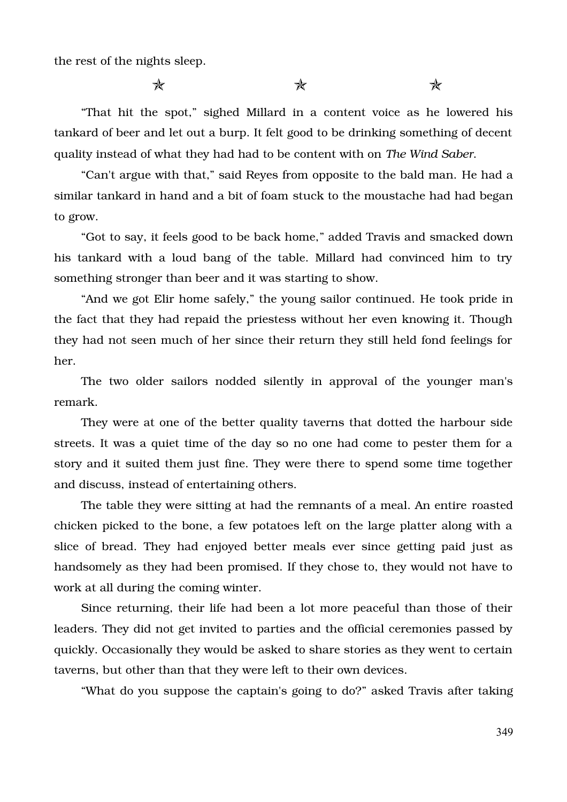the rest of the nights sleep.

 $\star$  and  $\star$ 

"That hit the spot," sighed Millard in a content voice as he lowered his tankard of beer and let out a burp. It felt good to be drinking something of decent quality instead of what they had had to be content with on *The Wind Saber*.

"Can't argue with that," said Reyes from opposite to the bald man. He had a similar tankard in hand and a bit of foam stuck to the moustache had had began to grow.

"Got to say, it feels good to be back home," added Travis and smacked down his tankard with a loud bang of the table. Millard had convinced him to try something stronger than beer and it was starting to show.

"And we got Elir home safely," the young sailor continued. He took pride in the fact that they had repaid the priestess without her even knowing it. Though they had not seen much of her since their return they still held fond feelings for her.

The two older sailors nodded silently in approval of the vounger man's remark.

They were at one of the better quality taverns that dotted the harbour side streets. It was a quiet time of the day so no one had come to pester them for a story and it suited them just fine. They were there to spend some time together and discuss, instead of entertaining others.

The table they were sitting at had the remnants of a meal. An entire roasted chicken picked to the bone, a few potatoes left on the large platter along with a slice of bread. They had enjoyed better meals ever since getting paid just as handsomely as they had been promised. If they chose to, they would not have to work at all during the coming winter.

Since returning, their life had been a lot more peaceful than those of their leaders. They did not get invited to parties and the official ceremonies passed by quickly. Occasionally they would be asked to share stories as they went to certain taverns, but other than that they were left to their own devices.

"What do you suppose the captain's going to do?" asked Travis after taking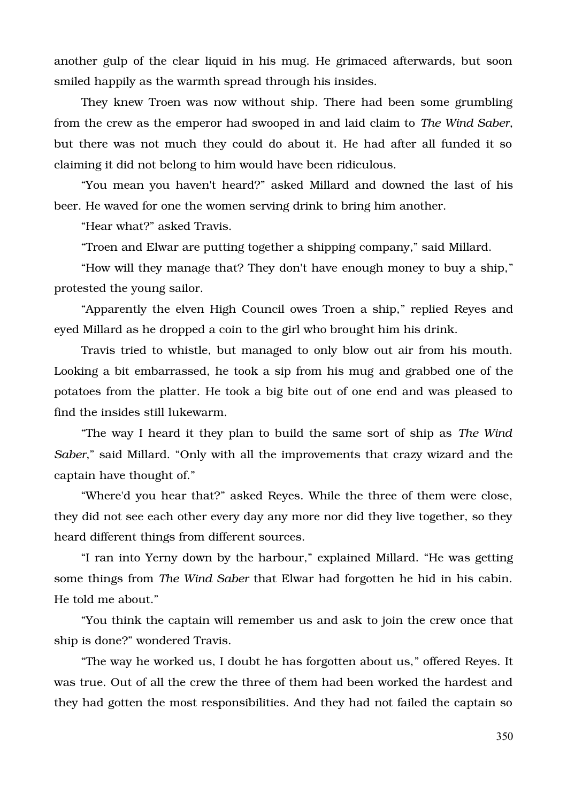another gulp of the clear liquid in his mug. He grimaced afterwards, but soon smiled happily as the warmth spread through his insides.

They knew Troen was now without ship. There had been some grumbling from the crew as the emperor had swooped in and laid claim to *The Wind Saber*, but there was not much they could do about it. He had after all funded it so claiming it did not belong to him would have been ridiculous.

"You mean you haven't heard?" asked Millard and downed the last of his beer. He waved for one the women serving drink to bring him another.

"Hear what?" asked Travis.

"Troen and Elwar are putting together a shipping company," said Millard.

"How will they manage that? They don't have enough money to buy a ship," protested the young sailor.

"Apparently the elven High Council owes Troen a ship," replied Reyes and eyed Millard as he dropped a coin to the girl who brought him his drink.

Travis tried to whistle, but managed to only blow out air from his mouth. Looking a bit embarrassed, he took a sip from his mug and grabbed one of the potatoes from the platter. He took a big bite out of one end and was pleased to find the insides still lukewarm.

"The way I heard it they plan to build the same sort of ship as *The Wind Saber*," said Millard. "Only with all the improvements that crazy wizard and the captain have thought of."

"Where'd you hear that?" asked Reyes. While the three of them were close, they did not see each other every day any more nor did they live together, so they heard different things from different sources.

"I ran into Yerny down by the harbour," explained Millard. "He was getting some things from *The Wind Saber* that Elwar had forgotten he hid in his cabin. He told me about."

"You think the captain will remember us and ask to join the crew once that ship is done?" wondered Travis.

"The way he worked us, I doubt he has forgotten about us," offered Reyes. It was true. Out of all the crew the three of them had been worked the hardest and they had gotten the most responsibilities. And they had not failed the captain so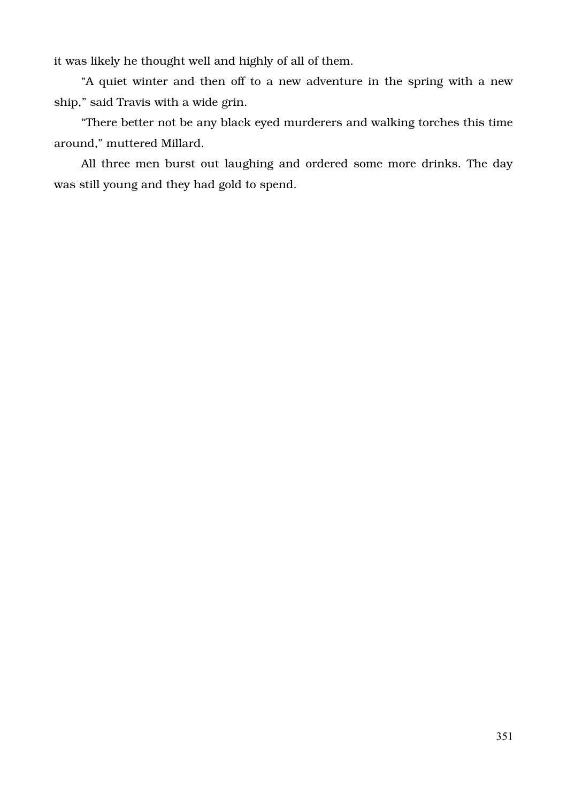it was likely he thought well and highly of all of them.

"A quiet winter and then off to a new adventure in the spring with a new ship," said Travis with a wide grin.

"There better not be any black eyed murderers and walking torches this time around," muttered Millard.

All three men burst out laughing and ordered some more drinks. The day was still young and they had gold to spend.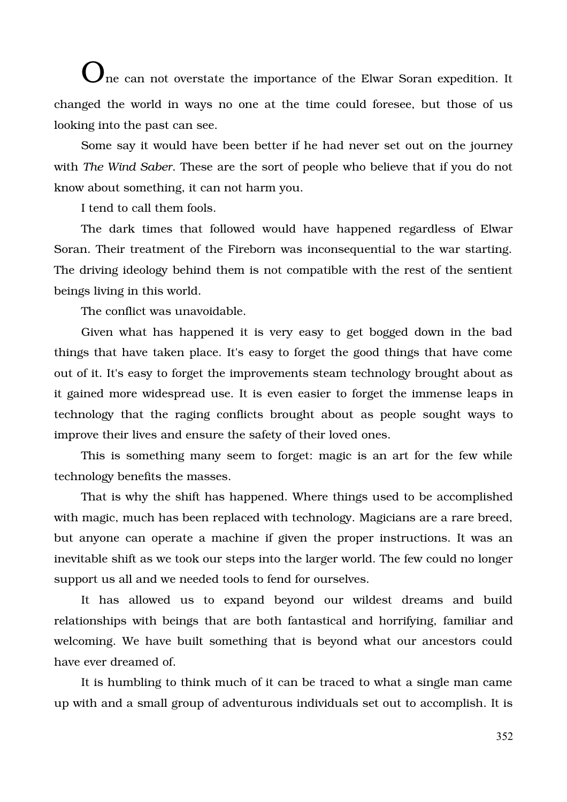$\bigcup$ ne can not overstate the importance of the Elwar Soran expedition. It changed the world in ways no one at the time could foresee, but those of us looking into the past can see.

Some say it would have been better if he had never set out on the journey with *The Wind Saber*. These are the sort of people who believe that if you do not know about something, it can not harm you.

I tend to call them fools.

The dark times that followed would have happened regardless of Elwar Soran. Their treatment of the Fireborn was inconsequential to the war starting. The driving ideology behind them is not compatible with the rest of the sentient beings living in this world.

The conflict was unavoidable.

Given what has happened it is very easy to get bogged down in the bad things that have taken place. It's easy to forget the good things that have come out of it. It's easy to forget the improvements steam technology brought about as it gained more widespread use. It is even easier to forget the immense leaps in technology that the raging conflicts brought about as people sought ways to improve their lives and ensure the safety of their loved ones.

This is something many seem to forget: magic is an art for the few while technology benefits the masses.

That is why the shift has happened. Where things used to be accomplished with magic, much has been replaced with technology. Magicians are a rare breed, but anyone can operate a machine if given the proper instructions. It was an inevitable shift as we took our steps into the larger world. The few could no longer support us all and we needed tools to fend for ourselves.

It has allowed us to expand beyond our wildest dreams and build relationships with beings that are both fantastical and horrifying, familiar and welcoming. We have built something that is beyond what our ancestors could have ever dreamed of.

It is humbling to think much of it can be traced to what a single man came up with and a small group of adventurous individuals set out to accomplish. It is